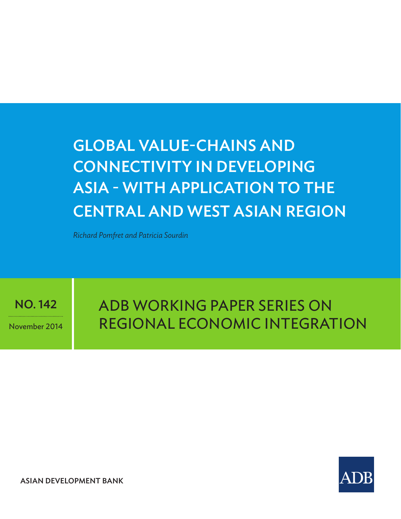# Global Value-Chains and Connectivity in Developing Asia - with application to the Central and West Asian region

*Richard Pomfret and Patricia Sourdin*

NO. 142

November 2014

adb Working paper Series on Regional Economic Integration



ASIAN DEVELOPMENT BANK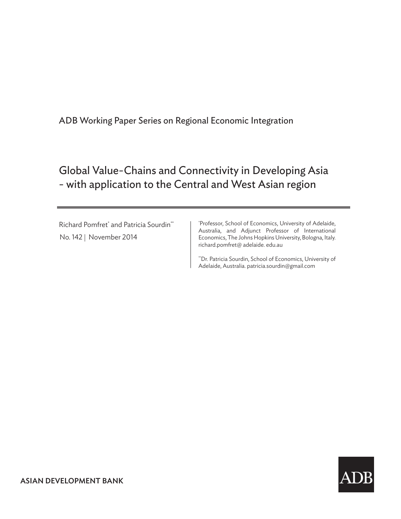# Global Value-Chains and Connectivity in Developing Asia - with application to the Central and West Asian region

Richard Pomfret<sup>\*</sup> and Patricia Sourdin<sup>\*\*</sup> No. 142 | November 2014

\* Professor, School of Economics, University of Adelaide, Australia, and Adjunct Professor of International Economics, The Johns Hopkins University, Bologna, Italy. richard.pomfret@ adelaide. edu.au

\*\*Dr. Patricia Sourdin, School of Economics, University of Adelaide, Australia. patricia.sourdin@gmail.com

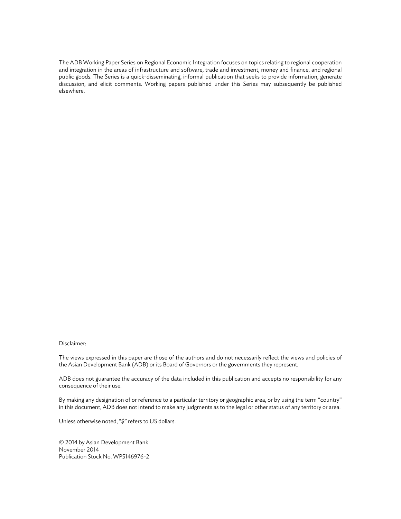The ADB Working Paper Series on Regional Economic Integration focuses on topics relating to regional cooperation and integration in the areas of infrastructure and software, trade and investment, money and finance, and regional public goods. The Series is a quick-disseminating, informal publication that seeks to provide information, generate discussion, and elicit comments. Working papers published under this Series may subsequently be published elsewhere.

#### Disclaimer:

The views expressed in this paper are those of the authors and do not necessarily reflect the views and policies of the Asian Development Bank (ADB) or its Board of Governors or the governments they represent.

ADB does not guarantee the accuracy of the data included in this publication and accepts no responsibility for any consequence of their use.

By making any designation of or reference to a particular territory or geographic area, or by using the term "country" in this document, ADB does not intend to make any judgments as to the legal or other status of any territory or area.

Unless otherwise noted, "\$" refers to US dollars.

© 2014 by Asian Development Bank November 2014 Publication Stock No. WPS146976-2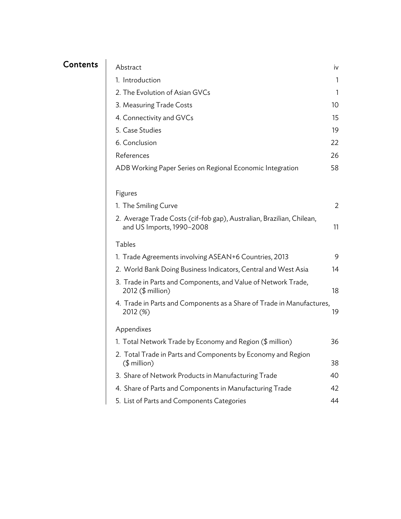# **Contents**

| Abstract                                                                                           | iv              |
|----------------------------------------------------------------------------------------------------|-----------------|
| 1. Introduction                                                                                    | 1               |
| 2. The Evolution of Asian GVCs                                                                     | 1               |
| 3. Measuring Trade Costs                                                                           | 10 <sup>°</sup> |
| 4. Connectivity and GVCs                                                                           | 15              |
| 5. Case Studies                                                                                    | 19              |
| 6. Conclusion                                                                                      | 22              |
| References                                                                                         | 26              |
| ADB Working Paper Series on Regional Economic Integration                                          | 58              |
|                                                                                                    |                 |
| Figures                                                                                            |                 |
| 1. The Smiling Curve                                                                               | 2               |
| 2. Average Trade Costs (cif-fob gap), Australian, Brazilian, Chilean,<br>and US Imports, 1990-2008 | 11              |
| <b>Tables</b>                                                                                      |                 |
| 1. Trade Agreements involving ASEAN+6 Countries, 2013                                              | 9               |
| 2. World Bank Doing Business Indicators, Central and West Asia                                     | 14              |
| 3. Trade in Parts and Components, and Value of Network Trade,<br>2012 (\$ million)                 | 18              |
| 4. Trade in Parts and Components as a Share of Trade in Manufactures,<br>2012 (%)                  | 19              |
| Appendixes                                                                                         |                 |
| 1. Total Network Trade by Economy and Region (\$ million)                                          | 36              |
| 2. Total Trade in Parts and Components by Economy and Region<br>$($$ million)                      | 38              |
|                                                                                                    |                 |
| 3. Share of Network Products in Manufacturing Trade                                                | 40              |
| 4. Share of Parts and Components in Manufacturing Trade                                            | 42              |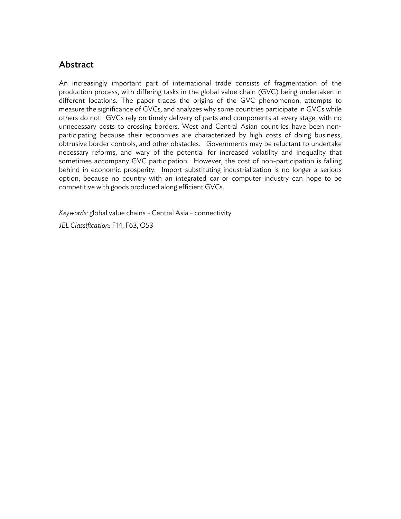## **Abstract**

An increasingly important part of international trade consists of fragmentation of the production process, with differing tasks in the global value chain (GVC) being undertaken in different locations. The paper traces the origins of the GVC phenomenon, attempts to measure the significance of GVCs, and analyzes why some countries participate in GVCs while others do not. GVCs rely on timely delivery of parts and components at every stage, with no unnecessary costs to crossing borders. West and Central Asian countries have been nonparticipating because their economies are characterized by high costs of doing business, obtrusive border controls, and other obstacles. Governments may be reluctant to undertake necessary reforms, and wary of the potential for increased volatility and inequality that sometimes accompany GVC participation. However, the cost of non-participation is falling behind in economic prosperity. Import-substituting industrialization is no longer a serious option, because no country with an integrated car or computer industry can hope to be competitive with goods produced along efficient GVCs.

*Keywords:* global value chains - Central Asia - connectivity

*JEL Classification:* F14, F63, O53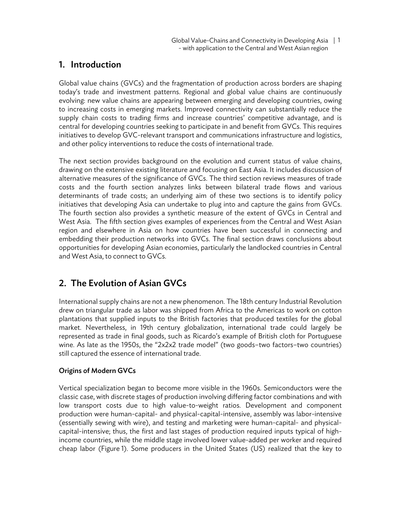### 1. Introduction

Global value chains (GVCs) and the fragmentation of production across borders are shaping today's trade and investment patterns. Regional and global value chains are continuously evolving: new value chains are appearing between emerging and developing countries, owing to increasing costs in emerging markets. Improved connectivity can substantially reduce the supply chain costs to trading firms and increase countries' competitive advantage, and is central for developing countries seeking to participate in and benefit from GVCs. This requires initiatives to develop GVC-relevant transport and communications infrastructure and logistics, and other policy interventions to reduce the costs of international trade.

The next section provides background on the evolution and current status of value chains, drawing on the extensive existing literature and focusing on East Asia. It includes discussion of alternative measures of the significance of GVCs. The third section reviews measures of trade costs and the fourth section analyzes links between bilateral trade flows and various determinants of trade costs; an underlying aim of these two sections is to identify policy initiatives that developing Asia can undertake to plug into and capture the gains from GVCs. The fourth section also provides a synthetic measure of the extent of GVCs in Central and West Asia. The fifth section gives examples of experiences from the Central and West Asian region and elsewhere in Asia on how countries have been successful in connecting and embedding their production networks into GVCs. The final section draws conclusions about opportunities for developing Asian economies, particularly the landlocked countries in Central and West Asia, to connect to GVCs.

# 2. The Evolution of Asian GVCs

International supply chains are not a new phenomenon. The 18th century Industrial Revolution drew on triangular trade as labor was shipped from Africa to the Americas to work on cotton plantations that supplied inputs to the British factories that produced textiles for the global market. Nevertheless, in 19th century globalization, international trade could largely be represented as trade in final goods, such as Ricardo's example of British cloth for Portuguese wine. As late as the 1950s, the "2x2x2 trade model" (two goods–two factors–two countries) still captured the essence of international trade.

#### Origins of Modern GVCs

Vertical specialization began to become more visible in the 1960s. Semiconductors were the classic case, with discrete stages of production involving differing factor combinations and with low transport costs due to high value-to-weight ratios. Development and component production were human-capital- and physical-capital-intensive, assembly was labor-intensive (essentially sewing with wire), and testing and marketing were human-capital- and physicalcapital-intensive; thus, the first and last stages of production required inputs typical of highincome countries, while the middle stage involved lower value-added per worker and required cheap labor (Figure 1). Some producers in the United States (US) realized that the key to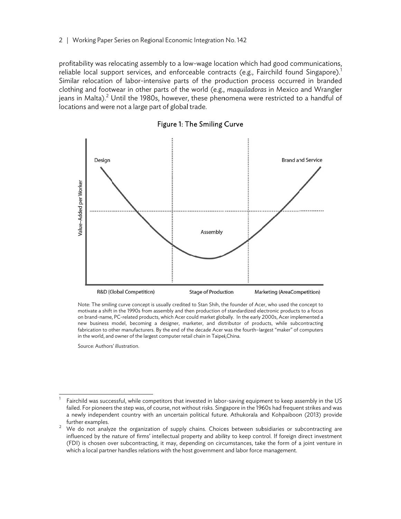profitability was relocating assembly to a low-wage location which had good communications, reliable local support services, and enforceable contracts (e.g., Fairchild found Singapore). $^{\rm l}$ Similar relocation of labor-intensive parts of the production process occurred in branded clothing and footwear in other parts of the world (e.g., *maquiladoras* in Mexico and Wrangler jeans in Malta). $^2$  Until the 1980s, however, these phenomena were restricted to a handful of locations and were not a large part of global trade.



Figure 1: T The Smiling C Curve

Note: The smiling curve concept is usually credited to Stan Shih, the founder of Acer, who used the concept to motivate a shift in the 1990s from assembly and then production of standardized electronic products to a focus on brand-name, PC-related products, which Acer could market globally. In the early 2000s, Acer implemented a new business model, becoming a designer, marketer, and distributor of products, while subcontracting fabrication to other manufacturers. By the end of the decade Acer was the fourth–largest "maker" of computers in the world, and owner of the largest computer retail chain in Taipei,China.

Source: Authors s' illustration.

1

1

1

1

 $^{\rm 1}$   $\,$  Fairchild was successful, while competitors that invested in labor-saving equipment to keep assembly in the US failed. For pioneers the step was, of course, not without risks. Singapore in the 1960s had frequent strikes and was a newly independent country with an uncertain political future. Athukorala and Kohpaiboon (2013) provide further examples.<br><sup>2</sup> M/s de not analy

We do not analyze the organization of supply chains. Choices between subsidiaries or subcontracting are influenced by the nature of firms' intellectual property and ability to keep control. If foreign direct investment (FDI) is chosen over subcontracting, it may, depending on circumstances, take the form of a joint venture in which a local partner handles relations with the host government and labor force management.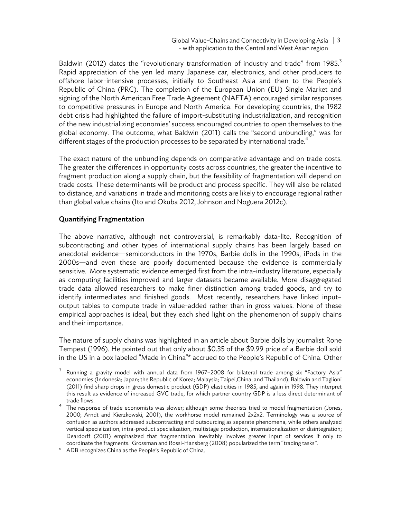Global Value-Chains and Connectivity in Developing Asia | 3 - with application to the Central and West Asian region

Baldwin (2012) dates the "revolutionary transformation of industry and trade" from 1985. $3$ Rapid appreciation of the yen led many Japanese car, electronics, and other producers to offshore labor-intensive processes, initially to Southeast Asia and then to the People's Republic of China (PRC). The completion of the European Union (EU) Single Market and signing of the North American Free Trade Agreement (NAFTA) encouraged similar responses to competitive pressures in Europe and North America. For developing countries, the 1982 debt crisis had highlighted the failure of import-substituting industrialization, and recognition of the new industrializing economies' success encouraged countries to open themselves to the global economy. The outcome, what Baldwin (2011) calls the "second unbundling," was for different stages of the production processes to be separated by international trade.<sup>4</sup>

The exact nature of the unbundling depends on comparative advantage and on trade costs. The greater the differences in opportunity costs across countries, the greater the incentive to fragment production along a supply chain, but the feasibility of fragmentation will depend on trade costs. These determinants will be product and process specific. They will also be related to distance, and variations in trade and monitoring costs are likely to encourage regional rather than global value chains (Ito and Okuba 2012, Johnson and Noguera 2012c).

#### Quantifying Fragmentation

The above narrative, although not controversial, is remarkably data-lite. Recognition of subcontracting and other types of international supply chains has been largely based on anecdotal evidence—semiconductors in the 1970s, Barbie dolls in the 1990s, iPods in the 2000s—and even these are poorly documented because the evidence is commercially sensitive. More systematic evidence emerged first from the intra-industry literature, especially as computing facilities improved and larger datasets became available. More disaggregated trade data allowed researchers to make finer distinction among traded goods, and try to identify intermediates and finished goods. Most recently, researchers have linked input– output tables to compute trade in value-added rather than in gross values. None of these empirical approaches is ideal, but they each shed light on the phenomenon of supply chains and their importance.

The nature of supply chains was highlighted in an article about Barbie dolls by journalist Rone Tempest (1996). He pointed out that only about \$0.35 of the \$9.99 price of a Barbie doll sold in the US in a box labeled "Made in China"\* accrued to the People's Republic of China. Other

<sup>1</sup> Running a gravity model with annual data from 1967-2008 for bilateral trade among six "Factory Asia" economies (Indonesia; Japan; the Republic of Korea; Malaysia; Taipei,China; and Thailand), Baldwin and Taglioni (2011) find sharp drops in gross domestic product (GDP) elasticities in 1985, and again in 1998. They interpret this result as evidence of increased GVC trade, for which partner country GDP is a less direct determinant of trade flows.

The response of trade economists was slower; although some theorists tried to model fragmentation (Jones, 2000; Arndt and Kierzkowski, 2001), the workhorse model remained 2x2x2. Terminology was a source of confusion as authors addressed subcontracting and outsourcing as separate phenomena, while others analyzed vertical specialization, intra-product specialization, multistage production, internationalization or disintegration; Deardorff (2001) emphasized that fragmentation inevitably involves greater input of services if only to coordinate the fragments. Grossman and Rossi-Hansberg (2008) popularized the term "trading tasks".

<sup>\*</sup> ADB recognizes China as the People's Republic of China.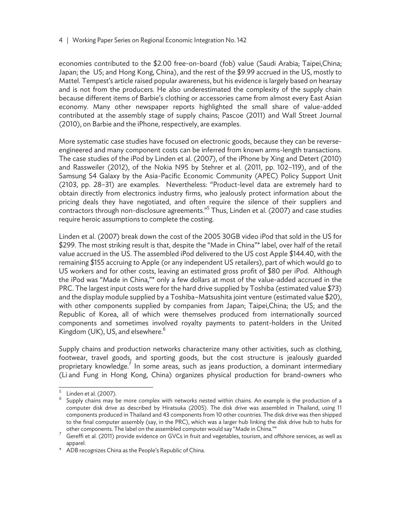economies contributed to the \$2.00 free-on-board (fob) value (Saudi Arabia; Taipei,China; Japan; the US; and Hong Kong, China), and the rest of the \$9.99 accrued in the US, mostly to Mattel. Tempest's article raised popular awareness, but his evidence is largely based on hearsay and is not from the producers. He also underestimated the complexity of the supply chain because different items of Barbie's clothing or accessories came from almost every East Asian economy. Many other newspaper reports highlighted the small share of value-added contributed at the assembly stage of supply chains; Pascoe (2011) and Wall Street Journal (2010), on Barbie and the iPhone, respectively, are examples.

More systematic case studies have focused on electronic goods, because they can be reverseengineered and many component costs can be inferred from known arms-length transactions. The case studies of the iPod by Linden et al. (2007), of the iPhone by Xing and Detert (2010) and Rassweiler (2012), of the Nokia N95 by Stehrer et al. (2011, pp. 102–119), and of the Samsung S4 Galaxy by the Asia-Pacific Economic Community (APEC) Policy Support Unit (2103, pp. 28–31) are examples. Nevertheless: "Product-level data are extremely hard to obtain directly from electronics industry firms, who jealously protect information about the pricing deals they have negotiated, and often require the silence of their suppliers and contractors through non-disclosure agreements."<sup>5</sup> Thus, Linden et al. (2007) and case studies require heroic assumptions to complete the costing.

Linden et al. (2007) break down the cost of the 2005 30GB video iPod that sold in the US for \$299. The most striking result is that, despite the "Made in China"\* label, over half of the retail value accrued in the US. The assembled iPod delivered to the US cost Apple \$144.40, with the remaining \$155 accruing to Apple (or any independent US retailers), part of which would go to US workers and for other costs, leaving an estimated gross profit of \$80 per iPod. Although the iPod was "Made in China,"\* only a few dollars at most of the value-added accrued in the PRC. The largest input costs were for the hard drive supplied by Toshiba (estimated value \$73) and the display module supplied by a Toshiba–Matsushita joint venture (estimated value \$20), with other components supplied by companies from Japan; Taipei,China; the US; and the Republic of Korea, all of which were themselves produced from internationally sourced components and sometimes involved royalty payments to patent-holders in the United Kingdom (UK), US, and elsewhere. $6$ 

Supply chains and production networks characterize many other activities, such as clothing, footwear, travel goods, and sporting goods, but the cost structure is jealously guarded proprietary knowledge.<sup>7</sup> In some areas, such as jeans production, a dominant intermediary (Li and Fung in Hong Kong, China) organizes physical production for brand-owners who

<sup>5</sup> 

Linden et al. (2007).<br>Supply chains may be more complex with networks nested within chains. An example is the production of a computer disk drive as described by Hiratsuka (2005). The disk drive was assembled in Thailand, using 11 components produced in Thailand and 43 components from 10 other countries. The disk drive was then shipped to the final computer assembly (say, in the PRC), which was a larger hub linking the disk drive hub to hubs for

other components. The label on the assembled computer would say "Made in China."\*<br><sup>7</sup> Gereffi et al. (2011) provide evidence on GVCs in fruit and vegetables, tourism, and offshore services, as well as apparel.

<sup>\*</sup> ADB recognizes China as the People's Republic of China.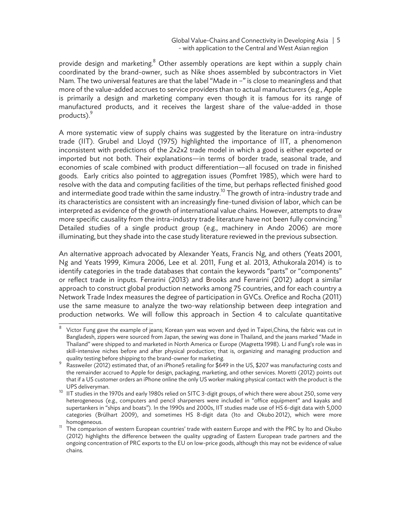#### Global Value-Chains and Connectivity in Developing Asia | 5 - with application to the Central and West Asian region

provide design and marketing.<sup>8</sup> Other assembly operations are kept within a supply chain coordinated by the brand-owner, such as Nike shoes assembled by subcontractors in Viet Nam. The two universal features are that the label "Made in –" is close to meaningless and that more of the value-added accrues to service providers than to actual manufacturers (e.g., Apple is primarily a design and marketing company even though it is famous for its range of manufactured products, and it receives the largest share of the value-added in those products).<sup>9</sup>

A more systematic view of supply chains was suggested by the literature on intra-industry trade (IIT). Grubel and Lloyd (1975) highlighted the importance of IIT, a phenomenon inconsistent with predictions of the 2x2x2 trade model in which a good is either exported or imported but not both. Their explanations—in terms of border trade, seasonal trade, and economies of scale combined with product differentiation—all focused on trade in finished goods. Early critics also pointed to aggregation issues (Pomfret 1985), which were hard to resolve with the data and computing facilities of the time, but perhaps reflected finished good and intermediate good trade within the same industry.<sup>10</sup> The growth of intra-industry trade and its characteristics are consistent with an increasingly fine-tuned division of labor, which can be interpreted as evidence of the growth of international value chains. However, attempts to draw more specific causality from the intra-industry trade literature have not been fully convincing.<sup>11</sup> Detailed studies of a single product group (e.g., machinery in Ando 2006) are more illuminating, but they shade into the case study literature reviewed in the previous subsection.

An alternative approach advocated by Alexander Yeats, Francis Ng, and others (Yeats 2001, Ng and Yeats 1999, Kimura 2006, Lee et al. 2011, Fung et al. 2013, Athukorala 2014) is to identify categories in the trade databases that contain the keywords "parts" or "components" or reflect trade in inputs. Ferrarini (2013) and Brooks and Ferrarini (2012) adopt a similar approach to construct global production networks among 75 countries, and for each country a Network Trade Index measures the degree of participation in GVCs. Orefice and Rocha (2011) use the same measure to analyze the two-way relationship between deep integration and production networks. We will follow this approach in Section 4 to calculate quantitative

<sup>1</sup> 8 Victor Fung gave the example of jeans; Korean yarn was woven and dyed in Taipei,China, the fabric was cut in Bangladesh, zippers were sourced from Japan, the sewing was done in Thailand, and the jeans marked "Made in Thailand" were shipped to and marketed in North America or Europe (Magretta 1998). Li and Fung's role was in skill-intensive niches before and after physical production; that is, organizing and managing production and quality testing before shipping to the brand-owner for marketing.<br><sup>9</sup> Bester the (2013) and marketing the state of the state of 64

Rassweiler (2012) estimated that, of an iPhone5 retailing for \$649 in the US, \$207 was manufacturing costs and the remainder accrued to Apple for design, packaging, marketing, and other services. Moretti (2012) points out that if a US customer orders an iPhone online the only US worker making physical contact with the product is the

UPS deliveryman.<br><sup>10</sup> IIT studies in the 1970s and early 1980s relied on SITC 3-digit groups, of which there were about 250, some very heterogeneous (e.g., computers and pencil sharpeners were included in "office equipment" and kayaks and supertankers in "ships and boats"). In the 1990s and 2000s, IIT studies made use of HS 6-digit data with 5,000 categories (Brülhart 2009), and sometimes HS 8-digit data (Ito and Okubo 2012), which were more homogeneous.<br><sup>11</sup> The comparison of western European countries' trade with eastern Europe and with the PRC by Ito and Okubo

<sup>(2012)</sup> highlights the difference between the quality upgrading of Eastern European trade partners and the ongoing concentration of PRC exports to the EU on low-price goods, although this may not be evidence of value chains.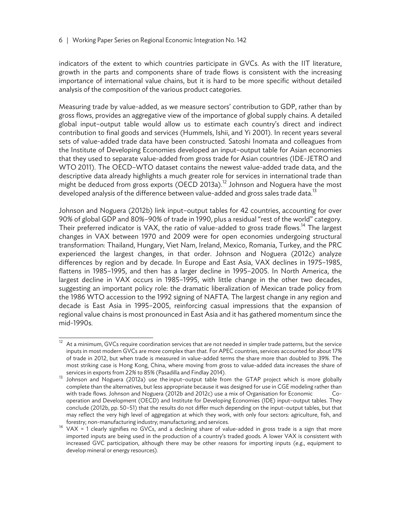indicators of the extent to which countries participate in GVCs. As with the IIT literature, growth in the parts and components share of trade flows is consistent with the increasing importance of international value chains, but it is hard to be more specific without detailed analysis of the composition of the various product categories.

Measuring trade by value-added, as we measure sectors' contribution to GDP, rather than by gross flows, provides an aggregative view of the importance of global supply chains. A detailed global input–output table would allow us to estimate each country's direct and indirect contribution to final goods and services (Hummels, Ishii, and Yi 2001). In recent years several sets of value-added trade data have been constructed. Satoshi Inomata and colleagues from the Institute of Developing Economies developed an input–output table for Asian economies that they used to separate value-added from gross trade for Asian countries (IDE-JETRO and WTO 2011). The OECD–WTO dataset contains the newest value-added trade data, and the descriptive data already highlights a much greater role for services in international trade than might be deduced from gross exports (OECD 2013a).<sup>12</sup> Johnson and Noguera have the most developed analysis of the difference between value-added and gross sales trade data.<sup>13</sup>

Johnson and Noguera (2012b) link input–output tables for 42 countries, accounting for over 90% of global GDP and 80%–90% of trade in 1990, plus a residual "rest of the world" category. Their preferred indicator is VAX, the ratio of value-added to gross trade flows.<sup>14</sup> The largest changes in VAX between 1970 and 2009 were for open economies undergoing structural transformation: Thailand, Hungary, Viet Nam, Ireland, Mexico, Romania, Turkey, and the PRC experienced the largest changes, in that order. Johnson and Noguera (2012c) analyze differences by region and by decade. In Europe and East Asia, VAX declines in 1975–1985, flattens in 1985–1995, and then has a larger decline in 1995–2005. In North America, the largest decline in VAX occurs in 1985–1995, with little change in the other two decades, suggesting an important policy role: the dramatic liberalization of Mexican trade policy from the 1986 WTO accession to the 1992 signing of NAFTA. The largest change in any region and decade is East Asia in 1995–2005, reinforcing casual impressions that the expansion of regional value chains is most pronounced in East Asia and it has gathered momentum since the mid-1990s.

 $\frac{12}{12}$  At a minimum, GVCs require coordination services that are not needed in simpler trade patterns, but the service inputs in most modern GVCs are more complex than that. For APEC countries, services accounted for about 17% of trade in 2012, but when trade is measured in value-added terms the share more than doubled to 39%. The most striking case is Hong Kong, China, where moving from gross to value-added data increases the share of

services in exports from 22% to 85% (Pasadilla and Findlay 2014).<br><sup>13</sup> Johnson and Noguera (2012a) use the input–output table from the GTAP project which is more globally complete than the alternatives, but less appropriate because it was designed for use in CGE modeling rather than with trade flows. Johnson and Noguera (2012b and 2012c) use a mix of Organisation for Economic Cooperation and Development (OECD) and Institute for Developing Economies (IDE) input–output tables. They conclude (2012b, pp. 50–51) that the results do not differ much depending on the input–output tables, but that may reflect the very high level of aggregation at which they work, with only four sectors: agriculture, fish, and

forestry; non-manufacturing industry; manufacturing; and services.<br><sup>14</sup> VAX = 1 clearly signifies no GVCs, and a declining share of value-added in gross trade is a sign that more imported inputs are being used in the production of a country's traded goods. A lower VAX is consistent with increased GVC participation, although there may be other reasons for importing inputs (e.g., equipment to develop mineral or energy resources).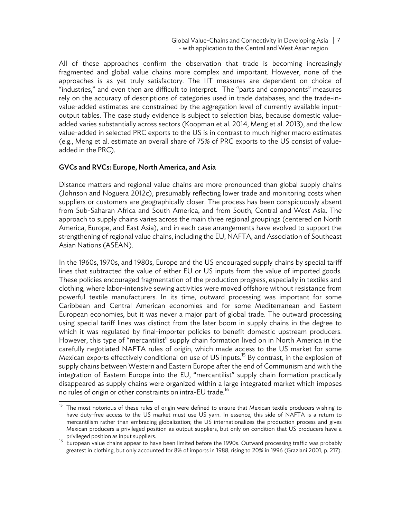All of these approaches confirm the observation that trade is becoming increasingly fragmented and global value chains more complex and important. However, none of the approaches is as yet truly satisfactory. The IIT measures are dependent on choice of "industries," and even then are difficult to interpret. The "parts and components" measures rely on the accuracy of descriptions of categories used in trade databases, and the trade-invalue-added estimates are constrained by the aggregation level of currently available input– output tables. The case study evidence is subject to selection bias, because domestic valueadded varies substantially across sectors (Koopman et al. 2014, Meng et al. 2013), and the low value-added in selected PRC exports to the US is in contrast to much higher macro estimates (e.g., Meng et al. estimate an overall share of 75% of PRC exports to the US consist of valueadded in the PRC).

#### GVCs and RVCs: Europe, North America, and Asia

Distance matters and regional value chains are more pronounced than global supply chains (Johnson and Noguera 2012c), presumably reflecting lower trade and monitoring costs when suppliers or customers are geographically closer. The process has been conspicuously absent from Sub-Saharan Africa and South America, and from South, Central and West Asia. The approach to supply chains varies across the main three regional groupings (centered on North America, Europe, and East Asia), and in each case arrangements have evolved to support the strengthening of regional value chains, including the EU, NAFTA, and Association of Southeast Asian Nations (ASEAN).

In the 1960s, 1970s, and 1980s, Europe and the US encouraged supply chains by special tariff lines that subtracted the value of either EU or US inputs from the value of imported goods. These policies encouraged fragmentation of the production progress, especially in textiles and clothing, where labor-intensive sewing activities were moved offshore without resistance from powerful textile manufacturers. In its time, outward processing was important for some Caribbean and Central American economies and for some Mediterranean and Eastern European economies, but it was never a major part of global trade. The outward processing using special tariff lines was distinct from the later boom in supply chains in the degree to which it was regulated by final-importer policies to benefit domestic upstream producers. However, this type of "mercantilist" supply chain formation lived on in North America in the carefully negotiated NAFTA rules of origin, which made access to the US market for some Mexican exports effectively conditional on use of US inputs.<sup>15</sup> By contrast, in the explosion of supply chains between Western and Eastern Europe after the end of Communism and with the integration of Eastern Europe into the EU, "mercantilist" supply chain formation practically disappeared as supply chains were organized within a large integrated market which imposes no rules of origin or other constraints on intra-EU trade.<sup>16</sup>

 $15<sup>15</sup>$ The most notorious of these rules of origin were defined to ensure that Mexican textile producers wishing to have duty-free access to the US market must use US yarn. In essence, this side of NAFTA is a return to mercantilism rather than embracing globalization; the US internationalizes the production process and gives Mexican producers a privileged position as output suppliers, but only on condition that US producers have a

privileged position as input suppliers.<br><sup>16</sup> European value chains appear to have been limited before the 1990s. Outward processing traffic was probably greatest in clothing, but only accounted for 8% of imports in 1988, rising to 20% in 1996 (Graziani 2001, p. 217).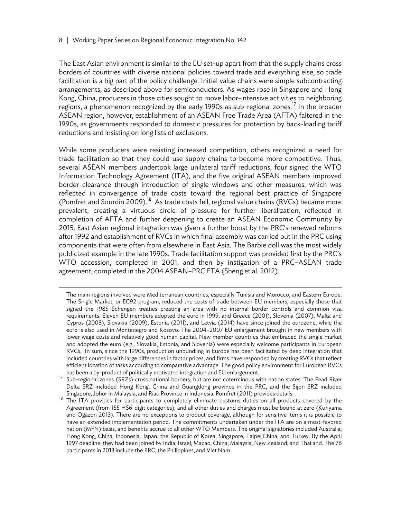$\overline{a}$ 

The East Asian environment is similar to the EU set-up apart from that the supply chains cross borders of countries with diverse national policies toward trade and everything else, so trade facilitation is a big part of the policy challenge. Initial value chains were simple subcontracting arrangements, as described above for semiconductors. As wages rose in Singapore and Hong Kong, China, producers in those cities sought to move labor-intensive activities to neighboring regions, a phenomenon recognized by the early 1990s as sub-regional zones.<sup>17</sup> In the broader ASEAN region, however, establishment of an ASEAN Free Trade Area (AFTA) faltered in the 1990s, as governments responded to domestic pressures for protection by back-loading tariff reductions and insisting on long lists of exclusions.

While some producers were resisting increased competition, others recognized a need for trade facilitation so that they could use supply chains to become more competitive. Thus, several ASEAN members undertook large unilateral tariff reductions, four signed the WTO Information Technology Agreement (ITA), and the five original ASEAN members improved border clearance through introduction of single windows and other measures, which was reflected in convergence of trade costs toward the regional best practice of Singapore (Pomfret and Sourdin 2009).<sup>18</sup> As trade costs fell, regional value chains (RVCs) became more prevalent, creating a virtuous circle of pressure for further liberalization, reflected in completion of AFTA and further deepening to create an ASEAN Economic Community by 2015. East Asian regional integration was given a further boost by the PRC's renewed reforms after 1992 and establishment of RVCs in which final assembly was carried out in the PRC using components that were often from elsewhere in East Asia. The Barbie doll was the most widely publicized example in the late 1990s. Trade facilitation support was provided first by the PRC's WTO accession, completed in 2001, and then by instigation of a PRC–ASEAN trade agreement, completed in the 2004 ASEAN–PRC FTA (Sheng et al. 2012).

The main regions involved were Mediterranean countries, especially Tunisia and Morocco, and Eastern Europe. The Single Market, or EC92 program, reduced the costs of trade between EU members, especially those that signed the 1985 Schengen treaties creating an area with no internal border controls and common visa requirements. Eleven EU members adopted the euro in 1999, and Greece (2001), Slovenia (2007), Malta and Cyprus (2008), Slovakia (2009), Estonia (2011), and Latvia (2014) have since joined the eurozone, while the euro is also used in Montenegro and Kosovo. The 2004–2007 EU enlargement brought in new members with lower wage costs and relatively good human capital. New member countries that embraced the single market and adopted the euro (e.g., Slovakia, Estonia, and Slovenia) were especially welcome participants in European RVCs. In sum, since the 1990s, production unbundling in Europe has been facilitated by deep integration that included countries with large differences in factor prices, and firms have responded by creating RVCs that reflect efficient location of tasks according to comparative advantage. The good policy environment for European RVCs

has been a by-product of politically motivated integration and EU enlargement.<br>17 Sub-regional zones (SRZs) cross national borders, but are not coterminous with nation states. The Pearl River Delta SRZ included Hong Kong, China and Guangdong province in the PRC, and the Sijori SRZ included

Singapore, Johor in Malaysia, and Riau Province in Indonesia. Pomfret (2011) provides details.<br><sup>18</sup> The ITA provides for participants to completely eliminate customs duties on all products covered by the Agreement (from 155 HS6-digit categories), and all other duties and charges must be bound at zero (Kuriyama and Ogazon 2013). There are no exceptions to product coverage, although for sensitive items it is possible to have an extended implementation period. The commitments undertaken under the ITA are on a most-favored nation (MFN) basis, and benefits accrue to all other WTO Members. The original signatories included Australia; Hong Kong, China; Indonesia; Japan; the Republic of Korea; Singapore; Taipei,China; and Turkey. By the April 1997 deadline, they had been joined by India; Israel; Macao, China; Malaysia; New Zealand; and Thailand. The 76 participants in 2013 include the PRC, the Philippines, and Viet Nam.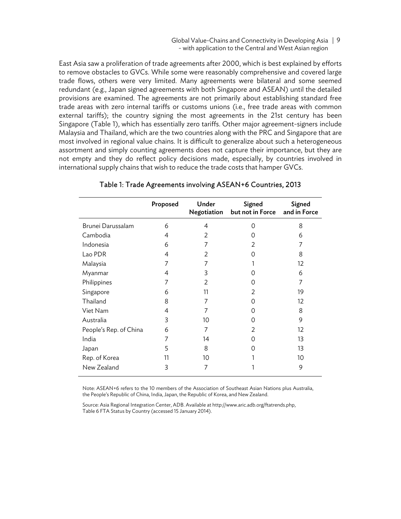Global Value-Chains and Connectivity in Developing Asia | 9 - with application to the Central and West Asian region

East Asia saw a proliferation of trade agreements after 2000, which is best explained by efforts to remove obstacles to GVCs. While some were reasonably comprehensive and covered large trade flows, others were very limited. Many agreements were bilateral and some seemed redundant (e.g., Japan signed agreements with both Singapore and ASEAN) until the detailed provisions are examined. The agreements are not primarily about establishing standard free trade areas with zero internal tariffs or customs unions (i.e., free trade areas with common external tariffs); the country signing the most agreements in the 21st century has been Singapore (Table 1), which has essentially zero tariffs. Other major agreement-signers include Malaysia and Thailand, which are the two countries along with the PRC and Singapore that are most involved in regional value chains. It is difficult to generalize about such a heterogeneous assortment and simply counting agreements does not capture their importance, but they are not empty and they do reflect policy decisions made, especially, by countries involved in international supply chains that wish to reduce the trade costs that hamper GVCs.

|                        | Proposed | Under<br>Negotiation | Signed<br>but not in Force | Signed<br>and in Force |
|------------------------|----------|----------------------|----------------------------|------------------------|
| Brunei Darussalam      | 6        | 4                    | 0                          | 8                      |
| Cambodia               | 4        | 2                    | $\left( \right)$           | 6                      |
| Indonesia              | 6        | 7                    | 2                          | 7                      |
| Lao PDR                | 4        | 2                    | 0                          | 8                      |
| Malaysia               | 7        | 7                    |                            | 12                     |
| Myanmar                | 4        | 3                    | $\left( \right)$           | 6                      |
| Philippines            | 7        | 2                    | 0                          | 7                      |
| Singapore              | 6        | 11                   | 2                          | 19                     |
| Thailand               | 8        | 7                    | $\left( \right)$           | 12                     |
| Viet Nam               | 4        | 7                    | $\left( \right)$           | 8                      |
| Australia              | 3        | 10                   | $\left( \right)$           | 9                      |
| People's Rep. of China | 6        | 7                    | $\mathcal{P}$              | 12                     |
| India                  | 7        | 14                   | $\left( \right)$           | 13                     |
| Japan                  | 5        | 8                    | 0                          | 13                     |
| Rep. of Korea          | 11       | 10                   |                            | 10                     |
| New Zealand            | 3        | 7                    |                            | 9                      |

#### Table 1: Trade Agreements involving ASEAN+6 Countries, 2013

Note: ASEAN+6 refers to the 10 members of the Association of Southeast Asian Nations plus Australia, the People's Republic of China, India, Japan, the Republic of Korea, and New Zealand.

Source: Asia Regional Integration Center, ADB. Available at http://www.aric.adb.org/ftatrends.php, Table 6 FTA Status by Country (accessed 15 January 2014).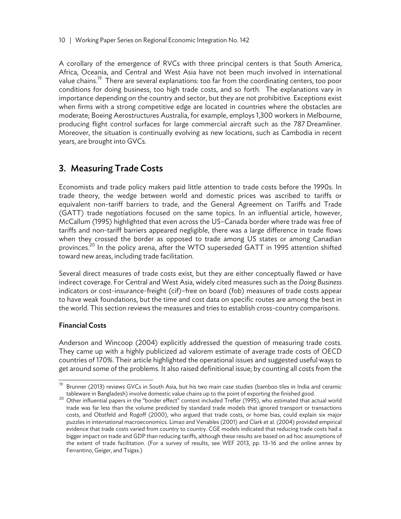A corollary of the emergence of RVCs with three principal centers is that South America, Africa, Oceania, and Central and West Asia have not been much involved in international value chains.<sup>19</sup> There are several explanations: too far from the coordinating centers, too poor conditions for doing business, too high trade costs, and so forth. The explanations vary in importance depending on the country and sector, but they are not prohibitive. Exceptions exist when firms with a strong competitive edge are located in countries where the obstacles are moderate; Boeing Aerostructures Australia, for example, employs 1,300 workers in Melbourne, producing flight control surfaces for large commercial aircraft such as the 787 Dreamliner. Moreover, the situation is continually evolving as new locations, such as Cambodia in recent years, are brought into GVCs.

# 3. Measuring Trade Costs

Economists and trade policy makers paid little attention to trade costs before the 1990s. In trade theory, the wedge between world and domestic prices was ascribed to tariffs or equivalent non-tariff barriers to trade, and the General Agreement on Tariffs and Trade (GATT) trade negotiations focused on the same topics. In an influential article, however, McCallum (1995) highlighted that even across the US–Canada border where trade was free of tariffs and non-tariff barriers appeared negligible, there was a large difference in trade flows when they crossed the border as opposed to trade among US states or among Canadian provinces.<sup>20</sup> In the policy arena, after the WTO superseded GATT in 1995 attention shifted toward new areas, including trade facilitation.

Several direct measures of trade costs exist, but they are either conceptually flawed or have indirect coverage. For Central and West Asia, widely cited measures such as the *Doing Business* indicators or cost-insurance-freight (cif)–free on board (fob) measures of trade costs appear to have weak foundations, but the time and cost data on specific routes are among the best in the world. This section reviews the measures and tries to establish cross-country comparisons.

#### Financial Costs

j

Anderson and Wincoop (2004) explicitly addressed the question of measuring trade costs. They came up with a highly publicized ad valorem estimate of average trade costs of OECD countries of 170%. Their article highlighted the operational issues and suggested useful ways to get around some of the problems. It also raised definitional issue; by counting all costs from the

Brunner (2013) reviews GVCs in South Asia, but his two main case studies (bamboo tiles in India and ceramic

tableware in Bangladesh) involve domestic value chains up to the point of exporting the finished good.<br><sup>20</sup> Other influential papers in the "border effect" context included Trefler (1995), who estimated that actual world trade was far less than the volume predicted by standard trade models that ignored transport or transactions costs, and Obstfeld and Rogoff (2000), who argued that trade costs, or home bias, could explain six major puzzles in international macroeconomics. Limao and Venables (2001) and Clark et al. (2004) provided empirical evidence that trade costs varied from country to country. CGE models indicated that reducing trade costs had a bigger impact on trade and GDP than reducing tariffs, although these results are based on ad hoc assumptions of the extent of trade facilitation. (For a survey of results, see WEF 2013, pp. 13–16 and the online annex by Ferrantino, Geiger, and Tsigas.)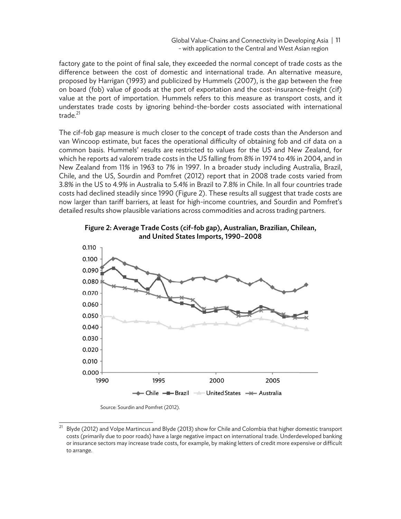Global Value-Chains and Connectivity in Developing Asia | 11 - with application to the Central and West Asian region

factory gate to the point of final sale, they exceeded the normal concept of trade costs as the difference between the cost of domestic and international trade. An alternative measure, proposed by Harrigan (1993) and publicized by Hummels (2007), is the gap between the free on board (fob) value of goods at the port of exportation and the cost-insurance-freight (cif) value at the port of importation. Hummels refers to this measure as transport costs, and it understates trade costs by ignoring behind-the-border costs associated with international trade.<sup>21</sup>

The cif-fob gap measure is much closer to the concept of trade costs than the Anderson and van Wincoop estimate, but faces the operational difficulty of obtaining fob and cif data on a common basis. Hummels' results are restricted to values for the US and New Zealand, for which he reports ad valorem trade costs in the US falling from 8% in 1974 to 4% in 2004, and in New Zealand from 11% in 1963 to 7% in 1997. In a broader study including Australia, Brazil, Chile, and the US, Sourdin and Pomfret (2012) report that in 2008 trade costs varied from Chile, and the US, Sourdin and Pomfret (2012) report that in 2008 trade costs varied from<br>3.8% in the US to 4.9% in Australia to 5.4% in Brazil to 7.8% in Chile. In all four countries trade costs had declined steadily since 1990 (Figure 2). These results all suggest that trade costs are now larger than tariff barriers, at least for high-income countries, and Sourdin and Pomfret's detailed results show plausible variations across commodities and across trading partners.



Figure 2: Average Trade Costs (cif-fob gap), Australian, Brazilian, Chilean, and United States Imports, 1990–2008

Source: Sourdin and Pomfret (2012).

j

j

j

j

 $^{21}$  Blyde (2012) and Volpe Martincus and Blyde (2013) show for Chile and Colombia that higher domestic transport costs (primarily due to poor roads) have a large negative impact on international trade. Underdeveloped banking or insurance sectors may increase trade costs, for example, by making letters of credit more expensive or difficult to a arrange.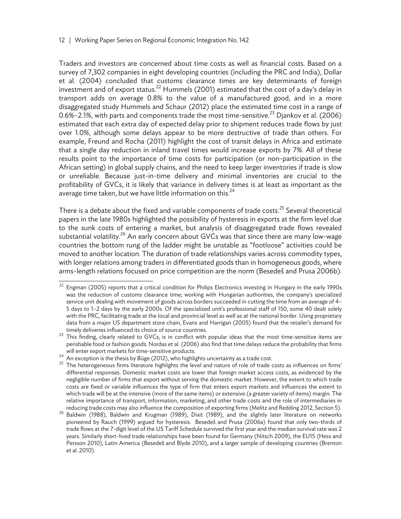Traders and investors are concerned about time costs as well as financial costs. Based on a survey of 7,302 companies in eight developing countries (including the PRC and India), Dollar et al. (2004) concluded that customs clearance times are key determinants of foreign investment and of export status.<sup>22</sup> Hummels (2001) estimated that the cost of a day's delay in transport adds on average 0.8% to the value of a manufactured good, and in a more disaggregated study Hummels and Schaur (2012) place the estimated time cost in a range of 0.6%–2.1%, with parts and components trade the most time-sensitive.<sup>23</sup> Djankov et al. (2006) estimated that each extra day of expected delay prior to shipment reduces trade flows by just over 1.0%, although some delays appear to be more destructive of trade than others. For example, Freund and Rocha (2011) highlight the cost of transit delays in Africa and estimate that a single day reduction in inland travel times would increase exports by 7%. All of these results point to the importance of time costs for participation (or non-participation in the African setting) in global supply chains, and the need to keep larger inventories if trade is slow or unreliable. Because just-in-time delivery and minimal inventories are crucial to the profitability of GVCs, it is likely that variance in delivery times is at least as important as the average time taken, but we have little information on this. $^{24}$ 

There is a debate about the fixed and variable components of trade costs.<sup>25</sup> Several theoretical papers in the late 1980s highlighted the possibility of hysteresis in exports at the firm level due to the sunk costs of entering a market, but analysis of disaggregated trade flows revealed substantial volatility.<sup>26</sup> An early concern about GVCs was that since there are many low-wage countries the bottom rung of the ladder might be unstable as "footloose" activities could be moved to another location. The duration of trade relationships varies across commodity types, with longer relations among traders in differentiated goods than in homogeneous goods, where arms-length relations focused on price competition are the norm (Besedeš and Prusa 2006b).

 $\overline{a^2}$  Engman (2005) reports that a critical condition for Philips Electronics investing in Hungary in the early 1990s was the reduction of customs clearance time; working with Hungarian authorities, the company's specialized service unit dealing with movement of goods across borders succeeded in cutting the time from an average of 4– 5 days to 1–2 days by the early 2000s. Of the specialized unit's professional staff of 150, some 40 dealt solely with the PRC, facilitating trade at the local and provincial level as well as at the national border. Using proprietary data from a major US department store chain, Evans and Harrigan (2005) found that the retailer's demand for

timely deliveries influenced its choice of source countries.<br><sup>23</sup> This finding, clearly related to GVCs, is in conflict with popular ideas that the most time-sensitive items are perishable food or fashion goods. Nordas et al. (2006) also find that time delays reduce the probability that firms

will enter export markets for time-sensitive products.<br><sup>24</sup> An exception is the thesis by Büge (2012), who highlights uncertainty as a trade cost.<br><sup>25</sup> The heterogeneous firms literature highlights the level and nature of differential responses. Domestic market costs are lower that foreign market access costs, as evidenced by the negligible number of firms that export without serving the domestic market. However, the extent to which trade costs are fixed or variable influences the type of firm that enters export markets and influences the extent to which trade will be at the intensive (more of the same items) or extensive (a greater variety of items) margin. The relative importance of transport, information, marketing, and other trade costs and the role of intermediaries in

reducing trade costs may also influence the composition of exporting firms (Melitz and Redding 2012, Section 5).<br><sup>26</sup> Baldwin (1988), Baldwin and Krugman (1989), Dixit (1989), and the slightly later literature on networks pioneered by Rauch (1999) argued for hysteresis. Besedeš and Prusa (2006a) found that only two-thirds of trade flows at the 7-digit level of the US Tariff Schedule survived the first year and the median survival rate was 2 years. Similarly short-lived trade relationships have been found for Germany (Nitsch 2009), the EU15 (Hess and Persson 2010), Latin America (Besedeš and Blyde 2010), and a larger sample of developing countries (Brenton et al. 2010).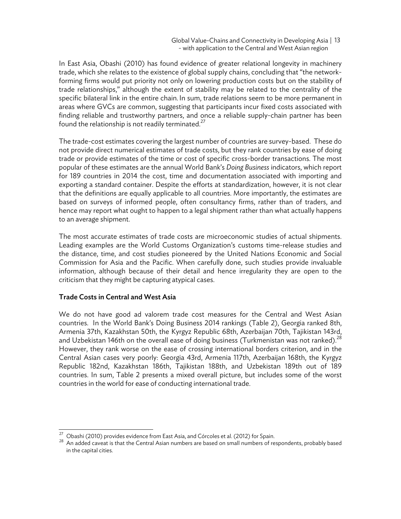Global Value-Chains and Connectivity in Developing Asia | 13 - with application to the Central and West Asian region

In East Asia, Obashi (2010) has found evidence of greater relational longevity in machinery trade, which she relates to the existence of global supply chains, concluding that "the networkforming firms would put priority not only on lowering production costs but on the stability of trade relationships," although the extent of stability may be related to the centrality of the specific bilateral link in the entire chain. In sum, trade relations seem to be more permanent in areas where GVCs are common, suggesting that participants incur fixed costs associated with finding reliable and trustworthy partners, and once a reliable supply-chain partner has been found the relationship is not readily terminated. $27$ 

The trade-cost estimates covering the largest number of countries are survey-based. These do not provide direct numerical estimates of trade costs, but they rank countries by ease of doing trade or provide estimates of the time or cost of specific cross-border transactions. The most popular of these estimates are the annual World Bank's *Doing Business* indicators, which report for 189 countries in 2014 the cost, time and documentation associated with importing and exporting a standard container. Despite the efforts at standardization, however, it is not clear that the definitions are equally applicable to all countries. More importantly, the estimates are based on surveys of informed people, often consultancy firms, rather than of traders, and hence may report what ought to happen to a legal shipment rather than what actually happens to an average shipment.

The most accurate estimates of trade costs are microeconomic studies of actual shipments. Leading examples are the World Customs Organization's customs time-release studies and the distance, time, and cost studies pioneered by the United Nations Economic and Social Commission for Asia and the Pacific. When carefully done, such studies provide invaluable information, although because of their detail and hence irregularity they are open to the criticism that they might be capturing atypical cases.

#### Trade Costs in Central and West Asia

We do not have good ad valorem trade cost measures for the Central and West Asian countries. In the World Bank's Doing Business 2014 rankings (Table 2), Georgia ranked 8th, Armenia 37th, Kazakhstan 50th, the Kyrgyz Republic 68th, Azerbaijan 70th, Tajikistan 143rd, and Uzbekistan 146th on the overall ease of doing business (Turkmenistan was not ranked). $^{28}$ However, they rank worse on the ease of crossing international borders criterion, and in the Central Asian cases very poorly: Georgia 43rd, Armenia 117th, Azerbaijan 168th, the Kyrgyz Republic 182nd, Kazakhstan 186th, Tajikistan 188th, and Uzbekistan 189th out of 189 countries. In sum, Table 2 presents a mixed overall picture, but includes some of the worst countries in the world for ease of conducting international trade.

<sup>&</sup>lt;sup>27</sup> Obashi (2010) provides evidence from East Asia, and Córcoles et al. (2012) for Spain.

<sup>&</sup>lt;sup>28</sup> An added caveat is that the Central Asian numbers are based on small numbers of respondents, probably based in the capital cities.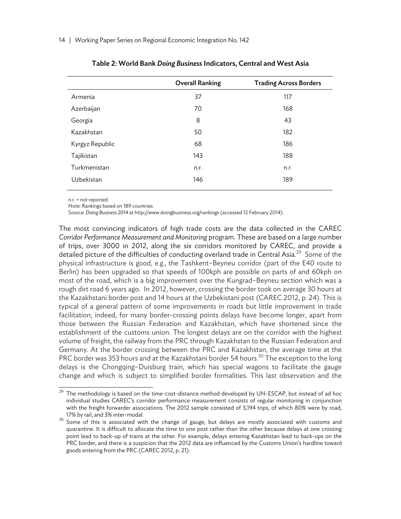|                 | <b>Overall Ranking</b> | <b>Trading Across Borders</b> |
|-----------------|------------------------|-------------------------------|
| Armenia         | 37                     | 117                           |
| Azerbaijan      | 70                     | 168                           |
| Georgia         | 8                      | 43                            |
| Kazakhstan      | 50                     | 182                           |
| Kyrgyz Republic | 68                     | 186                           |
| Tajikistan      | 143                    | 188                           |
| Turkmenistan    | n.r.                   | n.r.                          |
| Uzbekistan      | 146                    | 189                           |
|                 |                        |                               |

n.r. = not reported.

Note: Rankings based on 189 countries.

Source: *Doing Business 2014* at http://www.doingbusiness.org/rankings (accessed 12 February 2014).

The most convincing indicators of high trade costs are the data collected in the CAREC *Corridor Performance Measurement and Monitoring* program. These are based on a large number of trips, over 3000 in 2012, along the six corridors monitored by CAREC, and provide a detailed picture of the difficulties of conducting overland trade in Central Asia.<sup>29</sup> Some of the physical infrastructure is good, e.g., the Tashkent–Beyneu corridor (part of the E40 route to Berlin) has been upgraded so that speeds of 100kph are possible on parts of and 60kph on most of the road, which is a big improvement over the Kungrad–Beyneu section which was a rough dirt road 6 years ago. In 2012, however, crossing the border took on average 30 hours at the Kazakhstani border post and 14 hours at the Uzbekistani post (CAREC 2012, p. 24). This is typical of a general pattern of some improvements in roads but little improvement in trade facilitation; indeed, for many border-crossing points delays have become longer, apart from those between the Russian Federation and Kazakhstan, which have shortened since the establishment of the customs union. The longest delays are on the corridor with the highest volume of freight, the railway from the PRC through Kazakhstan to the Russian Federation and Germany. At the border crossing between the PRC and Kazakhstan, the average time at the PRC border was 353 hours and at the Kazakhstani border 54 hours.<sup>30</sup> The exception to the long delays is the Chongqing–Duisburg train, which has special wagons to facilitate the gauge change and which is subject to simplified border formalities. This last observation and the

<sup>29</sup> The methodology is based on the time-cost-distance method developed by UN-ESCAP, but instead of ad hoc individual studies CAREC's corridor performance measurement consists of regular monitoring in conjunction with the freight forwarder associations. The 2012 sample consisted of 3,194 trips, of which 80% were by road,

<sup>17%</sup> by rail, and 3% inter-modal.<br><sup>30</sup> Some of this is associated with the change of gauge, but delays are mostly associated with customs and quarantine. It is difficult to allocate the time to one post rather than the other because delays at one crossing point lead to back-up of trains at the other. For example, delays entering Kazakhstan lead to back-ups on the PRC border, and there is a suspicion that the 2012 data are influenced by the Customs Union's hardline toward goods entering from the PRC (CAREC 2012, p. 21).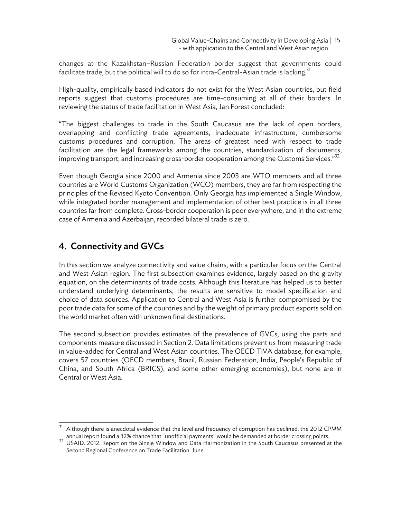changes at the Kazakhstan–Russian Federation border suggest that governments could facilitate trade, but the political will to do so for intra-Central-Asian trade is lacking.<sup>31</sup>

High-quality, empirically based indicators do not exist for the West Asian countries, but field reports suggest that customs procedures are time-consuming at all of their borders. In reviewing the status of trade facilitation in West Asia, Jan Forest concluded:

"The biggest challenges to trade in the South Caucasus are the lack of open borders, overlapping and conflicting trade agreements, inadequate infrastructure, cumbersome customs procedures and corruption. The areas of greatest need with respect to trade facilitation are the legal frameworks among the countries, standardization of documents, improving transport, and increasing cross-border cooperation among the Customs Services." $32$ 

Even though Georgia since 2000 and Armenia since 2003 are WTO members and all three countries are World Customs Organization (WCO) members, they are far from respecting the principles of the Revised Kyoto Convention. Only Georgia has implemented a Single Window, while integrated border management and implementation of other best practice is in all three countries far from complete. Cross-border cooperation is poor everywhere, and in the extreme case of Armenia and Azerbaijan, recorded bilateral trade is zero.

# 4. Connectivity and GVCs

In this section we analyze connectivity and value chains, with a particular focus on the Central and West Asian region. The first subsection examines evidence, largely based on the gravity equation, on the determinants of trade costs. Although this literature has helped us to better understand underlying determinants, the results are sensitive to model specification and choice of data sources. Application to Central and West Asia is further compromised by the poor trade data for some of the countries and by the weight of primary product exports sold on the world market often with unknown final destinations.

The second subsection provides estimates of the prevalence of GVCs, using the parts and components measure discussed in Section 2. Data limitations prevent us from measuring trade in value-added for Central and West Asian countries. The OECD TiVA database, for example, covers 57 countries (OECD members, Brazil, Russian Federation, India, People's Republic of China, and South Africa (BRICS), and some other emerging economies), but none are in Central or West Asia.

 $\overline{a}^3$  Although there is anecdotal evidence that the level and frequency of corruption has declined, the 2012 CPMM

annual report found a 32% chance that "unofficial payments" would be demanded at border crossing points.<br><sup>32</sup> USAID. 2012. Report on the Single Window and Data Harmonization in the South Caucasus presented at the Second Regional Conference on Trade Facilitation. June.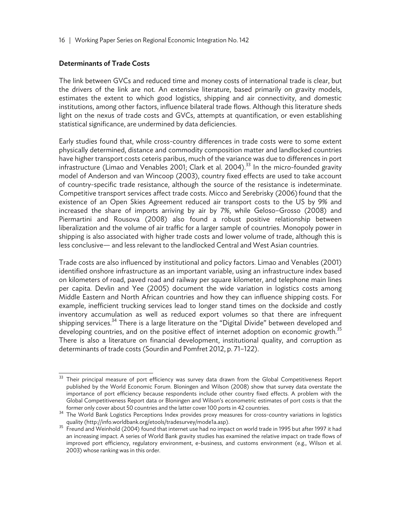#### Determinants of Trade Costs

j

The link between GVCs and reduced time and money costs of international trade is clear, but the drivers of the link are not. An extensive literature, based primarily on gravity models, estimates the extent to which good logistics, shipping and air connectivity, and domestic institutions, among other factors, influence bilateral trade flows. Although this literature sheds light on the nexus of trade costs and GVCs, attempts at quantification, or even establishing statistical significance, are undermined by data deficiencies.

Early studies found that, while cross-country differences in trade costs were to some extent physically determined, distance and commodity composition matter and landlocked countries have higher transport costs ceteris paribus, much of the variance was due to differences in port infrastructure (Limao and Venables 2001; Clark et al. 2004).<sup>33</sup> In the micro-founded gravity model of Anderson and van Wincoop (2003), country fixed effects are used to take account of country-specific trade resistance, although the source of the resistance is indeterminate. Competitive transport services affect trade costs. Micco and Serebrisky (2006)found that the existence of an Open Skies Agreement reduced air transport costs to the US by 9% and increased the share of imports arriving by air by 7%, while Geloso–Grosso (2008) and Piermartini and Rousova (2008) also found a robust positive relationship between liberalization and the volume of air traffic for a larger sample of countries. Monopoly power in shipping is also associated with higher trade costs and lower volume of trade, although this is less conclusive— and less relevant to the landlocked Central and West Asian countries.

Trade costs are also influenced by institutional and policy factors. Limao and Venables (2001) identified onshore infrastructure as an important variable, using an infrastructure index based on kilometers of road, paved road and railway per square kilometer, and telephone main lines per capita. Devlin and Yee (2005) document the wide variation in logistics costs among Middle Eastern and North African countries and how they can influence shipping costs. For example, inefficient trucking services lead to longer stand times on the dockside and costly inventory accumulation as well as reduced export volumes so that there are infrequent shipping services.<sup>34</sup> There is a large literature on the "Digital Divide" between developed and developing countries, and on the positive effect of internet adoption on economic growth.<sup>35</sup> There is also a literature on financial development, institutional quality, and corruption as determinants of trade costs (Sourdin and Pomfret 2012, p. 71–122).

Their principal measure of port efficiency was survey data drawn from the Global Competitiveness Report published by the World Economic Forum. Bloningen and Wilson (2008) show that survey data overstate the importance of port efficiency because respondents include other country fixed effects. A problem with the Global Competitiveness Report data or Bloningen and Wilson's econometric estimates of port costs is that the

former only cover about 50 countries and the latter cover 100 ports in 42 countries.<br><sup>34</sup> The World Bank Logistics Perceptions Index provides proxy measures for cross-country variations in logistics<br>quality (http://info.wo

quality (http://info.worldbank.org/etools/tradesurvey/modelia.asp). 35 Freund and Weinhold (2004) found that internet use had no impact on world trade in 1995 but after 1997 it had an increasing impact. A series of World Bank gravity studies has examined the relative impact on trade flows of improved port efficiency, regulatory environment, e-business, and customs environment (e.g., Wilson et al. 2003) whose ranking was in this order.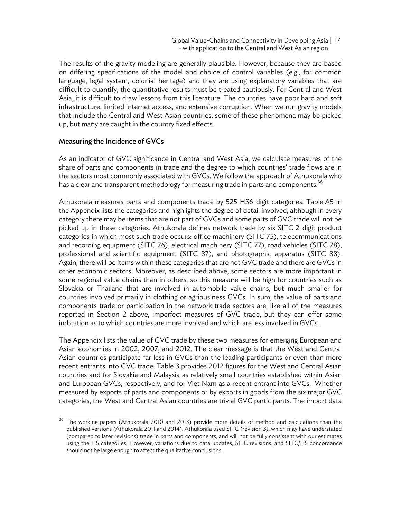The results of the gravity modeling are generally plausible. However, because they are based on differing specifications of the model and choice of control variables (e.g., for common language, legal system, colonial heritage) and they are using explanatory variables that are difficult to quantify, the quantitative results must be treated cautiously. For Central and West Asia, it is difficult to draw lessons from this literature. The countries have poor hard and soft infrastructure, limited internet access, and extensive corruption. When we run gravity models that include the Central and West Asian countries, some of these phenomena may be picked up, but many are caught in the country fixed effects.

#### Measuring the Incidence of GVCs

As an indicator of GVC significance in Central and West Asia, we calculate measures of the share of parts and components in trade and the degree to which countries' trade flows are in the sectors most commonly associated with GVCs. We follow the approach of Athukorala who has a clear and transparent methodology for measuring trade in parts and components.<sup>36</sup>

Athukorala measures parts and components trade by 525 HS6-digit categories. Table A5 in the Appendix lists the categories and highlights the degree of detail involved, although in every category there may be items that are not part of GVCs and some parts of GVC trade will not be picked up in these categories. Athukorala defines network trade by six SITC 2-digit product categories in which most such trade occurs: office machinery (SITC 75), telecommunications and recording equipment (SITC 76), electrical machinery (SITC 77), road vehicles (SITC 78), professional and scientific equipment (SITC 87), and photographic apparatus (SITC 88). Again, there will be items within these categories that are not GVC trade and there are GVCs in other economic sectors. Moreover, as described above, some sectors are more important in some regional value chains than in others, so this measure will be high for countries such as Slovakia or Thailand that are involved in automobile value chains, but much smaller for countries involved primarily in clothing or agribusiness GVCs. In sum, the value of parts and components trade or participation in the network trade sectors are, like all of the measures reported in Section 2 above, imperfect measures of GVC trade, but they can offer some indication as to which countries are more involved and which are less involved in GVCs.

The Appendix lists the value of GVC trade by these two measures for emerging European and Asian economies in 2002, 2007, and 2012. The clear message is that the West and Central Asian countries participate far less in GVCs than the leading participants or even than more recent entrants into GVC trade. Table 3 provides 2012 figures for the West and Central Asian countries and for Slovakia and Malaysia as relatively small countries established within Asian and European GVCs, respectively, and for Viet Nam as a recent entrant into GVCs. Whether measured by exports of parts and components or by exports in goods from the six major GVC categories, the West and Central Asian countries are trivial GVC participants. The import data

 $\overline{\phantom{1}^{36}}$  The working papers (Athukorala 2010 and 2013) provide more details of method and calculations than the published versions (Athukorala 2011 and 2014). Athukorala used SITC (revision 3), which may have understated (compared to later revisions) trade in parts and components, and will not be fully consistent with our estimates using the HS categories. However, variations due to data updates, SITC revisions, and SITC/HS concordance should not be large enough to affect the qualitative conclusions.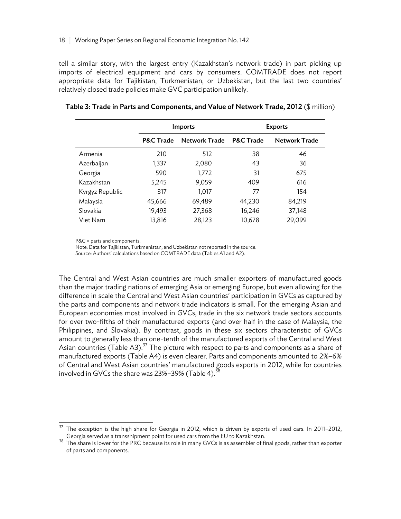tell a similar story, with the largest entry (Kazakhstan's network trade) in part picking up imports of electrical equipment and cars by consumers. COMTRADE does not report appropriate data for Tajikistan, Turkmenistan, or Uzbekistan, but the last two countries' relatively closed trade policies make GVC participation unlikely.

|                 | Imports              |               | <b>Exports</b>       |                      |  |
|-----------------|----------------------|---------------|----------------------|----------------------|--|
|                 | <b>P&amp;C Trade</b> | Network Trade | <b>P&amp;C Trade</b> | <b>Network Trade</b> |  |
| Armenia         | 210                  | 512           | 38                   | 46                   |  |
| Azerbaijan      | 1,337                | 2,080         | 43                   | 36                   |  |
| Georgia         | 590                  | 1,772         | 31                   | 675                  |  |
| Kazakhstan      | 5,245                | 9,059         | 409                  | 616                  |  |
| Kyrgyz Republic | 317                  | 1,017         | 77                   | 154                  |  |
| Malaysia        | 45,666               | 69,489        | 44,230               | 84,219               |  |
| Slovakia        | 19,493               | 27,368        | 16,246               | 37,148               |  |
| Viet Nam        | 13,816               | 28,123        | 10,678               | 29,099               |  |

#### Table 3: Trade in Parts and Components, and Value of Network Trade, 2012 (\$ million)

P&C = parts and components.

1

Note: Data for Tajikistan, Turkmenistan, and Uzbekistan not reported in the source.

Source: Authors' calculations based on COMTRADE data (Tables A1 and A2).

The Central and West Asian countries are much smaller exporters of manufactured goods than the major trading nations of emerging Asia or emerging Europe, but even allowing for the difference in scale the Central and West Asian countries' participation in GVCs as captured by the parts and components and network trade indicators is small. For the emerging Asian and European economies most involved in GVCs, trade in the six network trade sectors accounts for over two-fifths of their manufactured exports (and over half in the case of Malaysia, the Philippines, and Slovakia). By contrast, goods in these six sectors characteristic of GVCs amount to generally less than one-tenth of the manufactured exports of the Central and West Asian countries (Table A3).<sup>37</sup> The picture with respect to parts and components as a share of manufactured exports (Table A4) is even clearer. Parts and components amounted to 2%–6% of Central and West Asian countries' manufactured goods exports in 2012, while for countries involved in GVCs the share was  $23\% - 39\%$  (Table 4).<sup>38</sup>

The exception is the high share for Georgia in 2012, which is driven by exports of used cars. In 2011-2012, Georgia served as a transshipment point for used cars from the EU to Kazakhstan.

 $38$  The share is lower for the PRC because its role in many GVCs is as assembler of final goods, rather than exporter of parts and components.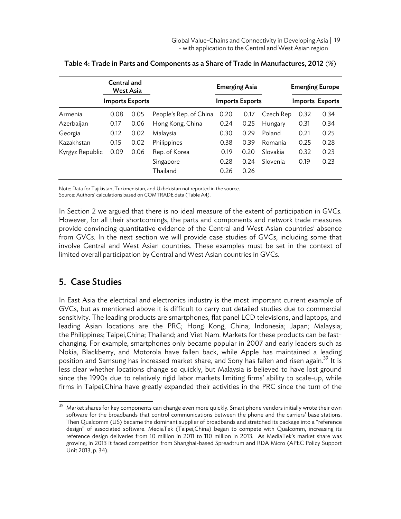|                 | Central and<br>West Asia |                        |                        | <b>Emerging Asia</b>   |      |           | <b>Emerging Europe</b> |                 |
|-----------------|--------------------------|------------------------|------------------------|------------------------|------|-----------|------------------------|-----------------|
|                 |                          | <b>Imports Exports</b> |                        | <b>Imports Exports</b> |      |           |                        | Imports Exports |
| Armenia         | 0.08                     | 0.05                   | People's Rep. of China | 0.20                   | 0.17 | Czech Rep | 0.32                   | 0.34            |
| Azerbaijan      | 0.17                     | 0.06                   | Hong Kong, China       | 0.24                   | 0.25 | Hungary   | 0.31                   | 0.34            |
| Georgia         | 0.12                     | 0.02                   | Malaysia               | 0.30                   | 0.29 | Poland    | 0.21                   | 0.25            |
| Kazakhstan      | 0.15                     | 0.02                   | Philippines            | 0.38                   | 0.39 | Romania   | 0.25                   | 0.28            |
| Kyrgyz Republic | 0.09                     | 0.06                   | Rep. of Korea          | 0.19                   | 0.20 | Slovakia  | 0.32                   | 0.23            |
|                 |                          |                        | Singapore              | 0.28                   | 0.24 | Slovenia  | 0.19                   | 0.23            |
|                 |                          |                        | Thailand               | 0.26                   | 0.26 |           |                        |                 |

|  | Table 4: Trade in Parts and Components as a Share of Trade in Manufactures, 2012 $(\%)$ |
|--|-----------------------------------------------------------------------------------------|
|--|-----------------------------------------------------------------------------------------|

Note: Data for Tajikistan, Turkmenistan, and Uzbekistan not reported in the source. Source: Authors' calculations based on COMTRADE data (Table A4).

In Section 2 we argued that there is no ideal measure of the extent of participation in GVCs. However, for all their shortcomings, the parts and components and network trade measures provide convincing quantitative evidence of the Central and West Asian countries' absence from GVCs. In the next section we will provide case studies of GVCs, including some that involve Central and West Asian countries. These examples must be set in the context of limited overall participation by Central and West Asian countries in GVCs.

# 5. Case Studies

In East Asia the electrical and electronics industry is the most important current example of GVCs, but as mentioned above it is difficult to carry out detailed studies due to commercial sensitivity. The leading products are smartphones, flat panel LCD televisions, and laptops, and leading Asian locations are the PRC; Hong Kong, China; Indonesia; Japan; Malaysia; the Philippines; Taipei,China; Thailand; and Viet Nam. Markets for these products can be fastchanging. For example, smartphones only became popular in 2007 and early leaders such as Nokia, Blackberry, and Motorola have fallen back, while Apple has maintained a leading position and Samsung has increased market share, and Sony has fallen and risen again.<sup>39</sup> It is less clear whether locations change so quickly, but Malaysia is believed to have lost ground since the 1990s due to relatively rigid labor markets limiting firms' ability to scale-up, while firms in Taipei,China have greatly expanded their activities in the PRC since the turn of the

 $39\,$ 39 Market shares for key components can change even more quickly. Smart phone vendors initially wrote their own software for the broadbands that control communications between the phone and the carriers' base stations. Then Qualcomm (US) became the dominant supplier of broadbands and stretched its package into a "reference design" of associated software. MediaTek (Taipei,China) began to compete with Qualcomm, increasing its reference design deliveries from 10 million in 2011 to 110 million in 2013. As MediaTek's market share was growing, in 2013 it faced competition from Shanghai-based Spreadtrum and RDA Micro (APEC Policy Support Unit 2013, p. 34).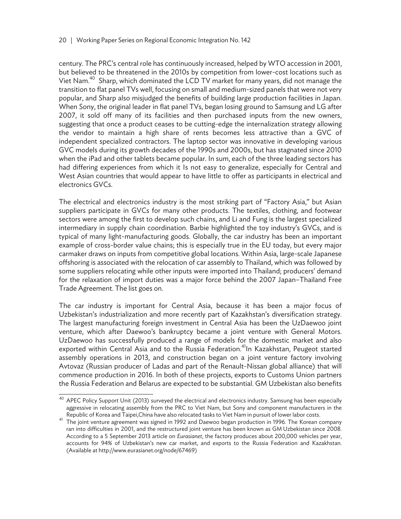century. The PRC's central role has continuously increased, helped by WTO accession in 2001, but believed to be threatened in the 2010s by competition from lower-cost locations such as Viet Nam.<sup>40</sup> Sharp, which dominated the LCD TV market for many years, did not manage the transition to flat panel TVs well, focusing on small and medium-sized panels that were not very popular, and Sharp also misjudged the benefits of building large production facilities in Japan. When Sony, the original leader in flat panel TVs, began losing ground to Samsung and LG after 2007, it sold off many of its facilities and then purchased inputs from the new owners, suggesting that once a product ceases to be cutting-edge the internalization strategy allowing the vendor to maintain a high share of rents becomes less attractive than a GVC of independent specialized contractors. The laptop sector was innovative in developing various GVC models during its growth decades of the 1990s and 2000s, but has stagnated since 2010 when the iPad and other tablets became popular. In sum, each of the three leading sectors has had differing experiences from which it Is not easy to generalize, especially for Central and West Asian countries that would appear to have little to offer as participants in electrical and electronics GVCs.

The electrical and electronics industry is the most striking part of "Factory Asia," but Asian suppliers participate in GVCs for many other products. The textiles, clothing, and footwear sectors were among the first to develop such chains, and Li and Fung is the largest specialized intermediary in supply chain coordination. Barbie highlighted the toy industry's GVCs, and is typical of many light-manufacturing goods. Globally, the car industry has been an important example of cross-border value chains; this is especially true in the EU today, but every major carmaker draws on inputs from competitive global locations. Within Asia, large-scale Japanese offshoring is associated with the relocation of car assembly to Thailand, which was followed by some suppliers relocating while other inputs were imported into Thailand; producers' demand for the relaxation of import duties was a major force behind the 2007 Japan–Thailand Free Trade Agreement. The list goes on.

The car industry is important for Central Asia, because it has been a major focus of Uzbekistan's industrialization and more recently part of Kazakhstan's diversification strategy. The largest manufacturing foreign investment in Central Asia has been the UzDaewoo joint venture, which after Daewoo's bankruptcy became a joint venture with General Motors. UzDaewoo has successfully produced a range of models for the domestic market and also exported within Central Asia and to the Russia Federation.<sup>41</sup>In Kazakhstan, Peugeot started assembly operations in 2013, and construction began on a joint venture factory involving Avtovaz (Russian producer of Ladas and part of the Renault-Nissan global alliance) that will commence production in 2016. In both of these projects, exports to Customs Union partners the Russia Federation and Belarus are expected to be substantial. GM Uzbekistan also benefits

<sup>40</sup> APEC Policy Support Unit (2013) surveyed the electrical and electronics industry. Samsung has been especially aggressive in relocating assembly from the PRC to Viet Nam, but Sony and component manufacturers in the

Republic of Korea and Taipei,China have also relocated tasks to Viet Nam in pursuit of lower labor costs.<br><sup>41</sup> The joint venture agreement was signed in 1992 and Daewoo began production in 1996. The Korean company ran into difficulties in 2001, and the restructured joint venture has been known as GM Uzbekistan since 2008. According to a 5 September 2013 article on *Eurasianet*, the factory produces about 200,000 vehicles per year, accounts for 94% of Uzbekistan's new car market, and exports to the Russia Federation and Kazakhstan. (Available at http://www.eurasianet.org/node/67469)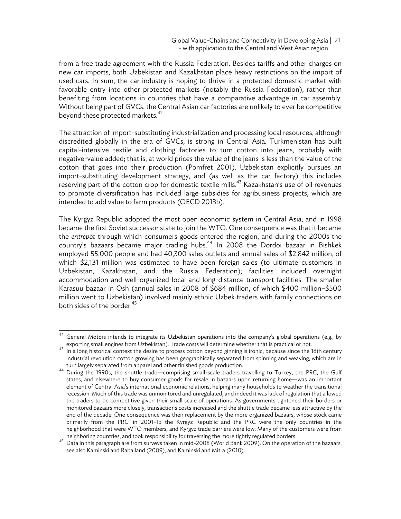from a free trade agreement with the Russia Federation. Besides tariffs and other charges on new car imports, both Uzbekistan and Kazakhstan place heavy restrictions on the import of used cars. In sum, the car industry is hoping to thrive in a protected domestic market with favorable entry into other protected markets (notably the Russia Federation), rather than benefiting from locations in countries that have a comparative advantage in car assembly. Without being part of GVCs, the Central Asian car factories are unlikely to ever be competitive beyond these protected markets.<sup>42</sup>

The attraction of import-substituting industrialization and processing local resources, although discredited globally in the era of GVCs, is strong in Central Asia. Turkmenistan has built capital-intensive textile and clothing factories to turn cotton into jeans, probably with negative-value added; that is, at world prices the value of the jeans is less than the value of the cotton that goes into their production (Pomfret 2001). Uzbekistan explicitly pursues an import-substituting development strategy, and (as well as the car factory) this includes reserving part of the cotton crop for domestic textile mills.<sup>43</sup> Kazakhstan's use of oil revenues to promote diversification has included large subsidies for agribusiness projects, which are intended to add value to farm products (OECD 2013b).

The Kyrgyz Republic adopted the most open economic system in Central Asia, and in 1998 became the first Soviet successor state to join the WTO. One consequence was that it became the *entrepôt* through which consumers goods entered the region, and during the 2000s the country's bazaars became major trading hubs.<sup>44</sup> In 2008 the Dordoi bazaar in Bishkek employed 55,000 people and had 40,300 sales outlets and annual sales of \$2,842 million, of which \$2,131 million was estimated to have been foreign sales (to ultimate customers in Uzbekistan, Kazakhstan, and the Russia Federation); facilities included overnight accommodation and well-organized local and long-distance transport facilities. The smaller Karasuu bazaar in Osh (annual sales in 2008 of \$684 million, of which \$400 million–\$500 million went to Uzbekistan) involved mainly ethnic Uzbek traders with family connections on both sides of the border.<sup>45</sup>

1

General Motors intends to integrate its Uzbekistan operations into the company's global operations (e.g., by

exporting small engines from Uzbekistan). Trade costs will determine whether that is practical or not.<br><sup>43</sup> In a long historical context the desire to process cotton beyond ginning is ironic, because since the 18th centur industrial revolution cotton growing has been geographically separated from spinning and weaving, which are in

turn largely separated from apparel and other finished goods production. 44 During the 1990s, the shuttle trade—comprising small-scale traders travelling to Turkey, the PRC, the Gulf states, and elsewhere to buy consumer goods for resale in bazaars upon returning home—was an important element of Central Asia's international economic relations, helping many households to weather the transitional recession. Much of this trade was unmonitored and unregulated, and indeed it was lack of regulation that allowed the traders to be competitive given their small scale of operations. As governments tightened their borders or monitored bazaars more closely, transactions costs increased and the shuttle trade became less attractive by the end of the decade. One consequence was their replacement by the more organized bazaars, whose stock came primarily from the PRC: in 2001–13 the Kyrgyz Republic and the PRC were the only countries in the neighborhood that were WTO members, and Kyrgyz trade barriers were low. Many of the customers were from

neighboring countries, and took responsibility for traversing the more tightly regulated borders. 45 Data in this paragraph are from surveys taken in mid-2008 (World Bank 2009). On the operation of the bazaars, see also Kaminski and Raballand (2009), and Kaminski and Mitra (2010).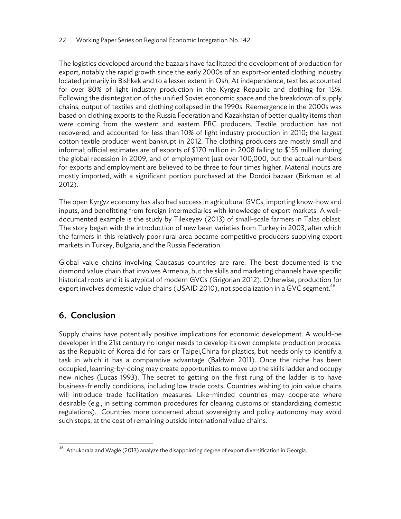The logistics developed around the bazaars have facilitated the development of production for export, notably the rapid growth since the early 2000s of an export-oriented clothing industry located primarily in Bishkek and to a lesser extent in Osh. At independence, textiles accounted for over 80% of light industry production in the Kyrgyz Republic and clothing for 15%. Following the disintegration of the unified Soviet economic space and the breakdown of supply chains, output of textiles and clothing collapsed in the 1990s. Reemergence in the 2000s was based on clothing exports to the Russia Federation and Kazakhstan of better quality items than were coming from the western and eastern PRC producers. Textile production has not recovered, and accounted for less than 10% of light industry production in 2010; the largest cotton textile producer went bankrupt in 2012. The clothing producers are mostly small and informal; official estimates are of exports of \$170 million in 2008 falling to \$155 million during the global recession in 2009, and of employment just over 100,000, but the actual numbers for exports and employment are believed to be three to four times higher. Material inputs are mostly imported, with a significant portion purchased at the Dordoi bazaar (Birkman et al. 2012).

The open Kyrgyz economy has also had success in agricultural GVCs, importing know-how and inputs, and benefitting from foreign intermediaries with knowledge of export markets. A welldocumented example is the study by Tilekeyev (2013) of small-scale farmers in Talas oblast. The story began with the introduction of new bean varieties from Turkey in 2003, after which the farmers in this relatively poor rural area became competitive producers supplying export markets in Turkey, Bulgaria, and the Russia Federation.

Global value chains involving Caucasus countries are rare. The best documented is the diamond value chain that involves Armenia, but the skills and marketing channels have specific historical roots and it is atypical of modern GVCs (Grigorian 2012). Otherwise, production for export involves domestic value chains (USAID 2010), not specialization in a GVC segment.<sup>46</sup>

# 6. Conclusion

Supply chains have potentially positive implications for economic development. A would-be developer in the 21st century no longer needs to develop its own complete production process, as the Republic of Korea did for cars or Taipei,China for plastics, but needs only to identify a task in which it has a comparative advantage (Baldwin 2011). Once the niche has been occupied, learning-by-doing may create opportunities to move up the skills ladder and occupy new niches (Lucas 1993). The secret to getting on the first rung of the ladder is to have business-friendly conditions, including low trade costs. Countries wishing to join value chains will introduce trade facilitation measures. Like-minded countries may cooperate where desirable (e.g., in setting common procedures for clearing customs or standardizing domestic regulations). Countries more concerned about sovereignty and policy autonomy may avoid such steps, at the cost of remaining outside international value chains.

 46 Athukorala and Waglé (2013) analyze the disappointing degree of export diversification in Georgia.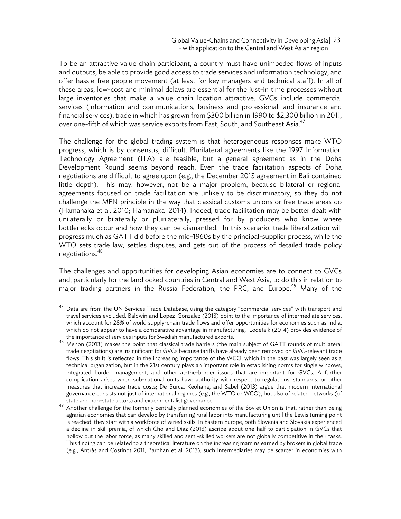To be an attractive value chain participant, a country must have unimpeded flows of inputs and outputs, be able to provide good access to trade services and information technology, and offer hassle-free people movement (at least for key managers and technical staff). In all of these areas, low-cost and minimal delays are essential for the just-in time processes without large inventories that make a value chain location attractive. GVCs include commercial services (information and communications, business and professional, and insurance and financial services), trade in which has grown from \$300 billion in 1990 to \$2,300 billion in 2011, over one-fifth of which was service exports from East, South, and Southeast Asia.<sup>47</sup>

The challenge for the global trading system is that heterogeneous responses make WTO progress, which is by consensus, difficult. Plurilateral agreements like the 1997 Information Technology Agreement (ITA) are feasible, but a general agreement as in the Doha Development Round seems beyond reach. Even the trade facilitation aspects of Doha negotiations are difficult to agree upon (e.g., the December 2013 agreement in Bali contained little depth). This may, however, not be a major problem, because bilateral or regional agreements focused on trade facilitation are unlikely to be discriminatory, so they do not challenge the MFN principle in the way that classical customs unions or free trade areas do (Hamanaka et al. 2010; Hamanaka 2014). Indeed, trade facilitation may be better dealt with unilaterally or bilaterally or plurilaterally, pressed for by producers who know where bottlenecks occur and how they can be dismantled. In this scenario, trade liberalization will progress much as GATT did before the mid-1960s by the principal-supplier process, while the WTO sets trade law, settles disputes, and gets out of the process of detailed trade policy negotiations.<sup>48</sup>

The challenges and opportunities for developing Asian economies are to connect to GVCs and, particularly for the landlocked countries in Central and West Asia, to do this in relation to major trading partners in the Russia Federation, the PRC, and Europe.<sup>49</sup> Many of the

 $47\,$ Data are from the UN Services Trade Database, using the category "commercial services" with transport and travel services excluded. Baldwin and Lopez-Gonzalez (2013) point to the importance of intermediate services, which account for 28% of world supply-chain trade flows and offer opportunities for economies such as India, which do not appear to have a comparative advantage in manufacturing. Lodefalk (2014) provides evidence of

the importance of services inputs for Swedish manufactured exports.<br><sup>48</sup> Menon (2013) makes the point that classical trade barriers (the main subject of GATT rounds of multilateral trade negotiations) are insignificant for GVCs because tariffs have already been removed on GVC-relevant trade flows. This shift is reflected in the increasing importance of the WCO, which in the past was largely seen as a technical organization, but in the 21st century plays an important role in establishing norms for single windows, integrated border management, and other at-the-border issues that are important for GVCs. A further complication arises when sub-national units have authority with respect to regulations, standards, or other measures that increase trade costs; De Burca, Keohane, and Sabel (2013) argue that modern international governance consists not just of international regimes (e.g., the WTO or WCO), but also of related networks (of

state and non-state actors) and experimentalist governance. 49 Another challenge for the formerly centrally planned economies of the Soviet Union is that, rather than being agrarian economies that can develop by transferring rural labor into manufacturing until the Lewis turning point is reached, they start with a workforce of varied skills. In Eastern Europe, both Slovenia and Slovakia experienced a decline in skill premia, of which Cho and Diáz (2013) ascribe about one-half to participation in GVCs that hollow out the labor force, as many skilled and semi-skilled workers are not globally competitive in their tasks. This finding can be related to a theoretical literature on the increasing margins earned by brokers in global trade (e.g., Antràs and Costinot 2011, Bardhan et al. 2013); such intermediaries may be scarcer in economies with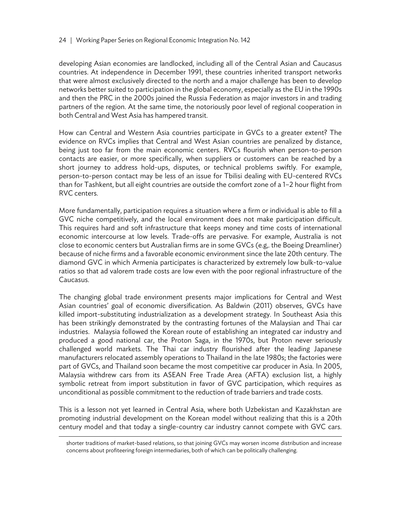developing Asian economies are landlocked, including all of the Central Asian and Caucasus countries. At independence in December 1991, these countries inherited transport networks that were almost exclusively directed to the north and a major challenge has been to develop networks better suited to participation in the global economy, especially as the EU in the 1990s and then the PRC in the 2000s joined the Russia Federation as major investors in and trading partners of the region. At the same time, the notoriously poor level of regional cooperation in both Central and West Asia has hampered transit.

How can Central and Western Asia countries participate in GVCs to a greater extent? The evidence on RVCs implies that Central and West Asian countries are penalized by distance, being just too far from the main economic centers. RVCs flourish when person-to-person contacts are easier, or more specifically, when suppliers or customers can be reached by a short journey to address hold-ups, disputes, or technical problems swiftly. For example, person-to-person contact may be less of an issue for Tbilisi dealing with EU-centered RVCs than for Tashkent, but all eight countries are outside the comfort zone of a 1–2 hour flight from RVC centers.

More fundamentally, participation requires a situation where a firm or individual is able to fill a GVC niche competitively, and the local environment does not make participation difficult. This requires hard and soft infrastructure that keeps money and time costs of international economic intercourse at low levels. Trade-offs are pervasive. For example, Australia is not close to economic centers but Australian firms are in some GVCs (e.g,. the Boeing Dreamliner) because of niche firms and a favorable economic environment since the late 20th century. The diamond GVC in which Armenia participates is characterized by extremely low bulk-to-value ratios so that ad valorem trade costs are low even with the poor regional infrastructure of the Caucasus.

The changing global trade environment presents major implications for Central and West Asian countries' goal of economic diversification. As Baldwin (2011) observes, GVCs have killed import-substituting industrialization as a development strategy. In Southeast Asia this has been strikingly demonstrated by the contrasting fortunes of the Malaysian and Thai car industries. Malaysia followed the Korean route of establishing an integrated car industry and produced a good national car, the Proton Saga, in the 1970s, but Proton never seriously challenged world markets. The Thai car industry flourished after the leading Japanese manufacturers relocated assembly operations to Thailand in the late 1980s; the factories were part of GVCs, and Thailand soon became the most competitive car producer in Asia. In 2005, Malaysia withdrew cars from its ASEAN Free Trade Area (AFTA) exclusion list, a highly symbolic retreat from import substitution in favor of GVC participation, which requires as unconditional as possible commitment to the reduction of trade barriers and trade costs.

This is a lesson not yet learned in Central Asia, where both Uzbekistan and Kazakhstan are promoting industrial development on the Korean model without realizing that this is a 20th century model and that today a single-country car industry cannot compete with GVC cars.

 $\overline{a}$ 

shorter traditions of market-based relations, so that joining GVCs may worsen income distribution and increase concerns about profiteering foreign intermediaries, both of which can be politically challenging.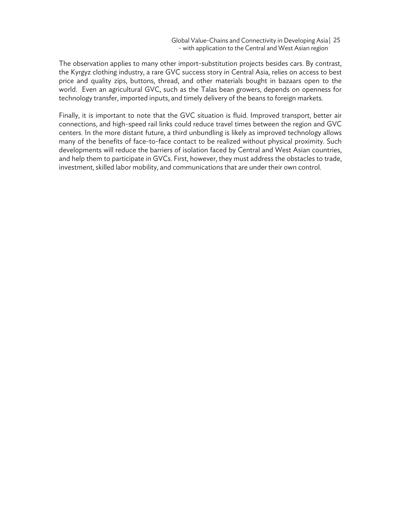The observation applies to many other import-substitution projects besides cars. By contrast, the Kyrgyz clothing industry, a rare GVC success story in Central Asia, relies on access to best price and quality zips, buttons, thread, and other materials bought in bazaars open to the world. Even an agricultural GVC, such as the Talas bean growers, depends on openness for technology transfer, imported inputs, and timely delivery of the beans to foreign markets.

Finally, it is important to note that the GVC situation is fluid. Improved transport, better air connections, and high-speed rail links could reduce travel times between the region and GVC centers. In the more distant future, a third unbundling is likely as improved technology allows many of the benefits of face-to-face contact to be realized without physical proximity. Such developments will reduce the barriers of isolation faced by Central and West Asian countries, and help them to participate in GVCs. First, however, they must address the obstacles to trade, investment, skilled labor mobility, and communications that are under their own control.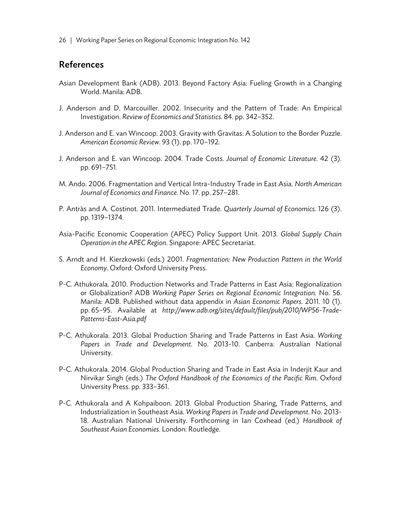### References

- Asian Development Bank (ADB). 2013. Beyond Factory Asia: Fueling Growth in a Changing World. Manila: ADB.
- J. Anderson and D. Marcouiller. 2002. Insecurity and the Pattern of Trade: An Empirical Investigation. *Review of Economics and Statistics.* 84. pp. 342–352.
- J. Anderson and E. van Wincoop. 2003. Gravity with Gravitas: A Solution to the Border Puzzle. *American Economic Review.* 93 (1). pp. 170–192.
- J. Anderson and E. van Wincoop. 2004. Trade Costs. *Journal of Economic Literature.* 42 (3)*.* pp. 691–751.
- M. Ando. 2006. Fragmentation and Vertical Intra-Industry Trade in East Asia. *North American Journal of Economics and Finance.* No. 17. pp. 257–281.
- P. Antràs and A. Costinot. 2011. Intermediated Trade. *Quarterly Journal of Economics.* 126 (3). pp. 1319–1374.
- Asia-Pacific Economic Cooperation (APEC) Policy Support Unit. 2013. *Global Supply Chain Operation in the APEC Region*. Singapore: APEC Secretariat.
- S. Arndt and H. Kierzkowski (eds.) 2001. *Fragmentation: New Production Pattern in the World Economy*. Oxford: Oxford University Press.
- P-C. Athukorala. 2010. Production Networks and Trade Patterns in East Asia: Regionalization or Globalization? ADB *Working Paper Series on Regional Economic Integration.* No. 56. Manila: ADB. Published without data appendix in *Asian Economic Papers*. 2011. 10 (1). pp. 65–95. Available at *http://www.adb.org/sites/default/files/pub/2010/WP56-Trade-Patterns-East-Asia.pdf*
- P-C. Athukorala. 2013. Global Production Sharing and Trade Patterns in East Asia. *Working Papers in Trade and Development.* No. 2013-10. Canberra: Australian National University.
- P-C. Athukorala. 2014. Global Production Sharing and Trade in East Asia in Inderjit Kaur and Nirvikar Singh (eds.) *The Oxford Handbook of the Economics of the Pacific Rim*. Oxford University Press. pp. 333–361.
- P-C. Athukorala and A Kohpaiboon. 2013. Global Production Sharing, Trade Patterns, and Industrialization in Southeast Asia. *Working Papers in Trade and Development.* No. 2013- 18. Australian National University. Forthcoming in Ian Coxhead (ed.) *Handbook of Southeast Asian Economies*. London: Routledge.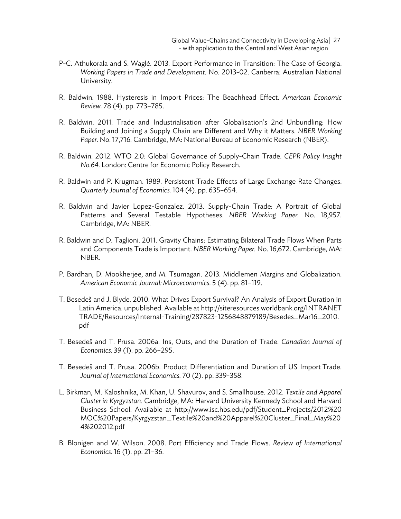Global Value-Chains and Connectivity in Developing Asia<sup>[27]</sup> - with application to the Central and West Asian region

- P-C. Athukorala and S. Waglé. 2013. Export Performance in Transition: The Case of Georgia. *Working Papers in Trade and Development.* No. 2013-02. Canberra: Australian National University.
- R. Baldwin. 1988. Hysteresis in Import Prices: The Beachhead Effect. *American Economic Review.* 78 (4). pp. 773–785.
- R. Baldwin. 2011. Trade and Industrialisation after Globalisation's 2nd Unbundling: How Building and Joining a Supply Chain are Different and Why it Matters. *NBER Working Paper.* No. 17,716*.* Cambridge, MA: National Bureau of Economic Research (NBER).
- R. Baldwin. 2012. WTO 2.0: Global Governance of Supply-Chain Trade. *CEPR Policy Insight No.64*. London: Centre for Economic Policy Research.
- R. Baldwin and P. Krugman. 1989. Persistent Trade Effects of Large Exchange Rate Changes. *Quarterly Journal of Economics.* 104 (4). pp. 635–654.
- R. Baldwin and Javier Lopez-Gonzalez. 2013. Supply-Chain Trade: A Portrait of Global Patterns and Several Testable Hypotheses. *NBER Working Paper.* No. 18,957. Cambridge, MA: NBER.
- R. Baldwin and D. Taglioni. 2011. Gravity Chains: Estimating Bilateral Trade Flows When Parts and Components Trade is Important. *NBER Working Paper.* No. 16,672. Cambridge, MA: NBER.
- P. Bardhan, D. Mookherjee, and M. Tsumagari. 2013. Middlemen Margins and Globalization. *American Economic Journal: Microeconomics.* 5 (4). pp. 81–119.
- T. Besedeš and J. Blyde. 2010. What Drives Export Survival? An Analysis of Export Duration in Latin America. unpublished. Available at http://siteresources.worldbank.org/INTRANET TRADE/Resources/Internal-Training/287823-1256848879189/Besedes\_Mar16\_2010. pdf
- T. Besedeš and T. Prusa. 2006a. Ins, Outs, and the Duration of Trade. *Canadian Journal of Economics.* 39 (1). pp. 266–295.
- T. Besedeš and T. Prusa. 2006b. Product Differentiation and Duration of US Import Trade. *Journal of International Economics.* 70 (2). pp. 339-358.
- L. Birkman, M. Kaloshnika, M. Khan, U. Shavurov, and S. Smallhouse. 2012. *Textile and Apparel Cluster in Kyrgyzstan*. Cambridge, MA: Harvard University Kennedy School and Harvard Business School. Available at http://www.isc.hbs.edu/pdf/Student\_Projects/2012%20 MOC%20Papers/Kyrgyzstan\_Textile%20and%20Apparel%20Cluster\_Final\_May%20 4%202012.pdf
- B. Blonigen and W. Wilson. 2008. Port Efficiency and Trade Flows. *Review of International Economics*. 16 (1). pp. 21–36.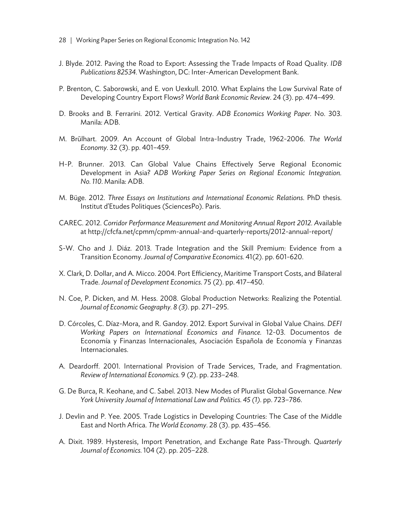- 28. | Working Paper Series on Regional Economic Integration No. 142
- J. Blyde. 2012. Paving the Road to Export: Assessing the Trade Impacts of Road Quality. *IDB Publications 82534*. Washington, DC: Inter-American Development Bank.
- P. Brenton, C. Saborowski, and E. von Uexkull. 2010. What Explains the Low Survival Rate of Developing Country Export Flows? *World Bank Economic Review.* 24 (3). pp. 474–499.
- D. Brooks and B. Ferrarini. 2012. Vertical Gravity. *ADB Economics Working Paper.* No. 303. Manila: ADB.
- M. Brūlhart. 2009. An Account of Global Intra-Industry Trade, 1962-2006. *The World Economy.* 32 (3). pp. 401–459.
- H-P. Brunner. 2013. Can Global Value Chains Effectively Serve Regional Economic Development in Asia? *ADB Working Paper Series on Regional Economic Integration. No. 110*. Manila: ADB.
- M. Büge. 2012. *Three Essays on Institutions and International Economic Relations*. PhD thesis. Institut d'Etudes Politiques (SciencesPo). Paris.
- CAREC. 2012. *Corridor Performance Measurement and Monitoring Annual Report 2012. A*vailable at http://cfcfa.net/cpmm/cpmm-annual-and-quarterly-reports/2012-annual-report/
- S-W. Cho and J. Diáz. 2013. Trade Integration and the Skill Premium: Evidence from a Transition Economy. *Journal of Comparative Economics.* 41(2). pp. 601-620.
- X. Clark, D. Dollar, and A. Micco. 2004. Port Efficiency, Maritime Transport Costs, and Bilateral Trade. *Journal of Development Economics*. 75 (2). pp. 417–450.
- N. Coe, P. Dicken, and M. Hess. 2008. Global Production Networks: Realizing the Potential. *Journal of Economic Geography. 8 (3)*. pp. 271–295.
- D. Córcoles, C. Díaz-Mora, and R. Gandoy. 2012. Export Survival in Global Value Chains. *DEFI Working Papers on International Economics and Finance.* 12-03. Documentos de Economía y Finanzas Internacionales, Asociación Española de Economía y Finanzas Internacionales.
- A. Deardorff. 2001. International Provision of Trade Services, Trade, and Fragmentation. *Review of International Economics.* 9 (2). pp. 233–248.
- G. De Burca, R. Keohane, and C. Sabel. 2013. New Modes of Pluralist Global Governance. *New York University Journal of International Law and Politics. 45 (1)*. pp. 723–786.
- J. Devlin and P. Yee. 2005. Trade Logistics in Developing Countries: The Case of the Middle East and North Africa. *The World Economy*. 28 (3). pp. 435–456.
- A. Dixit. 1989. Hysteresis, Import Penetration, and Exchange Rate Pass-Through. *Quarterly Journal of Economics.* 104 (2). pp. 205–228.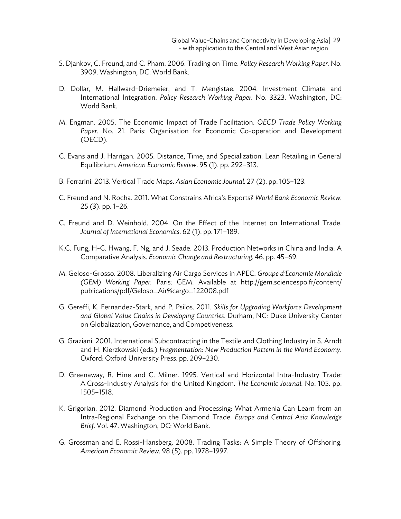Global Value-Chains and Connectivity in Developing Asia<sup>[29]</sup> - with application to the Central and West Asian region

- S. Djankov, C. Freund, and C. Pham. 2006. Trading on Time. *Policy Research Working Paper.* No. 3909. Washington, DC: World Bank.
- D. Dollar, M. Hallward-Driemeier, and T. Mengistae. 2004. Investment Climate and International Integration. *Policy Research Working Paper.* No. 3323. Washington, DC: World Bank.
- M. Engman. 2005. The Economic Impact of Trade Facilitation. *OECD Trade Policy Working Paper.* No. 21. Paris: Organisation for Economic Co-operation and Development (OECD).
- C. Evans and J. Harrigan. 2005. Distance, Time, and Specialization: Lean Retailing in General Equilibrium. *American Economic Review*. 95 (1). pp. 292–313.
- B. Ferrarini. 2013. Vertical Trade Maps. *Asian Economic Journal.* 27 (2)*.* pp. 105–123.
- C. Freund and N. Rocha. 2011. What Constrains Africa's Exports? *World Bank Economic Review.*  25 (3). pp. 1–26.
- C. Freund and D. Weinhold. 2004. On the Effect of the Internet on International Trade. *Journal of International Economics*. 62 (1). pp. 171–189.
- K.C. Fung, H-C. Hwang, F. Ng, and J. Seade. 2013. Production Networks in China and India: A Comparative Analysis. *Economic Change and Restructuring.* 46. pp. 45–69.
- M. Geloso-Grosso. 2008. Liberalizing Air Cargo Services in APEC. *Groupe d'Economie Mondiale (GEM) Working Paper.* Paris: GEM. Available at http://gem.sciencespo.fr/content/ publications/pdf/Geloso\_Air%cargo\_122008.pdf
- G. Gereffi, K. Fernandez-Stark, and P. Psilos. 2011. *Skills for Upgrading Workforce Development and Global Value Chains in Developing Countries*. Durham, NC: Duke University Center on Globalization, Governance, and Competiveness.
- G. Graziani. 2001. International Subcontracting in the Textile and Clothing Industry in S. Arndt and H. Kierzkowski (eds.) *Fragmentation: New Production Pattern in the World Economy.* Oxford: Oxford University Press. pp. 209–230.
- D. Greenaway, R. Hine and C. Milner. 1995. Vertical and Horizontal Intra-Industry Trade: A Cross-Industry Analysis for the United Kingdom. *The Economic Journal.* No. 105. pp. 1505–1518.
- K. Grigorian. 2012. Diamond Production and Processing: What Armenia Can Learn from an Intra-Regional Exchange on the Diamond Trade. *Europe and Central Asia Knowledge Brief*. Vol. 47. Washington, DC: World Bank.
- G. Grossman and E. Rossi-Hansberg. 2008. Trading Tasks: A Simple Theory of Offshoring. *American Economic Review.* 98 (5). pp. 1978–1997.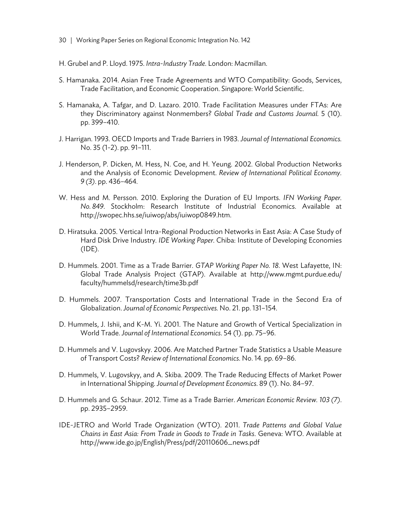- 30 | Working Paper Series on Regional Economic Integration No. 142
- H. Grubel and P. Lloyd. 1975. *Intra-Industry Trade*. London: Macmillan.
- S. Hamanaka. 2014. Asian Free Trade Agreements and WTO Compatibility: Goods, Services, Trade Facilitation, and Economic Cooperation. Singapore: World Scientific.
- S. Hamanaka, A. Tafgar, and D. Lazaro. 2010. Trade Facilitation Measures under FTAs: Are they Discriminatory against Nonmembers? *Global Trade and Customs Journal.* 5 (10). pp. 399–410.
- J. Harrigan. 1993. OECD Imports and Trade Barriers in 1983. *Journal of International Economics.*  No. 35 (1-2). pp. 91–111.
- J. Henderson, P. Dicken, M. Hess, N. Coe, and H. Yeung. 2002. Global Production Networks and the Analysis of Economic Development. *Review of International Political Economy. 9 (3)*. pp. 436–464.
- W. Hess and M. Persson. 2010. Exploring the Duration of EU Imports. *IFN Working Paper. No. 849*. Stockholm: Research Institute of Industrial Economics. Available at http://swopec.hhs.se/iuiwop/abs/iuiwop0849.htm.
- D. Hiratsuka. 2005. Vertical Intra-Regional Production Networks in East Asia: A Case Study of Hard Disk Drive Industry*. IDE Working Paper*. Chiba: Institute of Developing Economies (IDE).
- D. Hummels. 2001. Time as a Trade Barrier. *GTAP Working Paper No. 18*. West Lafayette, IN: Global Trade Analysis Project (GTAP). Available at http://www.mgmt.purdue.edu/ faculty/hummelsd/research/time3b.pdf
- D. Hummels. 2007. Transportation Costs and International Trade in the Second Era of Globalization. *Journal of Economic Perspectives.* No. 21. pp. 131–154.
- D. Hummels, J. Ishii, and K-M. Yi. 2001. The Nature and Growth of Vertical Specialization in World Trade. *Journal of International Economics*. 54 (1). pp. 75–96.
- D. Hummels and V. Lugovskyy. 2006. Are Matched Partner Trade Statistics a Usable Measure of Transport Costs? *Review of International Economics*. No. 14*.* pp. 69–86.
- D. Hummels, V. Lugovskyy, and A. Skiba. 2009. The Trade Reducing Effects of Market Power in International Shipping. *Journal of Development Economics*. 89 (1). No. 84–97.
- D. Hummels and G. Schaur. 2012. Time as a Trade Barrier. *American Economic Review. 103 (7)*. pp. 2935–2959.
- IDE-JETRO and World Trade Organization (WTO). 2011. *Trade Patterns and Global Value Chains in East Asia: From Trade in Goods to Trade in Tasks*. Geneva: WTO. Available at http://www.ide.go.jp/English/Press/pdf/20110606\_news.pdf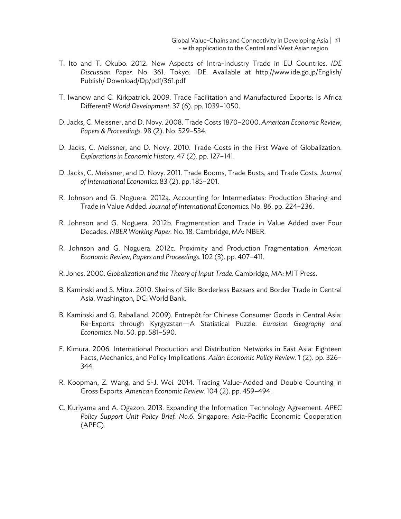Global Value-Chains and Connectivity in Developing Asia | 31 - with application to the Central and West Asian region

- T. Ito and T. Okubo. 2012. New Aspects of Intra-Industry Trade in EU Countries. *IDE Discussion Paper.* No. 361. Tokyo: IDE. Available at http://www.ide.go.jp/English/ Publish/ Download/Dp/pdf/361.pdf
- T. Iwanow and C. Kirkpatrick. 2009. Trade Facilitation and Manufactured Exports: Is Africa Different? *World Development.* 37 (6). pp. 1039–1050.
- D. Jacks, C. Meissner, and D. Novy. 2008. Trade Costs 1870–2000. *American Economic Review, Papers & Proceedings.* 98 (2). No. 529–534.
- D. Jacks, C. Meissner, and D. Novy. 2010. Trade Costs in the First Wave of Globalization. *Explorations in Economic History.* 47 (2). pp. 127–141.
- D. Jacks, C. Meissner, and D. Novy. 2011. Trade Booms, Trade Busts, and Trade Costs. *Journal of International Economics.* 83 (2). pp. 185–201.
- R. Johnson and G. Noguera. 2012a. Accounting for Intermediates: Production Sharing and Trade in Value Added. *Journal of International Economics.* No. 86. pp. 224–236.
- R. Johnson and G. Noguera. 2012b. Fragmentation and Trade in Value Added over Four Decades. *NBER Working Paper.* No. 18. Cambridge, MA: NBER.
- R. Johnson and G. Noguera. 2012c. Proximity and Production Fragmentation. *American Economic Review, Papers and Proceedings.* 102 (3). pp. 407–411.
- R. Jones. 2000. *Globalization and the Theory of Input Trade*. Cambridge, MA: MIT Press.
- B. Kaminski and S. Mitra. 2010. Skeins of Silk: Borderless Bazaars and Border Trade in Central Asia. Washington, DC: World Bank.
- B. Kaminski and G. Raballand. 2009). Entrepôt for Chinese Consumer Goods in Central Asia: Re-Exports through Kyrgyzstan—A Statistical Puzzle. *Eurasian Geography and Economics*. No. 50. pp. 581–590.
- F. Kimura. 2006. International Production and Distribution Networks in East Asia: Eighteen Facts, Mechanics, and Policy Implications. *Asian Economic Policy Review.* 1 (2). pp. 326– 344.
- R. Koopman, Z. Wang, and S-J. Wei. 2014. Tracing Value-Added and Double Counting in Gross Exports. *American Economic Review.* 104 (2). pp. 459–494.
- C. Kuriyama and A. Ogazon. 2013. Expanding the Information Technology Agreement. *APEC Policy Support Unit Policy Brief. No.6*. Singapore: Asia-Pacific Economic Cooperation (APEC).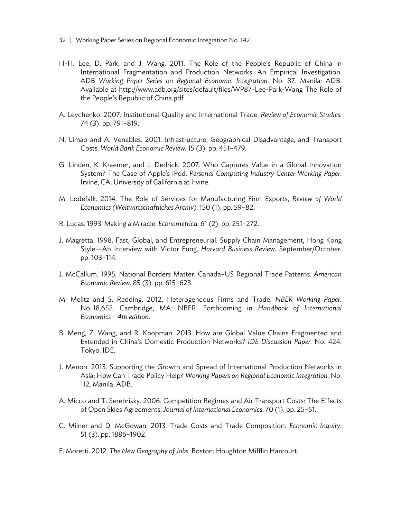- 32 | Working Paper Series on Regional Economic Integration No. 142
- H-H. Lee, D. Park, and J. Wang. 2011. The Role of the People's Republic of China in International Fragmentation and Production Networks: An Empirical Investigation. ADB *Working Paper Series on Regional Economic Integration.* No. 87. Manila: ADB. Available at http://www.adb.org/sites/default/files/WP87-Lee-Park-Wang The Role of the People's Republic of China.pdf
- A. Levchenko. 2007. Institutional Quality and International Trade. *Review of Economic Studies.*  74 (3). pp. 791–819.
- N. Limao and A. Venables. 2001. Infrastructure, Geographical Disadvantage, and Transport Costs. *World Bank Economic Review.* 15 (3). pp. 451–479.
- G. Linden, K. Kraemer, and J. Dedrick. 2007. Who Captures Value in a Global Innovation System? The Case of Apple's iPod. *Personal Computing Industry Center Working Paper*. Irvine, CA: University of California at Irvine.
- M. Lodefalk. 2014. The Role of Services for Manufacturing Firm Exports, *Review of World Economics (Weltwirtschaftliches Archiv).* 150 (1). pp. 59–82.
- R. Lucas. 1993. Making a Miracle. *Econometrica*. 61 (2). pp. 251–272.
- J. Magretta. 1998. Fast, Global, and Entrepreneurial: Supply Chain Management, Hong Kong Style—An Interview with Victor Fung. *Harvard Business Review*. September/October. pp. 103–114.
- J. McCallum. 1995. National Borders Matter: Canada–US Regional Trade Patterns. *American Economic Review*. 85 (3). pp. 615–623.
- M. Melitz and S. Redding. 2012. Heterogeneous Firms and Trade. *NBER Working Paper.*  No. 18,652. Cambridge, MA: NBER. Forthcoming in *Handbook of International Economics—4th edition*.
- B. Meng, Z. Wang, and R. Koopman. 2013. How are Global Value Chains Fragmented and Extended in China's Domestic Production Networks? *IDE Discussion Paper.* No. 424. Tokyo: IDE.
- J. Menon. 2013. Supporting the Growth and Spread of International Production Networks in Asia: How Can Trade Policy Help? *Working Papers on Regional Economic Integration.* No. 112. Manila: ADB.
- A. Micco and T. Serebrisky. 2006. Competition Regimes and Air Transport Costs: The Effects of Open Skies Agreements. *Journal of International Economics.* 70 (1). pp. 25–51.
- C. Milner and D. McGowan. 2013. Trade Costs and Trade Composition. *Economic Inquiry.*  51 (3). pp. 1886–1902.
- E. Moretti. 2012. *The New Geography of Jobs*. Boston: Houghton Mifflin Harcourt.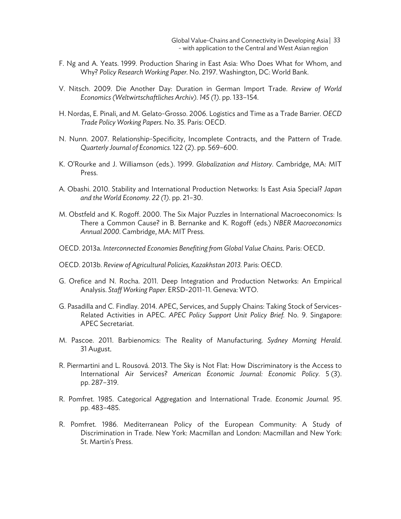- F. Ng and A. Yeats. 1999. Production Sharing in East Asia: Who Does What for Whom, and Why? *Policy Research Working Paper.* No. 2197. Washington, DC: World Bank.
- V. Nitsch. 2009. Die Another Day: Duration in German Import Trade. *Review of World Economics (Weltwirtschaftliches Archiv). 145 (1)*. pp. 133–154.
- H. Nordas, E. Pinali, and M. Gelato-Grosso. 2006. Logistics and Time as a Trade Barrier. *OECD Trade Policy Working Papers.* No. 35*.* Paris: OECD.
- N. Nunn. 2007. Relationship-Specificity, Incomplete Contracts, and the Pattern of Trade. *Quarterly Journal of Economics.* 122 (2). pp. 569–600.
- K. O'Rourke and J. Williamson (eds.). 1999. *Globalization and History*. Cambridge, MA: MIT Press.
- A. Obashi. 2010. Stability and International Production Networks: Is East Asia Special? *Japan and the World Economy. 22 (1)*. pp. 21–30.
- M. Obstfeld and K. Rogoff. 2000. The Six Major Puzzles in International Macroeconomics: Is There a Common Cause? in B. Bernanke and K. Rogoff (eds.) *NBER Macroeconomics Annual 2000*. Cambridge, MA: MIT Press.
- OECD. 2013a. *Interconnected Economies Benefiting from Global Value Chains.* Paris: OECD.
- OECD. 2013b. *Review of Agricultural Policies, Kazakhstan 2013.* Paris: OECD.
- G. Orefice and N. Rocha. 2011. Deep Integration and Production Networks: An Empirical Analysis. *Staff Working Paper.* ERSD-2011-11*.* Geneva: WTO.
- G. Pasadilla and C. Findlay. 2014. APEC, Services, and Supply Chains: Taking Stock of Services-Related Activities in APEC. *APEC Policy Support Unit Policy Brief.* No. 9. Singapore: APEC Secretariat.
- M. Pascoe. 2011. Barbienomics: The Reality of Manufacturing. *Sydney Morning Herald*. 31 August.
- R. Piermartini and L. Rousová. 2013. The Sky is Not Flat: How Discriminatory is the Access to International Air Services? *American Economic Journal: Economic Policy.* 5.(3). pp. 287–319.
- R. Pomfret. 1985. Categorical Aggregation and International Trade. *Economic Journal. 95*. pp. 483–485.
- R. Pomfret. 1986. Mediterranean Policy of the European Community: A Study of Discrimination in Trade. New York: Macmillan and London: Macmillan and New York: St. Martin's Press.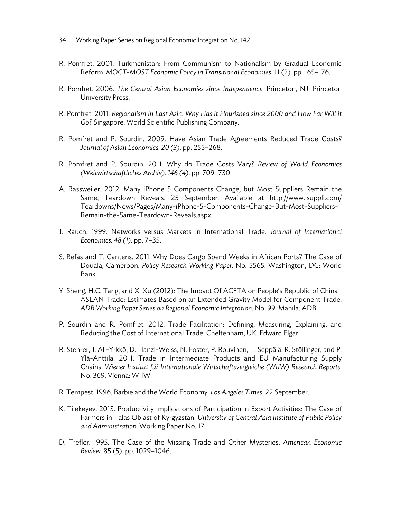- 34 | Working Paper Series on Regional Economic Integration No. 142
- R. Pomfret. 2001. Turkmenistan: From Communism to Nationalism by Gradual Economic Reform. *MOCT-MOST Economic Policy in Transitional Economies*. 11 (2). pp. 165–176.
- R. Pomfret. 2006. *The Central Asian Economies since Independence*. Princeton, NJ: Princeton University Press.
- R. Pomfret. 2011. *Regionalism in East Asia: Why Has it Flourished since 2000 and How Far Will it Go?* Singapore: World Scientific Publishing Company.
- R. Pomfret and P. Sourdin. 2009. Have Asian Trade Agreements Reduced Trade Costs? *Journal of Asian Economics. 20 (3)*. pp. 255–268.
- R. Pomfret and P. Sourdin. 2011. Why do Trade Costs Vary? *Review of World Economics (Weltwirtschaftliches Archiv). 146 (4)*. pp. 709–730.
- A. Rassweiler. 2012. Many iPhone 5 Components Change, but Most Suppliers Remain the Same, Teardown Reveals. 25 September. Available at http://www.isuppli.com/ Teardowns/News/Pages/Many-iPhone-5-Components-Change-But-Most-Suppliers-Remain-the-Same-Teardown-Reveals.aspx
- J. Rauch. 1999. Networks versus Markets in International Trade. *Journal of International Economics. 48 (1)*. pp. 7–35.
- S. Refas and T. Cantens. 2011. Why Does Cargo Spend Weeks in African Ports? The Case of Douala, Cameroon. *Policy Research Working Paper.* No. 5565. Washington, DC: World Bank.
- Y. Sheng, H.C. Tang, and X. Xu (2012): The Impact Of ACFTA on People's Republic of China– ASEAN Trade: Estimates Based on an Extended Gravity Model for Component Trade. *ADB Working Paper Series on Regional Economic Integration.* No. 99. Manila: ADB.
- P. Sourdin and R. Pomfret. 2012. Trade Facilitation: Defining, Measuring, Explaining, and Reducing the Cost of International Trade. Cheltenham, UK: Edward Elgar.
- R. Stehrer, J. Ali-Yrkkö, D. Hanzl-Weiss, N. Foster, P. Rouvinen, T. Seppälä, R. Stöllinger, and P. Ylä-Anttila. 2011. Trade in Intermediate Products and EU Manufacturing Supply Chains. *Wiener Institut fu*̈*r Internationale Wirtschaftsvergleiche (WIIW) Research Reports.*  No. 369. Vienna: WIIW.
- R. Tempest. 1996. Barbie and the World Economy. *Los Angeles Times*. 22 September.
- K. Tilekeyev. 2013. Productivity Implications of Participation in Export Activities: The Case of Farmers in Talas Oblast of Kyrgyzstan. *University of Central Asia Institute of Public Policy and Administration.* Working Paper No. 17.
- D. Trefler. 1995. The Case of the Missing Trade and Other Mysteries. *American Economic Review.* 85 (5). pp. 1029–1046.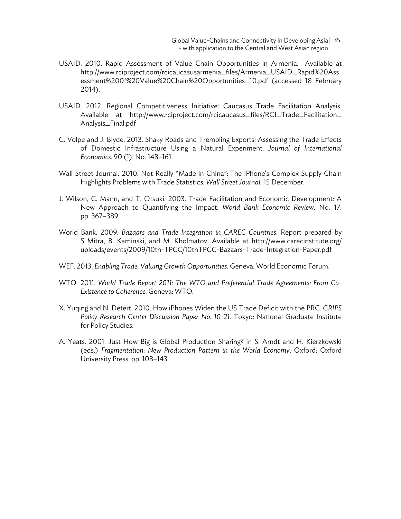Global Value-Chains and Connectivity in Developing Asia | 35 - with application to the Central and West Asian region

- USAID. 2010. Rapid Assessment of Value Chain Opportunities in Armenia. Available at http://www.rciproject.com/rcicaucasusarmenia\_files/Armenia\_USAID\_Rapid%20Ass essment%200f%20Value%20Chain%20Opportunities\_10.pdf (accessed 18 February 2014).
- USAID. 2012. Regional Competitiveness Initiative: Caucasus Trade Facilitation Analysis. Available at http://www.rciproject.com/rcicaucasus\_files/RCI\_Trade\_Facilitation\_ Analysis\_Final.pdf
- C. Volpe and J. Blyde. 2013. Shaky Roads and Trembling Exports: Assessing the Trade Effects of Domestic Infrastructure Using a Natural Experiment. *Journal of International Economics.* 90 (1). No. 148–161.
- Wall Street Journal. 2010. Not Really "Made in China": The iPhone's Complex Supply Chain Highlights Problems with Trade Statistics. *Wall Street Journal*. 15 December.
- J. Wilson, C. Mann, and T. Otsuki. 2003. Trade Facilitation and Economic Development: A New Approach to Quantifying the Impact. *World Bank Economic Review*. No. 17. pp. 367–389.
- World Bank. 2009. *Bazaars and Trade Integration in CAREC Countries*. Report prepared by S. Mitra, B. Kaminski, and M. Kholmatov. Available at http://www.carecinstitute.org/ uploads/events/2009/10th-TPCC/10thTPCC-Bazaars-Trade-Integration-Paper.pdf
- WEF. 2013. *Enabling Trade: Valuing Growth Opportunities*. Geneva: World Economic Forum.
- WTO. 2011. *World Trade Report 2011: The WTO and Preferential Trade Agreements: From Co-Existence to Coherence.* Geneva: WTO.
- X. Yuqing and N. Detert. 2010. How iPhones Widen the US Trade Deficit with the PRC. *GRIPS Policy Research Center Discussion Paper. No. 10-21.* Tokyo: National Graduate Institute for Policy Studies.
- A. Yeats. 2001. Just How Big is Global Production Sharing? in S. Arndt and H. Kierzkowski (eds.) *Fragmentation: New Production Pattern in the World Economy*. Oxford: Oxford University Press. pp. 108–143.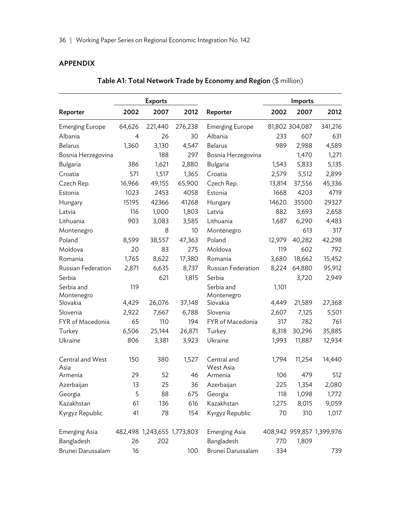# APPENDIX

|                        |        | <b>Exports</b>              |         |                        |        | Imports        |                           |
|------------------------|--------|-----------------------------|---------|------------------------|--------|----------------|---------------------------|
| Reporter               | 2002   | 2007                        | 2012    | Reporter               | 2002   | 2007           | 2012                      |
| <b>Emerging Europe</b> | 64,626 | 221,440                     | 276,238 | <b>Emerging Europe</b> |        | 81,802 304,087 | 341,216                   |
| Albania                | 4      | 26                          | 30      | Albania                | 233    | 607            | 631                       |
| <b>Belarus</b>         | 1,360  | 3,130                       | 4,547   | <b>Belarus</b>         | 989    | 2,988          | 4,589                     |
| Bosnia Herzegovina     |        | 188                         | 297     | Bosnia Herzegovina     |        | 1,470          | 1,271                     |
| Bulgaria               | 386    | 1,621                       | 2,880   | Bulgaria               | 1,543  | 5,833          | 5,135                     |
| Croatia                | 571    | 1,517                       | 1,365   | Croatia                | 2,579  | 5,512          | 2,899                     |
| Czech Rep.             | 16,966 | 49,155                      | 65,900  | Czech Rep.             | 13,814 | 37,556         | 45,336                    |
| Estonia                | 1023   | 2453                        | 4058    | Estonia                | 1668   | 4203           | 4719                      |
| Hungary                | 15195  | 42366                       | 41268   | Hungary                | 14620  | 35500          | 29327                     |
| Latvia                 | 116    | 1,000                       | 1,803   | Latvia                 | 882    | 3,693          | 2,658                     |
| Lithuania              | 903    | 3,083                       | 3,585   | Lithuania              | 1,687  | 6,290          | 4,483                     |
| Montenegro             |        | 8                           | 10      | Montenegro             |        | 613            | 317                       |
| Poland                 | 8,599  | 38,557                      | 47,363  | Poland                 | 12,979 | 40,282         | 42,298                    |
| Moldova                | 20     | 83                          | 275     | Moldova                | 119    | 602            | 792                       |
| Romania                | 1,765  | 8,622                       | 17,380  | Romania                | 3,680  | 18,662         | 15,452                    |
| Russian Federation     | 2,871  | 6,635                       | 8,737   | Russian Federation     | 8,224  | 64,880         | 95,912                    |
| Serbia                 |        | 621                         | 1,815   | Serbia                 |        | 3,720          | 2,949                     |
| Serbia and             | 119    |                             |         | Serbia and             | 1,101  |                |                           |
| Montenegro             |        |                             |         | Montenegro             |        |                |                           |
| Slovakia               | 4,429  | 26,076                      | 37,148  | Slovakia               | 4,449  | 21,589         | 27,368                    |
| Slovenia               | 2,922  | 7,667                       | 6,788   | Slovenia               | 2,607  | 7,125          | 5,501                     |
| FYR of Macedonia       | 65     | 110                         | 194     | FYR of Macedonia       | 317    | 782            | 761                       |
| Turkey                 | 6,506  | 25,144                      | 26,871  | Turkey                 | 8,318  | 30,296         | 35,885                    |
| Ukraine                | 806    | 3,381                       | 3,923   | Ukraine                | 1,993  | 11,887         | 12,934                    |
| Central and West       | 150    | 380                         | 1,527   | Central and            | 1,794  | 11,254         | 14,440                    |
| Asia<br>Armenia        | 29     | 52                          | 46      | West Asia<br>Armenia   | 106    | 479            | 512                       |
| Azerbaijan             | 13     | 25                          | 36      | Azerbaijan             | 225    | 1,354          | 2,080                     |
|                        | 5      | 88                          | 675     |                        |        |                |                           |
| Georgia<br>Kazakhstan  |        |                             | 616     | Georgia<br>Kazakhstan  | 118    | 1,098          | 1,772                     |
|                        | 61     | 136                         |         |                        | 1,275  | 8,015          | 9,059                     |
| Kyrgyz Republic        | 41     | 78                          | 154     | Kyrgyz Republic        | 70     | 310            | 1,017                     |
| <b>Emerging Asia</b>   |        | 482,498 1,243,655 1,773,803 |         | Emerging Asia          |        |                | 408,942 959,857 1,399,976 |
| Bangladesh             | 26     | 202                         |         | Bangladesh             | 770    | 1,809          |                           |
| Brunei Darussalam      | 16     |                             | 100     | Brunei Darussalam      | 334    |                | 739                       |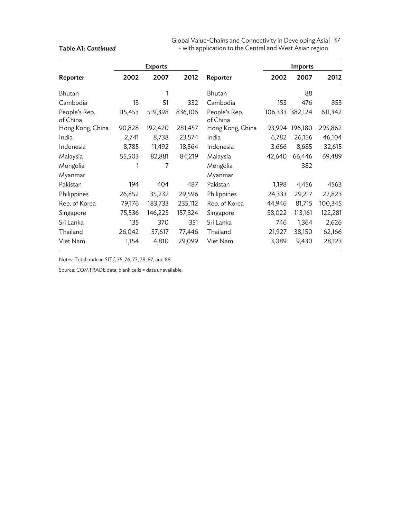| Global Value-Chains and Connectivity in Developing Asia   37 |  |
|--------------------------------------------------------------|--|
| - with application to the Central and West Asian region      |  |

|                           |         | <b>Exports</b> |         |                           |        | <b>Imports</b>  |         |
|---------------------------|---------|----------------|---------|---------------------------|--------|-----------------|---------|
| Reporter                  | 2002    | 2007           | 2012    | Reporter                  | 2002   | 2007            | 2012    |
| Bhutan                    |         | 1              |         | Bhutan                    |        | 88              |         |
| Cambodia                  | 13      | 51             | 332     | Cambodia                  | 153    | 476             | 853     |
| People's Rep.<br>of China | 115,453 | 519,398        | 836,106 | People's Rep.<br>of China |        | 106,333 382,124 | 611,342 |
| Hong Kong, China          | 90,828  | 192,420        | 281,457 | Hong Kong, China          | 93,994 | 196,180         | 295,862 |
| India                     | 2,741   | 8,738          | 23,574  | India                     | 6,782  | 26,156          | 46,104  |
| Indonesia                 | 8,785   | 11,492         | 18,564  | Indonesia                 | 3,666  | 8,685           | 32,615  |
| Malaysia                  | 55,503  | 82,881         | 84,219  | Malaysia                  | 42,640 | 66,446          | 69,489  |
| Mongolia                  |         | 7              |         | Mongolia                  |        | 382             |         |
| Myanmar                   |         |                |         | Myanmar                   |        |                 |         |
| Pakistan                  | 194     | 404            | 487     | Pakistan                  | 1,198  | 4,456           | 4563    |
| Philippines               | 26,852  | 35,232         | 29,596  | Philippines               | 24,333 | 29,217          | 22,823  |
| Rep. of Korea             | 79,176  | 183,733        | 235,112 | Rep. of Korea             | 44,946 | 81,715          | 100,345 |
| Singapore                 | 75,536  | 146,223        | 157,324 | Singapore                 | 58,022 | 113,161         | 122,281 |
| Sri Lanka                 | 135     | 370            | 351     | Sri Lanka                 | 746    | 1,364           | 2,626   |
| Thailand                  | 26,042  | 57,617         | 77,446  | Thailand                  | 21,927 | 38,150          | 62,166  |
| Viet Nam                  | 1,154   | 4,810          | 29,099  | Viet Nam                  | 3,089  | 9,430           | 28,123  |

Notes: Total trade in SITC 75, 76, 77, 78, 87, and 88.

Source: COMTRADE data; blank cells = data unavailable.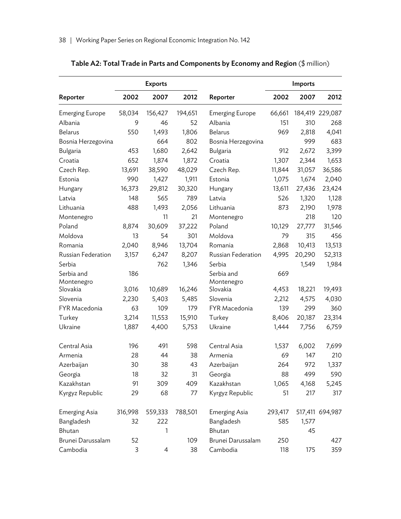|                        |         | <b>Exports</b> |         |                        |         | Imports |                 |
|------------------------|---------|----------------|---------|------------------------|---------|---------|-----------------|
| Reporter               | 2002    | 2007           | 2012    | Reporter               | 2002    | 2007    | 2012            |
| <b>Emerging Europe</b> | 58,034  | 156,427        | 194,651 | <b>Emerging Europe</b> | 66,661  |         | 184,419 229,087 |
| Albania                | 9       | 46             | 52      | Albania                | 151     | 310     | 268             |
| <b>Belarus</b>         | 550     | 1,493          | 1,806   | <b>Belarus</b>         | 969     | 2,818   | 4,041           |
| Bosnia Herzegovina     |         | 664            | 802     | Bosnia Herzegovina     |         | 999     | 683             |
| Bulgaria               | 453     | 1,680          | 2,642   | Bulgaria               | 912     | 2,672   | 3,399           |
| Croatia                | 652     | 1,874          | 1,872   | Croatia                | 1,307   | 2,344   | 1,653           |
| Czech Rep.             | 13,691  | 38,590         | 48,029  | Czech Rep.             | 11,844  | 31,057  | 36,586          |
| Estonia                | 990     | 1,427          | 1,911   | Estonia                | 1,075   | 1,674   | 2,040           |
| Hungary                | 16,373  | 29,812         | 30,320  | Hungary                | 13,611  | 27,436  | 23,424          |
| Latvia                 | 148     | 565            | 789     | Latvia                 | 526     | 1,320   | 1,128           |
| Lithuania              | 488     | 1,493          | 2,056   | Lithuania              | 873     | 2,190   | 1,978           |
| Montenegro             |         | 11             | 21      | Montenegro             |         | 218     | 120             |
| Poland                 | 8,874   | 30,609         | 37,222  | Poland                 | 10,129  | 27,777  | 31,546          |
| Moldova                | 13      | 54             | 301     | Moldova                | 79      | 315     | 456             |
| Romania                | 2,040   | 8,946          | 13,704  | Romania                | 2,868   | 10,413  | 13,513          |
| Russian Federation     | 3,157   | 6,247          | 8,207   | Russian Federation     | 4,995   | 20,290  | 52,313          |
| Serbia                 |         | 762            | 1,346   | Serbia                 |         | 1,549   | 1,984           |
| Serbia and             | 186     |                |         | Serbia and             | 669     |         |                 |
| Montenegro             |         |                |         | Montenegro             |         |         |                 |
| Slovakia               | 3,016   | 10,689         | 16,246  | Slovakia               | 4,453   | 18,221  | 19,493          |
| Slovenia               | 2,230   | 5,403          | 5,485   | Slovenia               | 2,212   | 4,575   | 4,030           |
| FYR Macedonia          | 63      | 109            | 179     | FYR Macedonia          | 139     | 299     | 360             |
| Turkey                 | 3,214   | 11,553         | 15,910  | Turkey                 | 8,406   | 20,187  | 23,314          |
| Ukraine                | 1,887   | 4,400          | 5,753   | Ukraine                | 1,444   | 7,756   | 6,759           |
| Central Asia           | 196     | 491            | 598     | Central Asia           | 1,537   | 6,002   | 7,699           |
| Armenia                | 28      | 44             | 38      | Armenia                | 69      | 147     | 210             |
| Azerbaijan             | 30      | 38             | 43      | Azerbaijan             | 264     | 972     | 1,337           |
| Georgia                | 18      | 32             | 31      | Georgia                | 88      | 499     | 590             |
| Kazakhstan             | 91      | 309            | 409     | Kazakhstan             | 1,065   | 4,168   | 5,245           |
| Kyrgyz Republic        | 29      | 68             | 77      | Kyrgyz Republic        | 51      | 217     | 317             |
| Emerging Asia          | 316,998 | 559,333        | 788,501 | <b>Emerging Asia</b>   | 293,417 |         | 517,411 694,987 |
| Bangladesh             | 32      | 222            |         | Bangladesh             | 585     | 1,577   |                 |
| Bhutan                 |         | 1              |         | Bhutan                 |         | 45      |                 |
| Brunei Darussalam      | 52      |                | 109     | Brunei Darussalam      | 250     |         | 427             |
| Cambodia               | 3       | $\overline{4}$ | 38      | Cambodia               | 118     | 175     | 359             |

# Table A2: Total Trade in Parts and Components by Economy and Region (\$ million)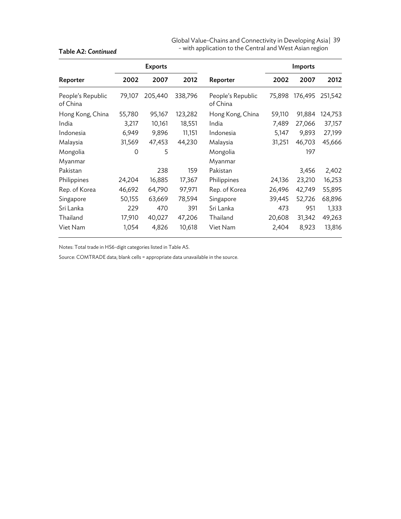| Global Value-Chains and Connectivity in Developing Asia   39 |  |
|--------------------------------------------------------------|--|
| - with application to the Central and West Asian region      |  |

|                               |        | <b>Exports</b> |         |                               |        | Imports |         |
|-------------------------------|--------|----------------|---------|-------------------------------|--------|---------|---------|
| Reporter                      | 2002   | 2007           | 2012    | Reporter                      | 2002   | 2007    | 2012    |
| People's Republic<br>of China | 79,107 | 205,440        | 338,796 | People's Republic<br>of China | 75,898 | 176,495 | 251,542 |
| Hong Kong, China              | 55,780 | 95,167         | 123,282 | Hong Kong, China              | 59,110 | 91,884  | 124,753 |
| India                         | 3,217  | 10,161         | 18,551  | India                         | 7,489  | 27,066  | 37,157  |
| Indonesia                     | 6,949  | 9,896          | 11,151  | Indonesia                     | 5,147  | 9,893   | 27,199  |
| Malaysia                      | 31,569 | 47,453         | 44,230  | Malaysia                      | 31,251 | 46,703  | 45,666  |
| Mongolia                      | 0      | 5              |         | Mongolia                      |        | 197     |         |
| Myanmar                       |        |                |         | Myanmar                       |        |         |         |
| Pakistan                      |        | 238            | 159     | Pakistan                      |        | 3,456   | 2,402   |
| Philippines                   | 24,204 | 16,885         | 17,367  | Philippines                   | 24,136 | 23,210  | 16,253  |
| Rep. of Korea                 | 46,692 | 64,790         | 97,971  | Rep. of Korea                 | 26,496 | 42,749  | 55,895  |
| Singapore                     | 50,155 | 63,669         | 78,594  | Singapore                     | 39,445 | 52,726  | 68,896  |
| Sri Lanka                     | 229    | 470            | 391     | Sri Lanka                     | 473    | 951     | 1,333   |
| Thailand                      | 17,910 | 40,027         | 47,206  | Thailand                      | 20,608 | 31,342  | 49,263  |
| Viet Nam                      | 1,054  | 4,826          | 10,618  | Viet Nam                      | 2,404  | 8,923   | 13,816  |

Notes: Total trade in HS6-digit categories listed in Table A5.

Source: COMTRADE data; blank cells = appropriate data unavailable in the source.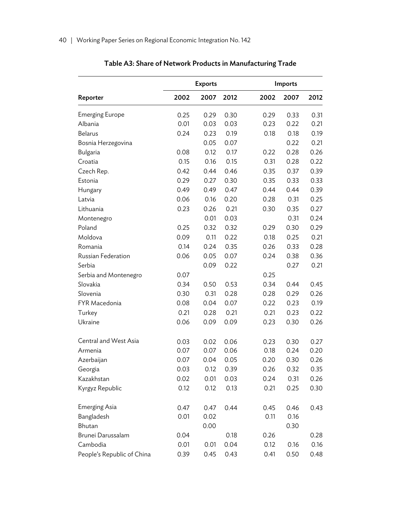|                            |      | <b>Exports</b> |      |      | Imports |      |  |  |
|----------------------------|------|----------------|------|------|---------|------|--|--|
| Reporter                   | 2002 | 2007           | 2012 | 2002 | 2007    | 2012 |  |  |
| <b>Emerging Europe</b>     | 0.25 | 0.29           | 0.30 | 0.29 | 0.33    | 0.31 |  |  |
| Albania                    | 0.01 | 0.03           | 0.03 | 0.23 | 0.22    | 0.21 |  |  |
| <b>Belarus</b>             | 0.24 | 0.23           | 0.19 | 0.18 | 0.18    | 0.19 |  |  |
| Bosnia Herzegovina         |      | 0.05           | 0.07 |      | 0.22    | 0.21 |  |  |
| Bulgaria                   | 0.08 | 0.12           | 0.17 | 0.22 | 0.28    | 0.26 |  |  |
| Croatia                    | 0.15 | 0.16           | 0.15 | 0.31 | 0.28    | 0.22 |  |  |
| Czech Rep.                 | 0.42 | 0.44           | 0.46 | 0.35 | 0.37    | 0.39 |  |  |
| Estonia                    | 0.29 | 0.27           | 0.30 | 0.35 | 0.33    | 0.33 |  |  |
| Hungary                    | 0.49 | 0.49           | 0.47 | 0.44 | 0.44    | 0.39 |  |  |
| Latvia                     | 0.06 | 0.16           | 0.20 | 0.28 | 0.31    | 0.25 |  |  |
| Lithuania                  | 0.23 | 0.26           | 0.21 | 0.30 | 0.35    | 0.27 |  |  |
| Montenegro                 |      | 0.01           | 0.03 |      | 0.31    | 0.24 |  |  |
| Poland                     | 0.25 | 0.32           | 0.32 | 0.29 | 0.30    | 0.29 |  |  |
| Moldova                    | 0.09 | 0.11           | 0.22 | 0.18 | 0.25    | 0.21 |  |  |
| Romania                    | 0.14 | 0.24           | 0.35 | 0.26 | 0.33    | 0.28 |  |  |
| Russian Federation         | 0.06 | 0.05           | 0.07 | 0.24 | 0.38    | 0.36 |  |  |
| Serbia                     |      | 0.09           | 0.22 |      | 0.27    | 0.21 |  |  |
| Serbia and Montenegro      | 0.07 |                |      | 0.25 |         |      |  |  |
| Slovakia                   | 0.34 | 0.50           | 0.53 | 0.34 | 0.44    | 0.45 |  |  |
| Slovenia                   | 0.30 | 0.31           | 0.28 | 0.28 | 0.29    | 0.26 |  |  |
| FYR Macedonia              | 0.08 | 0.04           | 0.07 | 0.22 | 0.23    | 0.19 |  |  |
| Turkey                     | 0.21 | 0.28           | 0.21 | 0.21 | 0.23    | 0.22 |  |  |
| Ukraine                    | 0.06 | 0.09           | 0.09 | 0.23 | 0.30    | 0.26 |  |  |
| Central and West Asia      | 0.03 | 0.02           | 0.06 | 0.23 | 0.30    | 0.27 |  |  |
| Armenia                    | 0.07 | 0.07           | 0.06 | 0.18 | 0.24    | 0.20 |  |  |
| Azerbaijan                 | 0.07 | 0.04           | 0.05 | 0.20 | 0.30    | 0.26 |  |  |
| Georgia                    | 0.03 | 0.12           | 0.39 | 0.26 | 0.32    | 0.35 |  |  |
| Kazakhstan                 | 0.02 | 0.01           | 0.03 | 0.24 | 0.31    | 0.26 |  |  |
| Kyrgyz Republic            | 0.12 | 0.12           | 0.13 | 0.21 | 0.25    | 0.30 |  |  |
| <b>Emerging Asia</b>       | 0.47 | 0.47           | 0.44 | 0.45 | 0.46    | 0.43 |  |  |
| Bangladesh                 | 0.01 | 0.02           |      | 0.11 | 0.16    |      |  |  |
| Bhutan                     |      | 0.00           |      |      | 0.30    |      |  |  |
| Brunei Darussalam          | 0.04 |                | 0.18 | 0.26 |         | 0.28 |  |  |
| Cambodia                   | 0.01 | 0.01           | 0.04 | 0.12 | 0.16    | 0.16 |  |  |
| People's Republic of China | 0.39 | 0.45           | 0.43 | 0.41 | 0.50    | 0.48 |  |  |

Table A3: Share of Network Products in Manufacturing Trade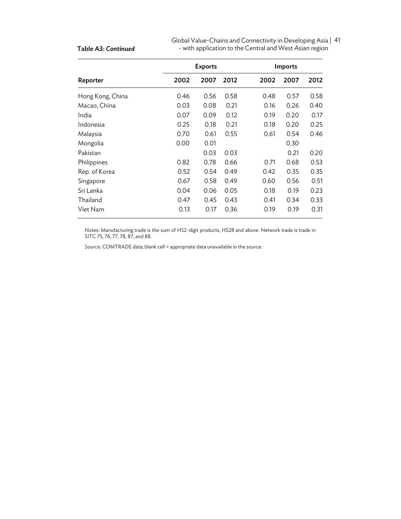| Global Value-Chains and Connectivity in Developing Asia   41 |  |
|--------------------------------------------------------------|--|
| - with application to the Central and West Asian region      |  |

|                  |      | <b>Exports</b> |      |      | Imports |      |
|------------------|------|----------------|------|------|---------|------|
| Reporter         | 2002 | 2007           | 2012 | 2002 | 2007    | 2012 |
| Hong Kong, China | 0.46 | 0.56           | 0.58 | 0.48 | 0.57    | 0.58 |
| Macao, China     | 0.03 | 0.08           | 0.21 | 0.16 | 0.26    | 0.40 |
| India            | 0.07 | 0.09           | 0.12 | 0.19 | 0.20    | 0.17 |
| Indonesia        | 0.25 | 0.18           | 0.21 | 0.18 | 0.20    | 0.25 |
| Malaysia         | 0.70 | 0.61           | 0.55 | 0.61 | 0.54    | 0.46 |
| Mongolia         | 0.00 | 0.01           |      |      | 0.30    |      |
| Pakistan         |      | 0.03           | 0.03 |      | 0.21    | 0.20 |
| Philippines      | 0.82 | 0.78           | 0.66 | 0.71 | 0.68    | 0.53 |
| Rep. of Korea    | 0.52 | 0.54           | 0.49 | 0.42 | 0.35    | 0.35 |
| Singapore        | 0.67 | 0.58           | 0.49 | 0.60 | 0.56    | 0.51 |
| Sri Lanka        | 0.04 | 0.06           | 0.05 | 0.18 | 0.19    | 0.23 |
| Thailand         | 0.47 | 0.45           | 0.43 | 0.41 | 0.34    | 0.33 |
| Viet Nam         | 0.13 | 0.17           | 0.36 | 0.19 | 0.19    | 0.31 |

Notes: Manufacturing trade is the sum of HS2-digit products, HS28 and above. Network trade is trade in SITC 75, 76, 77, 78, 87, and 88.

Source: COMTRADE data; blank cell = appropriate data unavailable in the source.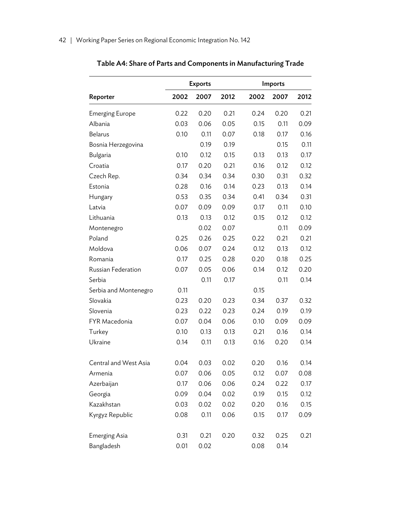|                        |      | <b>Exports</b> | Imports |      |      |      |  |
|------------------------|------|----------------|---------|------|------|------|--|
| Reporter               | 2002 | 2007           | 2012    | 2002 | 2007 | 2012 |  |
| <b>Emerging Europe</b> | 0.22 | 0.20           | 0.21    | 0.24 | 0.20 | 0.21 |  |
| Albania                | 0.03 | 0.06           | 0.05    | 0.15 | 0.11 | 0.09 |  |
| <b>Belarus</b>         | 0.10 | 0.11           | 0.07    | 0.18 | 0.17 | 0.16 |  |
| Bosnia Herzegovina     |      | 0.19           | 0.19    |      | 0.15 | 0.11 |  |
| Bulgaria               | 0.10 | 0.12           | 0.15    | 0.13 | 0.13 | 0.17 |  |
| Croatia                | 0.17 | 0.20           | 0.21    | 0.16 | 0.12 | 0.12 |  |
| Czech Rep.             | 0.34 | 0.34           | 0.34    | 0.30 | 0.31 | 0.32 |  |
| Estonia                | 0.28 | 0.16           | 0.14    | 0.23 | 0.13 | 0.14 |  |
| Hungary                | 0.53 | 0.35           | 0.34    | 0.41 | 0.34 | 0.31 |  |
| Latvia                 | 0.07 | 0.09           | 0.09    | 0.17 | 0.11 | 0.10 |  |
| Lithuania              | 0.13 | 0.13           | 0.12    | 0.15 | 0.12 | 0.12 |  |
| Montenegro             |      | 0.02           | 0.07    |      | 0.11 | 0.09 |  |
| Poland                 | 0.25 | 0.26           | 0.25    | 0.22 | 0.21 | 0.21 |  |
| Moldova                | 0.06 | 0.07           | 0.24    | 0.12 | 0.13 | 0.12 |  |
| Romania                | 0.17 | 0.25           | 0.28    | 0.20 | 0.18 | 0.25 |  |
| Russian Federation     | 0.07 | 0.05           | 0.06    | 0.14 | 0.12 | 0.20 |  |
| Serbia                 |      | 0.11           | 0.17    |      | 0.11 | 0.14 |  |
| Serbia and Montenegro  | 0.11 |                |         | 0.15 |      |      |  |
| Slovakia               | 0.23 | 0.20           | 0.23    | 0.34 | 0.37 | 0.32 |  |
| Slovenia               | 0.23 | 0.22           | 0.23    | 0.24 | 0.19 | 0.19 |  |
| FYR Macedonia          | 0.07 | 0.04           | 0.06    | 0.10 | 0.09 | 0.09 |  |
| Turkey                 | 0.10 | 0.13           | 0.13    | 0.21 | 0.16 | 0.14 |  |
| Ukraine                | 0.14 | 0.11           | 0.13    | 0.16 | 0.20 | 0.14 |  |
| Central and West Asia  | 0.04 | 0.03           | 0.02    | 0.20 | 0.16 | 0.14 |  |
| Armenia                | 0.07 | 0.06           | 0.05    | 0.12 | 0.07 | 0.08 |  |
| Azerbaijan             | 0.17 | 0.06           | 0.06    | 0.24 | 0.22 | 0.17 |  |
| Georgia                | 0.09 | 0.04           | 0.02    | 0.19 | 0.15 | 0.12 |  |
| Kazakhstan             | 0.03 | 0.02           | 0.02    | 0.20 | 0.16 | 0.15 |  |
| Kyrgyz Republic        | 0.08 | 0.11           | 0.06    | 0.15 | 0.17 | 0.09 |  |
| <b>Emerging Asia</b>   | 0.31 | 0.21           | 0.20    | 0.32 | 0.25 | 0.21 |  |
| Bangladesh             | 0.01 | 0.02           |         | 0.08 | 0.14 |      |  |

# Table A4: Share of Parts and Components in Manufacturing Trade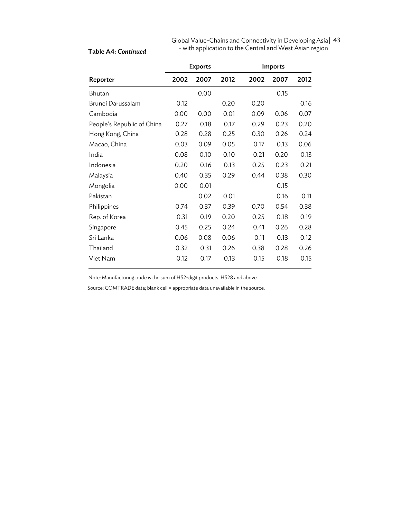| Global Value-Chains and Connectivity in Developing Asia   43 |  |
|--------------------------------------------------------------|--|
| - with application to the Central and West Asian region      |  |

|                            | <b>Exports</b> |      |      | <b>Imports</b> |      |      |
|----------------------------|----------------|------|------|----------------|------|------|
| Reporter                   | 2002           | 2007 | 2012 | 2002           | 2007 | 2012 |
| <b>Bhutan</b>              |                | 0.00 |      |                | 0.15 |      |
| Brunei Darussalam          | 0.12           |      | 0.20 | 0.20           |      | 0.16 |
| Cambodia                   | 0.00           | 0.00 | 0.01 | 0.09           | 0.06 | 0.07 |
| People's Republic of China | 0.27           | 0.18 | 0.17 | 0.29           | 0.23 | 0.20 |
| Hong Kong, China           | 0.28           | 0.28 | 0.25 | 0.30           | 0.26 | 0.24 |
| Macao, China               | 0.03           | 0.09 | 0.05 | 0.17           | 0.13 | 0.06 |
| India                      | 0.08           | 0.10 | 0.10 | 0.21           | 0.20 | 0.13 |
| Indonesia                  | 0.20           | 0.16 | 0.13 | 0.25           | 0.23 | 0.21 |
| Malaysia                   | 0.40           | 0.35 | 0.29 | 0.44           | 0.38 | 0.30 |
| Mongolia                   | 0.00           | 0.01 |      |                | 0.15 |      |
| Pakistan                   |                | 0.02 | 0.01 |                | 0.16 | 0.11 |
| Philippines                | 0.74           | 0.37 | 0.39 | 0.70           | 0.54 | 0.38 |
| Rep. of Korea              | 0.31           | 0.19 | 0.20 | 0.25           | 0.18 | 0.19 |
| Singapore                  | 0.45           | 0.25 | 0.24 | 0.41           | 0.26 | 0.28 |
| Sri Lanka                  | 0.06           | 0.08 | 0.06 | 0.11           | 0.13 | 0.12 |
| Thailand                   | 0.32           | 0.31 | 0.26 | 0.38           | 0.28 | 0.26 |
| Viet Nam                   | 0.12           | 0.17 | 0.13 | 0.15           | 0.18 | 0.15 |

Note: Manufacturing trade is the sum of HS2-digit products, HS28 and above.

Source: COMTRADE data; blank cell = appropriate data unavailable in the source.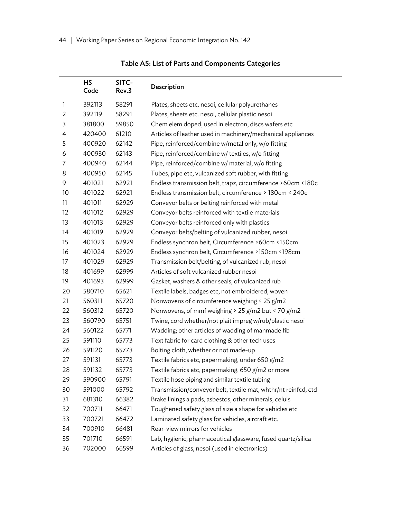|    | <b>HS</b><br>Code | SITC-<br>Rev.3 | Description                                                    |
|----|-------------------|----------------|----------------------------------------------------------------|
| 1  | 392113            | 58291          | Plates, sheets etc. nesoi, cellular polyurethanes              |
| 2  | 392119            | 58291          | Plates, sheets etc. nesoi, cellular plastic nesoi              |
| 3  | 381800            | 59850          | Chem elem doped, used in electron, discs wafers etc            |
| 4  | 420400            | 61210          | Articles of leather used in machinery/mechanical appliances    |
| 5  | 400920            | 62142          | Pipe, reinforced/combine w/metal only, w/o fitting             |
| 6  | 400930            | 62143          | Pipe, reinforced/combine w/ textiles, w/o fitting              |
| 7  | 400940            | 62144          | Pipe, reinforced/combine w/ material, w/o fitting              |
| 8  | 400950            | 62145          | Tubes, pipe etc, vulcanized soft rubber, with fitting          |
| 9  | 401021            | 62921          | Endless transmission belt, trapz, circumference >60cm <180c    |
| 10 | 401022            | 62921          | Endless transmission belt, circumference > 180cm < 240c        |
| 11 | 401011            | 62929          | Conveyor belts or belting reinforced with metal                |
| 12 | 401012            | 62929          | Conveyor belts reinforced with textile materials               |
| 13 | 401013            | 62929          | Conveyor belts reinforced only with plastics                   |
| 14 | 401019            | 62929          | Conveyor belts/belting of vulcanized rubber, nesoi             |
| 15 | 401023            | 62929          | Endless synchron belt, Circumference >60cm <150cm              |
| 16 | 401024            | 62929          | Endless synchron belt, Circumference >150cm <198cm             |
| 17 | 401029            | 62929          | Transmission belt/belting, of vulcanized rub, nesoi            |
| 18 | 401699            | 62999          | Articles of soft vulcanized rubber nesoi                       |
| 19 | 401693            | 62999          | Gasket, washers & other seals, of vulcanized rub               |
| 20 | 580710            | 65621          | Textile labels, badges etc, not embroidered, woven             |
| 21 | 560311            | 65720          | Nonwovens of circumference weighing < 25 g/m2                  |
| 22 | 560312            | 65720          | Nonwovens, of mmf weighing > 25 g/m2 but < 70 g/m2             |
| 23 | 560790            | 65751          | Twine, cord whether/not plait impreg w/rub/plastic nesoi       |
| 24 | 560122            | 65771          | Wadding; other articles of wadding of manmade fib              |
| 25 | 591110            | 65773          | Text fabric for card clothing & other tech uses                |
| 26 | 591120            | 65773          | Bolting cloth, whether or not made-up                          |
| 27 | 591131            | 65773          | Textile fabrics etc, papermaking, under 650 g/m2               |
| 28 | 591132            | 65773          | Textile fabrics etc, papermaking, 650 g/m2 or more             |
| 29 | 590900            | 65791          | Textile hose piping and similar textile tubing                 |
| 30 | 591000            | 65792          | Transmission/conveyor belt, textile mat, whthr/nt reinfcd, ctd |
| 31 | 681310            | 66382          | Brake linings a pads, asbestos, other minerals, celuls         |
| 32 | 700711            | 66471          | Toughened safety glass of size a shape for vehicles etc        |
| 33 | 700721            | 66472          | Laminated safety glass for vehicles, aircraft etc.             |
| 34 | 700910            | 66481          | Rear-view mirrors for vehicles                                 |
| 35 | 701710            | 66591          | Lab, hygienic, pharmaceutical glassware, fused quartz/silica   |
| 36 | 702000            | 66599          | Articles of glass, nesoi (used in electronics)                 |

Table A5: List of Parts and Components Categories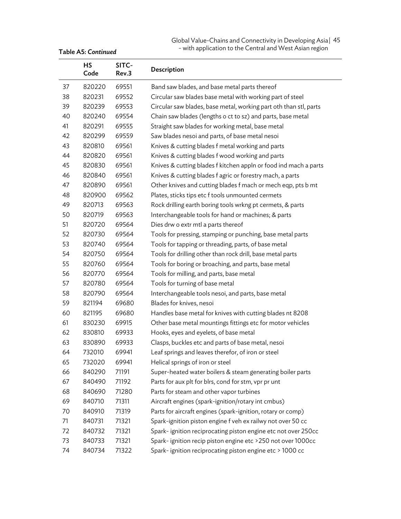Global Value-Chains and Connectivity in Developing Asia | 45 - with application to the Central and West Asian region

|    | <b>HS</b><br>Code | SITC-<br>Rev.3 | Description                                                       |
|----|-------------------|----------------|-------------------------------------------------------------------|
| 37 | 820220            | 69551          | Band saw blades, and base metal parts thereof                     |
| 38 | 820231            | 69552          | Circular saw blades base metal with working part of steel         |
| 39 | 820239            | 69553          | Circular saw blades, base metal, working part oth than stl, parts |
| 40 | 820240            | 69554          | Chain saw blades (lengths o ct to sz) and parts, base metal       |
| 41 | 820291            | 69555          | Straight saw blades for working metal, base metal                 |
| 42 | 820299            | 69559          | Saw blades nesoi and parts, of base metal nesoi                   |
| 43 | 820810            | 69561          | Knives & cutting blades f metal working and parts                 |
| 44 | 820820            | 69561          | Knives & cutting blades f wood working and parts                  |
| 45 | 820830            | 69561          | Knives & cutting blades f kitchen appln or food ind mach a parts  |
| 46 | 820840            | 69561          | Knives & cutting blades f agric or forestry mach, a parts         |
| 47 | 820890            | 69561          | Other knives and cutting blades f mach or mech eqp, pts b mt      |
| 48 | 820900            | 69562          | Plates, sticks tips etc f tools unmounted cermets                 |
| 49 | 820713            | 69563          | Rock drilling earth boring tools wrkng pt cermets, & parts        |
| 50 | 820719            | 69563          | Interchangeable tools for hand or machines; & parts               |
| 51 | 820720            | 69564          | Dies drw o extr mtl a parts thereof                               |
| 52 | 820730            | 69564          | Tools for pressing, stamping or punching, base metal parts        |
| 53 | 820740            | 69564          | Tools for tapping or threading, parts, of base metal              |
| 54 | 820750            | 69564          | Tools for drilling other than rock drill, base metal parts        |
| 55 | 820760            | 69564          | Tools for boring or broaching, and parts, base metal              |
| 56 | 820770            | 69564          | Tools for milling, and parts, base metal                          |
| 57 | 820780            | 69564          | Tools for turning of base metal                                   |
| 58 | 820790            | 69564          | Interchangeable tools nesoi, and parts, base metal                |
| 59 | 821194            | 69680          | Blades for knives, nesoi                                          |
| 60 | 821195            | 69680          | Handles base metal for knives with cutting blades nt 8208         |
| 61 | 830230            | 69915          | Other base metal mountings fittings etc for motor vehicles        |
| 62 | 830810            | 69933          | Hooks, eyes and eyelets, of base metal                            |
| 63 | 830890            | 69933          | Clasps, buckles etc and parts of base metal, nesoi                |
| 64 | 732010            | 69941          | Leaf springs and leaves therefor, of iron or steel                |
| 65 | 732020            | 69941          | Helical springs of iron or steel                                  |
| 66 | 840290            | 71191          | Super-heated water boilers & steam generating boiler parts        |
| 67 | 840490            | 71192          | Parts for aux plt for blrs, cond for stm, vpr pr unt              |
| 68 | 840690            | 71280          | Parts for steam and other vapor turbines                          |
| 69 | 840710            | 71311          | Aircraft engines (spark-ignition/rotary int cmbus)                |
| 70 | 840910            | 71319          | Parts for aircraft engines (spark-ignition, rotary or comp)       |
| 71 | 840731            | 71321          | Spark-ignition piston engine f veh ex railwy not over 50 cc       |
| 72 | 840732            | 71321          | Spark-ignition reciprocating piston engine etc not over 250cc     |
| 73 | 840733            | 71321          | Spark-ignition recip piston engine etc >250 not over 1000cc       |
| 74 | 840734            | 71322          | Spark-ignition reciprocating piston engine etc > 1000 cc          |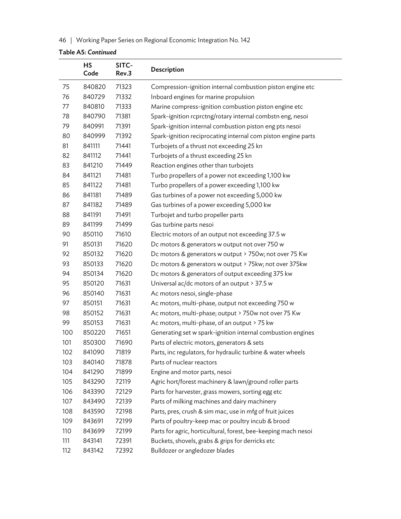### 46 | Working Paper Series on Regional Economic Integration No. 142

|     | <b>HS</b><br>Code | SITC-<br>Rev.3 | <b>Description</b>                                             |
|-----|-------------------|----------------|----------------------------------------------------------------|
| 75  | 840820            | 71323          | Compression-ignition internal combustion piston engine etc     |
| 76  | 840729            | 71332          | Inboard engines for marine propulsion                          |
| 77  | 840810            | 71333          | Marine compress-ignition combustion piston engine etc          |
| 78  | 840790            | 71381          | Spark-ignition rcprctng/rotary internal combstn eng, nesoi     |
| 79  | 840991            | 71391          | Spark-ignition internal combustion piston eng pts nesoi        |
| 80  | 840999            | 71392          | Spark-ignition reciprocating internal com piston engine parts  |
| 81  | 841111            | 71441          | Turbojets of a thrust not exceeding 25 kn                      |
| 82  | 841112            | 71441          | Turbojets of a thrust exceeding 25 kn                          |
| 83  | 841210            | 71449          | Reaction engines other than turbojets                          |
| 84  | 841121            | 71481          | Turbo propellers of a power not exceeding 1,100 kw             |
| 85  | 841122            | 71481          | Turbo propellers of a power exceeding 1,100 kw                 |
| 86  | 841181            | 71489          | Gas turbines of a power not exceeding 5,000 kw                 |
| 87  | 841182            | 71489          | Gas turbines of a power exceeding 5,000 kw                     |
| 88  | 841191            | 71491          | Turbojet and turbo propeller parts                             |
| 89  | 841199            | 71499          | Gas turbine parts nesoi                                        |
| 90  | 850110            | 71610          | Electric motors of an output not exceeding 37.5 w              |
| 91  | 850131            | 71620          | Dc motors & generators w output not over 750 w                 |
| 92  | 850132            | 71620          | Dc motors & generators w output > 750w; not over 75 Kw         |
| 93  | 850133            | 71620          | Dc motors & generators w output > 75kw; not over 375kw         |
| 94  | 850134            | 71620          | Dc motors & generators of output exceeding 375 kw              |
| 95  | 850120            | 71631          | Universal ac/dc motors of an output $>$ 37.5 w                 |
| 96  | 850140            | 71631          | Ac motors nesoi, single-phase                                  |
| 97  | 850151            | 71631          | Ac motors, multi-phase, output not exceeding 750 w             |
| 98  | 850152            | 71631          | Ac motors, multi-phase; output > 750w not over 75 Kw           |
| 99  | 850153            | 71631          | Ac motors, multi-phase, of an output > 75 kw                   |
| 100 | 850220            | 71651          | Generating set w spark-ignition internal combustion engines    |
| 101 | 850300            | 71690          | Parts of electric motors, generators & sets                    |
| 102 | 841090            | 71819          | Parts, inc regulators, for hydraulic turbine & water wheels    |
| 103 | 840140            | 71878          | Parts of nuclear reactors                                      |
| 104 | 841290            | 71899          | Engine and motor parts, nesoi                                  |
| 105 | 843290            | 72119          | Agric hort/forest machinery & lawn/ground roller parts         |
| 106 | 843390            | 72129          | Parts for harvester, grass mowers, sorting egg etc             |
| 107 | 843490            | 72139          | Parts of milking machines and dairy machinery                  |
| 108 | 843590            | 72198          | Parts, pres, crush & sim mac, use in mfg of fruit juices       |
| 109 | 843691            | 72199          | Parts of poultry-keep mac or poultry incub & brood             |
| 110 | 843699            | 72199          | Parts for agric, horticultural, forest, bee-keeping mach nesoi |
| 111 | 843141            | 72391          | Buckets, shovels, grabs & grips for derricks etc               |
| 112 | 843142            | 72392          | Bulldozer or angledozer blades                                 |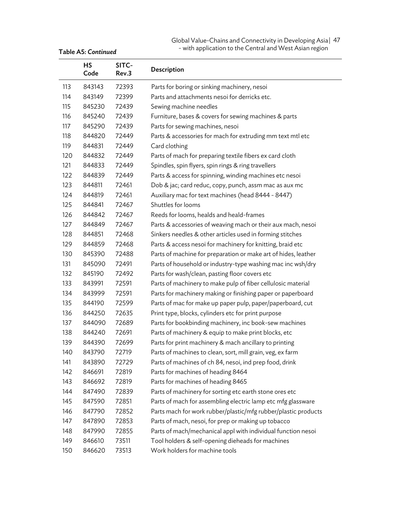#### Global Value-Chains and Connectivity in Developing Asia | 47 - with application to the Central and West Asian region

|     | <b>HS</b><br>Code | SITC-<br>Rev.3 | Description                                                    |
|-----|-------------------|----------------|----------------------------------------------------------------|
| 113 | 843143            | 72393          | Parts for boring or sinking machinery, nesoi                   |
| 114 | 843149            | 72399          | Parts and attachments nesoi for derricks etc.                  |
| 115 | 845230            | 72439          | Sewing machine needles                                         |
| 116 | 845240            | 72439          | Furniture, bases & covers for sewing machines & parts          |
| 117 | 845290            | 72439          | Parts for sewing machines, nesoi                               |
| 118 | 844820            | 72449          | Parts & accessories for mach for extruding mm text mtl etc     |
| 119 | 844831            | 72449          | Card clothing                                                  |
| 120 | 844832            | 72449          | Parts of mach for preparing textile fibers ex card cloth       |
| 121 | 844833            | 72449          | Spindles, spin flyers, spin rings & ring travellers            |
| 122 | 844839            | 72449          | Parts & access for spinning, winding machines etc nesoi        |
| 123 | 844811            | 72461          | Dob & jac; card reduc, copy, punch, assm mac as aux mc         |
| 124 | 844819            | 72461          | Auxiliary mac for text machines (head 8444 - 8447)             |
| 125 | 844841            | 72467          | Shuttles for looms                                             |
| 126 | 844842            | 72467          | Reeds for looms, healds and heald-frames                       |
| 127 | 844849            | 72467          | Parts & accessories of weaving mach or their aux mach, nesoi   |
| 128 | 844851            | 72468          | Sinkers needles & other articles used in forming stitches      |
| 129 | 844859            | 72468          | Parts & access nesoi for machinery for knitting, braid etc     |
| 130 | 845390            | 72488          | Parts of machine for preparation or make art of hides, leather |
| 131 | 845090            | 72491          | Parts of household or industry-type washing mac inc wsh/dry    |
| 132 | 845190            | 72492          | Parts for wash/clean, pasting floor covers etc                 |
| 133 | 843991            | 72591          | Parts of machinery to make pulp of fiber cellulosic material   |
| 134 | 843999            | 72591          | Parts for machinery making or finishing paper or paperboard    |
| 135 | 844190            | 72599          | Parts of mac for make up paper pulp, paper/paperboard, cut     |
| 136 | 844250            | 72635          | Print type, blocks, cylinders etc for print purpose            |
| 137 | 844090            | 72689          | Parts for bookbinding machinery, inc book-sew machines         |
| 138 | 844240            | 72691          | Parts of machinery & equip to make print blocks, etc           |
| 139 | 844390            | 72699          | Parts for print machinery & mach ancillary to printing         |
| 140 | 843790            | 72719          | Parts of machines to clean, sort, mill grain, veg, ex farm     |
| 141 | 843890            | 72729          | Parts of machines of ch 84, nesoi, ind prep food, drink        |
| 142 | 846691            | 72819          | Parts for machines of heading 8464                             |
| 143 | 846692            | 72819          | Parts for machines of heading 8465                             |
| 144 | 847490            | 72839          | Parts of machinery for sorting etc earth stone ores etc        |
| 145 | 847590            | 72851          | Parts of mach for assembling electric lamp etc mfg glassware   |
| 146 | 847790            | 72852          | Parts mach for work rubber/plastic/mfg rubber/plastic products |
| 147 | 847890            | 72853          | Parts of mach, nesoi, for prep or making up tobacco            |
| 148 | 847990            | 72855          | Parts of mach/mechanical appl with individual function nesoi   |
| 149 | 846610            | 73511          | Tool holders & self-opening dieheads for machines              |
| 150 | 846620            | 73513          | Work holders for machine tools                                 |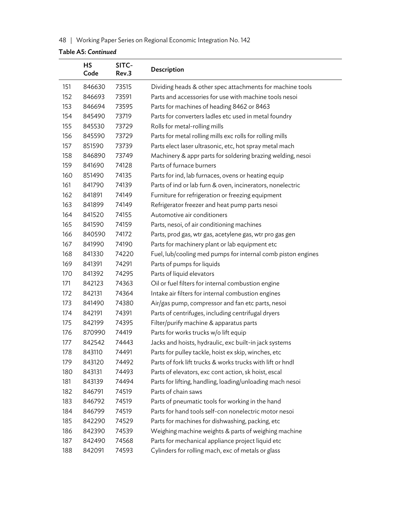48 | Working Paper Series on Regional Economic Integration No. 142

|     | <b>HS</b><br>Code | SITC-<br>Rev.3 | Description                                                  |
|-----|-------------------|----------------|--------------------------------------------------------------|
| 151 | 846630            | 73515          | Dividing heads & other spec attachments for machine tools    |
| 152 | 846693            | 73591          | Parts and accessories for use with machine tools nesoi       |
| 153 | 846694            | 73595          | Parts for machines of heading 8462 or 8463                   |
| 154 | 845490            | 73719          | Parts for converters ladles etc used in metal foundry        |
| 155 | 845530            | 73729          | Rolls for metal-rolling mills                                |
| 156 | 845590            | 73729          | Parts for metal rolling mills exc rolls for rolling mills    |
| 157 | 851590            | 73739          | Parts elect laser ultrasonic, etc, hot spray metal mach      |
| 158 | 846890            | 73749          | Machinery & appr parts for soldering brazing welding, nesoi  |
| 159 | 841690            | 74128          | Parts of furnace burners                                     |
| 160 | 851490            | 74135          | Parts for ind, lab furnaces, ovens or heating equip          |
| 161 | 841790            | 74139          | Parts of ind or lab furn & oven, incinerators, nonelectric   |
| 162 | 841891            | 74149          | Furniture for refrigeration or freezing equipment            |
| 163 | 841899            | 74149          | Refrigerator freezer and heat pump parts nesoi               |
| 164 | 841520            | 74155          | Automotive air conditioners                                  |
| 165 | 841590            | 74159          | Parts, nesoi, of air conditioning machines                   |
| 166 | 840590            | 74172          | Parts, prod gas, wtr gas, acetylene gas, wtr pro gas gen     |
| 167 | 841990            | 74190          | Parts for machinery plant or lab equipment etc               |
| 168 | 841330            | 74220          | Fuel, lub/cooling med pumps for internal comb piston engines |
| 169 | 841391            | 74291          | Parts of pumps for liquids                                   |
| 170 | 841392            | 74295          | Parts of liquid elevators                                    |
| 171 | 842123            | 74363          | Oil or fuel filters for internal combustion engine           |
| 172 | 842131            | 74364          | Intake air filters for internal combustion engines           |
| 173 | 841490            | 74380          | Air/gas pump, compressor and fan etc parts, nesoi            |
| 174 | 842191            | 74391          | Parts of centrifuges, including centrifugal dryers           |
| 175 | 842199            | 74395          | Filter/purify machine & apparatus parts                      |
| 176 | 870990            | 74419          | Parts for works trucks w/o lift equip                        |
| 177 | 842542            | 74443          | Jacks and hoists, hydraulic, exc built-in jack systems       |
| 178 | 843110            | 74491          | Parts for pulley tackle, hoist ex skip, winches, etc         |
| 179 | 843120            | 74492          | Parts of fork lift trucks & works trucks with lift or hndl   |
| 180 | 843131            | 74493          | Parts of elevators, exc cont action, sk hoist, escal         |
| 181 | 843139            | 74494          | Parts for lifting, handling, loading/unloading mach nesoi    |
| 182 | 846791            | 74519          | Parts of chain saws                                          |
| 183 | 846792            | 74519          | Parts of pneumatic tools for working in the hand             |
| 184 | 846799            | 74519          | Parts for hand tools self-con nonelectric motor nesoi        |
| 185 | 842290            | 74529          | Parts for machines for dishwashing, packing, etc             |
| 186 | 842390            | 74539          | Weighing machine weights & parts of weighing machine         |
| 187 | 842490            | 74568          | Parts for mechanical appliance project liquid etc            |
| 188 | 842091            | 74593          | Cylinders for rolling mach, exc of metals or glass           |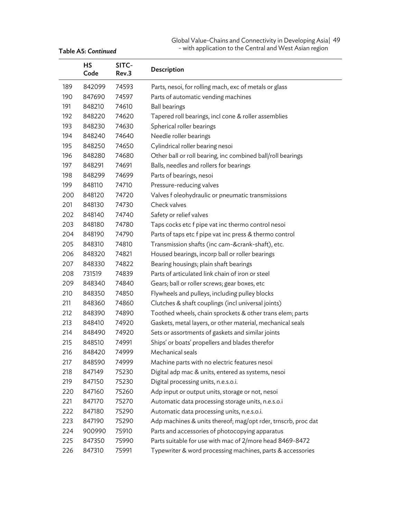#### Global Value-Chains and Connectivity in Developing Asia | 49 - with application to the Central and West Asian region

|     | <b>HS</b><br>Code | SITC-<br>Rev.3 | Description                                                   |
|-----|-------------------|----------------|---------------------------------------------------------------|
| 189 | 842099            | 74593          | Parts, nesoi, for rolling mach, exc of metals or glass        |
| 190 | 847690            | 74597          | Parts of automatic vending machines                           |
| 191 | 848210            | 74610          | <b>Ball bearings</b>                                          |
| 192 | 848220            | 74620          | Tapered roll bearings, incl cone & roller assemblies          |
| 193 | 848230            | 74630          | Spherical roller bearings                                     |
| 194 | 848240            | 74640          | Needle roller bearings                                        |
| 195 | 848250            | 74650          | Cylindrical roller bearing nesoi                              |
| 196 | 848280            | 74680          | Other ball or roll bearing, inc combined ball/roll bearings   |
| 197 | 848291            | 74691          | Balls, needles and rollers for bearings                       |
| 198 | 848299            | 74699          | Parts of bearings, nesoi                                      |
| 199 | 848110            | 74710          | Pressure-reducing valves                                      |
| 200 | 848120            | 74720          | Valves f oleohydraulic or pneumatic transmissions             |
| 201 | 848130            | 74730          | Check valves                                                  |
| 202 | 848140            | 74740          | Safety or relief valves                                       |
| 203 | 848180            | 74780          | Taps cocks etc f pipe vat inc thermo control nesoi            |
| 204 | 848190            | 74790          | Parts of taps etc f pipe vat inc press & thermo control       |
| 205 | 848310            | 74810          | Transmission shafts (inc cam-&crank-shaft), etc.              |
| 206 | 848320            | 74821          | Housed bearings, incorp ball or roller bearings               |
| 207 | 848330            | 74822          | Bearing housings; plain shaft bearings                        |
| 208 | 731519            | 74839          | Parts of articulated link chain of iron or steel              |
| 209 | 848340            | 74840          | Gears; ball or roller screws; gear boxes, etc                 |
| 210 | 848350            | 74850          | Flywheels and pulleys, including pulley blocks                |
| 211 | 848360            | 74860          | Clutches & shaft couplings (incl universal joints)            |
| 212 | 848390            | 74890          | Toothed wheels, chain sprockets & other trans elem; parts     |
| 213 | 848410            | 74920          | Gaskets, metal layers, or other material, mechanical seals    |
| 214 | 848490            | 74920          | Sets or assortments of gaskets and similar joints             |
| 215 | 848510            | 74991          | Ships' or boats' propellers and blades therefor               |
| 216 | 848420            | 74999          | Mechanical seals                                              |
| 217 | 848590            | 74999          | Machine parts with no electric features nesoi                 |
| 218 | 847149            | 75230          | Digital adp mac & units, entered as systems, nesoi            |
| 219 | 847150            | 75230          | Digital processing units, n.e.s.o.i.                          |
| 220 | 847160            | 75260          | Adp input or output units, storage or not, nesoi              |
| 221 | 847170            | 75270          | Automatic data processing storage units, n.e.s.o.i            |
| 222 | 847180            | 75290          | Automatic data processing units, n.e.s.o.i.                   |
| 223 | 847190            | 75290          | Adp machines & units thereof; mag/opt rder, trnscrb, proc dat |
| 224 | 900990            | 75910          | Parts and accessories of photocopying apparatus               |
| 225 | 847350            | 75990          | Parts suitable for use with mac of 2/more head 8469-8472      |
| 226 | 847310            | 75991          | Typewriter & word processing machines, parts & accessories    |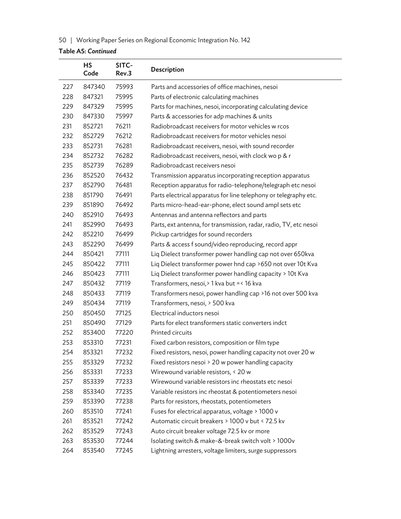50 | Working Paper Series on Regional Economic Integration No. 142

|     | HS<br>Code | SITC-<br>Rev.3 | Description                                                       |
|-----|------------|----------------|-------------------------------------------------------------------|
| 227 | 847340     | 75993          | Parts and accessories of office machines, nesoi                   |
| 228 | 847321     | 75995          | Parts of electronic calculating machines                          |
| 229 | 847329     | 75995          | Parts for machines, nesoi, incorporating calculating device       |
| 230 | 847330     | 75997          | Parts & accessories for adp machines & units                      |
| 231 | 852721     | 76211          | Radiobroadcast receivers for motor vehicles w rcos                |
| 232 | 852729     | 76212          | Radiobroadcast receivers for motor vehicles nesoi                 |
| 233 | 852731     | 76281          | Radiobroadcast receivers, nesoi, with sound recorder              |
| 234 | 852732     | 76282          | Radiobroadcast receivers, nesoi, with clock wo p & r              |
| 235 | 852739     | 76289          | Radiobroadcast receivers nesoi                                    |
| 236 | 852520     | 76432          | Transmission apparatus incorporating reception apparatus          |
| 237 | 852790     | 76481          | Reception apparatus for radio-telephone/telegraph etc nesoi       |
| 238 | 851790     | 76491          | Parts electrical apparatus for line telephony or telegraphy etc.  |
| 239 | 851890     | 76492          | Parts micro-head-ear-phone, elect sound ampl sets etc             |
| 240 | 852910     | 76493          | Antennas and antenna reflectors and parts                         |
| 241 | 852990     | 76493          | Parts, ext antenna, for transmission, radar, radio, TV, etc nesoi |
| 242 | 852210     | 76499          | Pickup cartridges for sound recorders                             |
| 243 | 852290     | 76499          | Parts & access f sound/video reproducing, record appr             |
| 244 | 850421     | 77111          | Liq Dielect transformer power handling cap not over 650kva        |
| 245 | 850422     | 77111          | Liq Dielect transformer power hnd cap >650 not over 10t Kva       |
| 246 | 850423     | 77111          | Liq Dielect transformer power handling capacity > 10t Kva         |
| 247 | 850432     | 77119          | Transformers, nesoi, > 1 kva but = < 16 kva                       |
| 248 | 850433     | 77119          | Transformers nesoi, power handling cap > 16 not over 500 kva      |
| 249 | 850434     | 77119          | Transformers, nesoi, > 500 kva                                    |
| 250 | 850450     | 77125          | Electrical inductors nesoi                                        |
| 251 | 850490     | 77129          | Parts for elect transformers static converters indct              |
| 252 | 853400     | 77220          | Printed circuits                                                  |
| 253 | 853310     | 77231          | Fixed carbon resistors, composition or film type                  |
| 254 | 853321     | 77232          | Fixed resistors, nesoi, power handling capacity not over 20 w     |
| 255 | 853329     | 77232          | Fixed resistors nesoi > 20 w power handling capacity              |
| 256 | 853331     | 77233          | Wirewound variable resistors, < 20 w                              |
| 257 | 853339     | 77233          | Wirewound variable resistors inc rheostats etc nesoi              |
| 258 | 853340     | 77235          | Variable resistors inc rheostat & potentiometers nesoi            |
| 259 | 853390     | 77238          | Parts for resistors, rheostats, potentiometers                    |
| 260 | 853510     | 77241          | Fuses for electrical apparatus, voltage > 1000 v                  |
| 261 | 853521     | 77242          | Automatic circuit breakers > 1000 v but < 72.5 kv                 |
| 262 | 853529     | 77243          | Auto circuit breaker voltage 72.5 kv or more                      |
| 263 | 853530     | 77244          | Isolating switch & make-&-break switch volt > 1000v               |
| 264 | 853540     | 77245          | Lightning arresters, voltage limiters, surge suppressors          |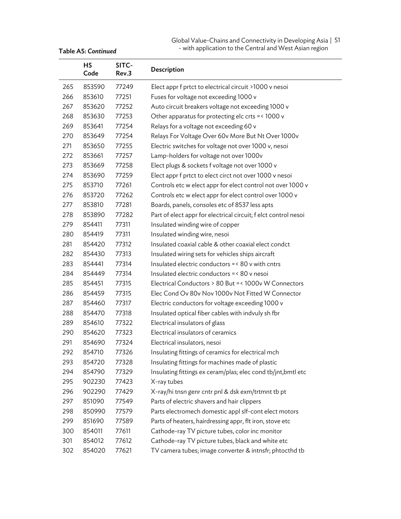| Global Value-Chains and Connectivity in Developing Asia   51 |  |
|--------------------------------------------------------------|--|
| - with application to the Central and West Asian region      |  |

|     | HS<br>Code | SITC-<br>Rev.3 | Description                                                     |
|-----|------------|----------------|-----------------------------------------------------------------|
| 265 | 853590     | 77249          | Elect appr f prtct to electrical circuit >1000 v nesoi          |
| 266 | 853610     | 77251          | Fuses for voltage not exceeding 1000 v                          |
| 267 | 853620     | 77252          | Auto circuit breakers voltage not exceeding 1000 v              |
| 268 | 853630     | 77253          | Other apparatus for protecting elc crts = < 1000 v              |
| 269 | 853641     | 77254          | Relays for a voltage not exceeding 60 v                         |
| 270 | 853649     | 77254          | Relays For Voltage Over 60v More But Nt Over 1000v              |
| 271 | 853650     | 77255          | Electric switches for voltage not over 1000 v, nesoi            |
| 272 | 853661     | 77257          | Lamp-holders for voltage not over 1000v                         |
| 273 | 853669     | 77258          | Elect plugs & sockets f voltage not over 1000 v                 |
| 274 | 853690     | 77259          | Elect appr f prtct to elect circt not over 1000 v nesoi         |
| 275 | 853710     | 77261          | Controls etc w elect appr for elect control not over 1000 v     |
| 276 | 853720     | 77262          | Controls etc w elect appr for elect control over 1000 v         |
| 277 | 853810     | 77281          | Boards, panels, consoles etc of 8537 less apts                  |
| 278 | 853890     | 77282          | Part of elect appr for electrical circuit; f elct control nesoi |
| 279 | 854411     | 77311          | Insulated winding wire of copper                                |
| 280 | 854419     | 77311          | Insulated winding wire, nesoi                                   |
| 281 | 854420     | 77312          | Insulated coaxial cable & other coaxial elect condct            |
| 282 | 854430     | 77313          | Insulated wiring sets for vehicles ships aircraft               |
| 283 | 854441     | 77314          | Insulated electric conductors = < 80 v with cntrs               |
| 284 | 854449     | 77314          | Insulated electric conductors = < 80 v nesoi                    |
| 285 | 854451     | 77315          | Electrical Conductors > 80 But =< 1000v W Connectors            |
| 286 | 854459     | 77315          | Elec Cond Ov 80v Nov 1000v Not Fitted W Connector               |
| 287 | 854460     | 77317          | Electric conductors for voltage exceeding 1000 v                |
| 288 | 854470     | 77318          | Insulated optical fiber cables with indvuly sh fbr              |
| 289 | 854610     | 77322          | Electrical insulators of glass                                  |
| 290 | 854620     | 77323          | Electrical insulators of ceramics                               |
| 291 | 854690     | 77324          | Electrical insulators, nesoi                                    |
| 292 | 854710     | 77326          | Insulating fittings of ceramics for electrical mch              |
| 293 | 854720     | 77328          | Insulating fittings for machines made of plastic                |
| 294 | 854790     | 77329          | Insulating fittings ex ceram/plas; elec cond tb/jnt,bmtl etc    |
| 295 | 902230     | 77423          | X-ray tubes                                                     |
| 296 | 902290     | 77429          | X-ray/hi tnsn genr cntr pnl & dsk exm/trtmnt tb pt              |
| 297 | 851090     | 77549          | Parts of electric shavers and hair clippers                     |
| 298 | 850990     | 77579          | Parts electromech domestic appl slf-cont elect motors           |
| 299 | 851690     | 77589          | Parts of heaters, hairdressing appr, flt iron, stove etc        |
| 300 | 854011     | 77611          | Cathode-ray TV picture tubes, color inc monitor                 |
| 301 | 854012     | 77612          | Cathode-ray TV picture tubes, black and white etc               |
| 302 | 854020     | 77621          | TV camera tubes; image converter & intnsfr; phtocthd tb         |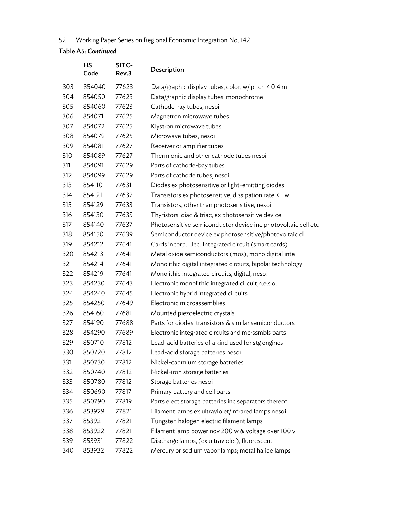## 52 | Working Paper Series on Regional Economic Integration No. 142

|     | HS<br>Code | SITC-<br>Rev.3 | Description                                                   |
|-----|------------|----------------|---------------------------------------------------------------|
| 303 | 854040     | 77623          | Data/graphic display tubes, color, w/ pitch < 0.4 m           |
| 304 | 854050     | 77623          | Data/graphic display tubes, monochrome                        |
| 305 | 854060     | 77623          | Cathode-ray tubes, nesoi                                      |
| 306 | 854071     | 77625          | Magnetron microwave tubes                                     |
| 307 | 854072     | 77625          | Klystron microwave tubes                                      |
| 308 | 854079     | 77625          | Microwave tubes, nesoi                                        |
| 309 | 854081     | 77627          | Receiver or amplifier tubes                                   |
| 310 | 854089     | 77627          | Thermionic and other cathode tubes nesoi                      |
| 311 | 854091     | 77629          | Parts of cathode-bay tubes                                    |
| 312 | 854099     | 77629          | Parts of cathode tubes, nesoi                                 |
| 313 | 854110     | 77631          | Diodes ex photosensitive or light-emitting diodes             |
| 314 | 854121     | 77632          | Transistors ex photosensitive, dissipation rate < 1 w         |
| 315 | 854129     | 77633          | Transistors, other than photosensitive, nesoi                 |
| 316 | 854130     | 77635          | Thyristors, diac & triac, ex photosensitive device            |
| 317 | 854140     | 77637          | Photosensitive semiconductor device inc photovoltaic cell etc |
| 318 | 854150     | 77639          | Semiconductor device ex photosensitive/photovoltaic cl        |
| 319 | 854212     | 77641          | Cards incorp. Elec. Integrated circuit (smart cards)          |
| 320 | 854213     | 77641          | Metal oxide semiconductors (mos), mono digital inte           |
| 321 | 854214     | 77641          | Monolithic digital integrated circuits, bipolar technology    |
| 322 | 854219     | 77641          | Monolithic integrated circuits, digital, nesoi                |
| 323 | 854230     | 77643          | Electronic monolithic integrated circuit, n.e.s.o.            |
| 324 | 854240     | 77645          | Electronic hybrid integrated circuits                         |
| 325 | 854250     | 77649          | Electronic microassemblies                                    |
| 326 | 854160     | 77681          | Mounted piezoelectric crystals                                |
| 327 | 854190     | 77688          | Parts for diodes, transistors & similar semiconductors        |
| 328 | 854290     | 77689          | Electronic integrated circuits and mcrssmbls parts            |
| 329 | 850710     | 77812          | Lead-acid batteries of a kind used for stg engines            |
| 330 | 850720     | 77812          | Lead-acid storage batteries nesoi                             |
| 331 | 850730     | 77812          | Nickel-cadmium storage batteries                              |
| 332 | 850740     | 77812          | Nickel-iron storage batteries                                 |
| 333 | 850780     | 77812          | Storage batteries nesoi                                       |
| 334 | 850690     | 77817          | Primary battery and cell parts                                |
| 335 | 850790     | 77819          | Parts elect storage batteries inc separators thereof          |
| 336 | 853929     | 77821          | Filament lamps ex ultraviolet/infrared lamps nesoi            |
| 337 | 853921     | 77821          | Tungsten halogen electric filament lamps                      |
| 338 | 853922     | 77821          | Filament lamp power nov 200 w & voltage over 100 v            |
| 339 | 853931     | 77822          | Discharge lamps, (ex ultraviolet), fluorescent                |
| 340 | 853932     | 77822          | Mercury or sodium vapor lamps; metal halide lamps             |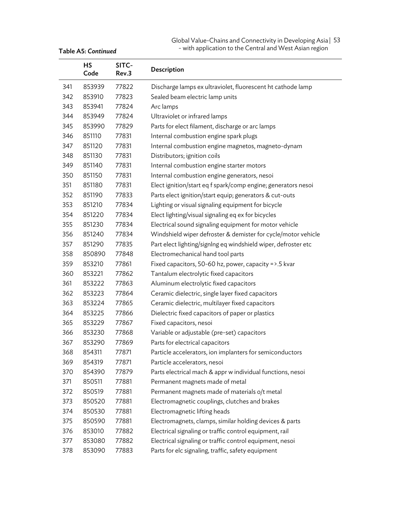| Global Value-Chains and Connectivity in Developing Asia   53 |  |
|--------------------------------------------------------------|--|
| - with application to the Central and West Asian region      |  |

|     | <b>HS</b><br>Code | SITC-<br>Rev.3 | Description                                                    |
|-----|-------------------|----------------|----------------------------------------------------------------|
| 341 | 853939            | 77822          | Discharge lamps ex ultraviolet, fluorescent ht cathode lamp    |
| 342 | 853910            | 77823          | Sealed beam electric lamp units                                |
| 343 | 853941            | 77824          | Arc lamps                                                      |
| 344 | 853949            | 77824          | Ultraviolet or infrared lamps                                  |
| 345 | 853990            | 77829          | Parts for elect filament, discharge or arc lamps               |
| 346 | 851110            | 77831          | Internal combustion engine spark plugs                         |
| 347 | 851120            | 77831          | Internal combustion engine magnetos, magneto-dynam             |
| 348 | 851130            | 77831          | Distributors; ignition coils                                   |
| 349 | 851140            | 77831          | Internal combustion engine starter motors                      |
| 350 | 851150            | 77831          | Internal combustion engine generators, nesoi                   |
| 351 | 851180            | 77831          | Elect ignition/start eq f spark/comp engine; generators nesoi  |
| 352 | 851190            | 77833          | Parts elect ignition/start equip; generators & cut-outs        |
| 353 | 851210            | 77834          | Lighting or visual signaling equipment for bicycle             |
| 354 | 851220            | 77834          | Elect lighting/visual signaling eq ex for bicycles             |
| 355 | 851230            | 77834          | Electrical sound signaling equipment for motor vehicle         |
| 356 | 851240            | 77834          | Windshield wiper defroster & demister for cycle/motor vehicle  |
| 357 | 851290            | 77835          | Part elect lighting/signlng eq windshield wiper, defroster etc |
| 358 | 850890            | 77848          | Electromechanical hand tool parts                              |
| 359 | 853210            | 77861          | Fixed capacitors, 50-60 hz, power, capacity =>.5 kvar          |
| 360 | 853221            | 77862          | Tantalum electrolytic fixed capacitors                         |
| 361 | 853222            | 77863          | Aluminum electrolytic fixed capacitors                         |
| 362 | 853223            | 77864          | Ceramic dielectric, single layer fixed capacitors              |
| 363 | 853224            | 77865          | Ceramic dielectric, multilayer fixed capacitors                |
| 364 | 853225            | 77866          | Dielectric fixed capacitors of paper or plastics               |
| 365 | 853229            | 77867          | Fixed capacitors, nesoi                                        |
| 366 | 853230            | 77868          | Variable or adjustable (pre-set) capacitors                    |
| 367 | 853290            | 77869          | Parts for electrical capacitors                                |
| 368 | 854311            | 77871          | Particle accelerators, ion implanters for semiconductors       |
| 369 | 854319            | 77871          | Particle accelerators, nesoi                                   |
| 370 | 854390            | 77879          | Parts electrical mach & appr w individual functions, nesoi     |
| 371 | 850511            | 77881          | Permanent magnets made of metal                                |
| 372 | 850519            | 77881          | Permanent magnets made of materials o/t metal                  |
| 373 | 850520            | 77881          | Electromagnetic couplings, clutches and brakes                 |
| 374 | 850530            | 77881          | Electromagnetic lifting heads                                  |
| 375 | 850590            | 77881          | Electromagnets, clamps, similar holding devices & parts        |
| 376 | 853010            | 77882          | Electrical signaling or traffic control equipment, rail        |
| 377 | 853080            | 77882          | Electrical signaling or traffic control equipment, nesoi       |
| 378 | 853090            | 77883          | Parts for elc signaling, traffic, safety equipment             |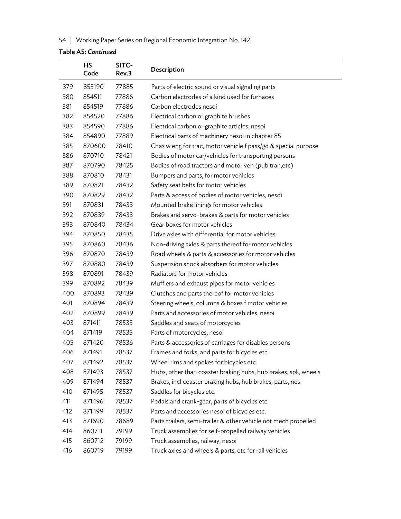## 54 | Working Paper Series on Regional Economic Integration No. 142

|     | HS<br>Code | SITC-<br>Rev.3 | Description                                                     |
|-----|------------|----------------|-----------------------------------------------------------------|
| 379 | 853190     | 77885          | Parts of electric sound or visual signaling parts               |
| 380 | 854511     | 77886          | Carbon electrodes of a kind used for furnaces                   |
| 381 | 854519     | 77886          | Carbon electrodes nesoi                                         |
| 382 | 854520     | 77886          | Electrical carbon or graphite brushes                           |
| 383 | 854590     | 77886          | Electrical carbon or graphite articles, nesoi                   |
| 384 | 854890     | 77889          | Electrical parts of machinery nesoi in chapter 85               |
| 385 | 870600     | 78410          | Chas w eng for trac, motor vehicle f pass/gd & special purpose  |
| 386 | 870710     | 78421          | Bodies of motor car/vehicles for transporting persons           |
| 387 | 870790     | 78425          | Bodies of road tractors and motor veh (pub tran, etc)           |
| 388 | 870810     | 78431          | Bumpers and parts, for motor vehicles                           |
| 389 | 870821     | 78432          | Safety seat belts for motor vehicles                            |
| 390 | 870829     | 78432          | Parts & access of bodies of motor vehicles, nesoi               |
| 391 | 870831     | 78433          | Mounted brake linings for motor vehicles                        |
| 392 | 870839     | 78433          | Brakes and servo-brakes & parts for motor vehicles              |
| 393 | 870840     | 78434          | Gear boxes for motor vehicles                                   |
| 394 | 870850     | 78435          | Drive axles with differential for motor vehicles                |
| 395 | 870860     | 78436          | Non-driving axles & parts thereof for motor vehicles            |
| 396 | 870870     | 78439          | Road wheels & parts & accessories for motor vehicles            |
| 397 | 870880     | 78439          | Suspension shock absorbers for motor vehicles                   |
| 398 | 870891     | 78439          | Radiators for motor vehicles                                    |
| 399 | 870892     | 78439          | Mufflers and exhaust pipes for motor vehicles                   |
| 400 | 870893     | 78439          | Clutches and parts thereof for motor vehicles                   |
| 401 | 870894     | 78439          | Steering wheels, columns & boxes f motor vehicles               |
| 402 | 870899     | 78439          | Parts and accessories of motor vehicles, nesoi                  |
| 403 | 871411     | 78535          | Saddles and seats of motorcycles                                |
| 404 | 871419     | 78535          | Parts of motorcycles, nesoi                                     |
| 405 | 871420     | 78536          | Parts & accessories of carriages for disables persons           |
| 406 | 871491     | 78537          | Frames and forks, and parts for bicycles etc.                   |
| 407 | 871492     | 78537          | Wheel rims and spokes for bicycles etc.                         |
| 408 | 871493     | 78537          | Hubs, other than coaster braking hubs, hub brakes, spk, wheels  |
| 409 | 871494     | 78537          | Brakes, incl coaster braking hubs, hub brakes, parts, nes       |
| 410 | 871495     | 78537          | Saddles for bicycles etc.                                       |
| 411 | 871496     | 78537          | Pedals and crank-gear, parts of bicycles etc.                   |
| 412 | 871499     | 78537          | Parts and accessories nesoi of bicycles etc.                    |
| 413 | 871690     | 78689          | Parts trailers, semi-trailer & other vehicle not mech propelled |
| 414 | 860711     | 79199          | Truck assemblies for self-propelled railway vehicles            |
| 415 | 860712     | 79199          | Truck assemblies, railway, nesoi                                |
| 416 | 860719     | 79199          | Truck axles and wheels & parts, etc for rail vehicles           |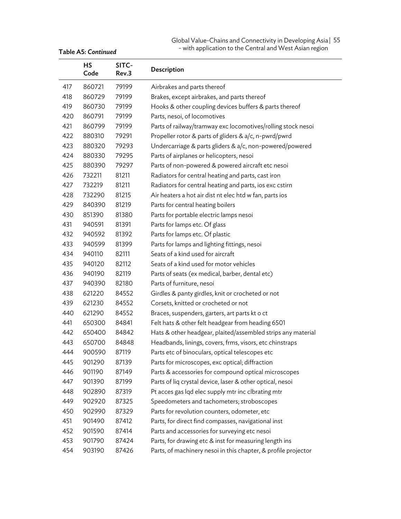#### Global Value-Chains and Connectivity in Developing Asia | 55 - with application to the Central and West Asian region

|     | <b>HS</b><br>Code | SITC-<br>Rev.3 | Description                                                    |
|-----|-------------------|----------------|----------------------------------------------------------------|
| 417 | 860721            | 79199          | Airbrakes and parts thereof                                    |
| 418 | 860729            | 79199          | Brakes, except airbrakes, and parts thereof                    |
| 419 | 860730            | 79199          | Hooks & other coupling devices buffers & parts thereof         |
| 420 | 860791            | 79199          | Parts, nesoi, of locomotives                                   |
| 421 | 860799            | 79199          | Parts of railway/tramway exc locomotives/rolling stock nesoi   |
| 422 | 880310            | 79291          | Propeller rotor & parts of gliders & a/c, n-pwrd/pwrd          |
| 423 | 880320            | 79293          | Undercarriage & parts gliders & a/c, non-powered/powered       |
| 424 | 880330            | 79295          | Parts of airplanes or helicopters, nesoi                       |
| 425 | 880390            | 79297          | Parts of non-powered & powered aircraft etc nesoi              |
| 426 | 732211            | 81211          | Radiators for central heating and parts, cast iron             |
| 427 | 732219            | 81211          | Radiators for central heating and parts, ios exc cstirn        |
| 428 | 732290            | 81215          | Air heaters a hot air dist nt elec htd w fan, parts ios        |
| 429 | 840390            | 81219          | Parts for central heating boilers                              |
| 430 | 851390            | 81380          | Parts for portable electric lamps nesoi                        |
| 431 | 940591            | 81391          | Parts for lamps etc. Of glass                                  |
| 432 | 940592            | 81392          | Parts for lamps etc. Of plastic                                |
| 433 | 940599            | 81399          | Parts for lamps and lighting fittings, nesoi                   |
| 434 | 940110            | 82111          | Seats of a kind used for aircraft                              |
| 435 | 940120            | 82112          | Seats of a kind used for motor vehicles                        |
| 436 | 940190            | 82119          | Parts of seats (ex medical, barber, dental etc)                |
| 437 | 940390            | 82180          | Parts of furniture, nesoi                                      |
| 438 | 621220            | 84552          | Girdles & panty girdles, knit or crocheted or not              |
| 439 | 621230            | 84552          | Corsets, knitted or crocheted or not                           |
| 440 | 621290            | 84552          | Braces, suspenders, garters, art parts kt o ct                 |
| 441 | 650300            | 84841          | Felt hats & other felt headgear from heading 6501              |
| 442 | 650400            | 84842          | Hats & other headgear, plaited/assembled strips any material   |
| 443 | 650700            | 84848          | Headbands, linings, covers, frms, visors, etc chinstraps       |
| 444 | 900590            | 87119          | Parts etc of binoculars, optical telescopes etc                |
| 445 | 901290            | 87139          | Parts for microscopes, exc optical; diffraction                |
| 446 | 901190            | 87149          | Parts & accessories for compound optical microscopes           |
| 447 | 901390            | 87199          | Parts of liq crystal device, laser & other optical, nesoi      |
| 448 | 902890            | 87319          | Pt acces gas lqd elec supply mtr inc clbrating mtr             |
| 449 | 902920            | 87325          | Speedometers and tachometers; stroboscopes                     |
| 450 | 902990            | 87329          | Parts for revolution counters, odometer, etc                   |
| 451 | 901490            | 87412          | Parts, for direct find compasses, navigational inst            |
| 452 | 901590            | 87414          | Parts and accessories for surveying etc nesoi                  |
| 453 | 901790            | 87424          | Parts, for drawing etc & inst for measuring length ins         |
| 454 | 903190            | 87426          | Parts, of machinery nesoi in this chapter, & profile projector |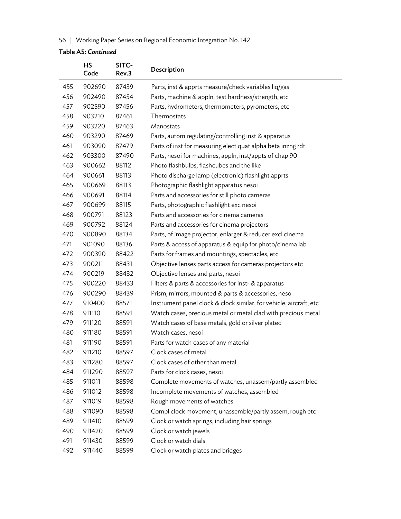## 56. | Working Paper Series on Regional Economic Integration No. 142

|     | <b>HS</b><br>Code | SITC-<br>Rev.3 | Description                                                        |
|-----|-------------------|----------------|--------------------------------------------------------------------|
| 455 | 902690            | 87439          | Parts, inst & apprts measure/check variables liq/gas               |
| 456 | 902490            | 87454          | Parts, machine & appln, test hardness/strength, etc                |
| 457 | 902590            | 87456          | Parts, hydrometers, thermometers, pyrometers, etc                  |
| 458 | 903210            | 87461          | Thermostats                                                        |
| 459 | 903220            | 87463          | Manostats                                                          |
| 460 | 903290            | 87469          | Parts, autom regulating/controlling inst & apparatus               |
| 461 | 903090            | 87479          | Parts of inst for measuring elect quat alpha beta inzng rdt        |
| 462 | 903300            | 87490          | Parts, nesoi for machines, appln, inst/appts of chap 90            |
| 463 | 900662            | 88112          | Photo flashbulbs, flashcubes and the like                          |
| 464 | 900661            | 88113          | Photo discharge lamp (electronic) flashlight apprts                |
| 465 | 900669            | 88113          | Photographic flashlight apparatus nesoi                            |
| 466 | 900691            | 88114          | Parts and accessories for still photo cameras                      |
| 467 | 900699            | 88115          | Parts, photographic flashlight exc nesoi                           |
| 468 | 900791            | 88123          | Parts and accessories for cinema cameras                           |
| 469 | 900792            | 88124          | Parts and accessories for cinema projectors                        |
| 470 | 900890            | 88134          | Parts, of image projector, enlarger & reducer excl cinema          |
| 471 | 901090            | 88136          | Parts & access of apparatus & equip for photo/cinema lab           |
| 472 | 900390            | 88422          | Parts for frames and mountings, spectacles, etc                    |
| 473 | 900211            | 88431          | Objective lenses parts access for cameras projectors etc           |
| 474 | 900219            | 88432          | Objective lenses and parts, nesoi                                  |
| 475 | 900220            | 88433          | Filters & parts & accessories for instr & apparatus                |
| 476 | 900290            | 88439          | Prism, mirrors, mounted & parts & accessories, neso                |
| 477 | 910400            | 88571          | Instrument panel clock & clock similar, for vehicle, aircraft, etc |
| 478 | 911110            | 88591          | Watch cases, precious metal or metal clad with precious metal      |
| 479 | 911120            | 88591          | Watch cases of base metals, gold or silver plated                  |
| 480 | 911180            | 88591          | Watch cases, nesoi                                                 |
| 481 | 911190            | 88591          | Parts for watch cases of any material                              |
| 482 | 911210            | 88597          | Clock cases of metal                                               |
| 483 | 911280            | 88597          | Clock cases of other than metal                                    |
| 484 | 911290            | 88597          | Parts for clock cases, nesoi                                       |
| 485 | 911011            | 88598          | Complete movements of watches, unassem/partly assembled            |
| 486 | 911012            | 88598          | Incomplete movements of watches, assembled                         |
| 487 | 911019            | 88598          | Rough movements of watches                                         |
| 488 | 911090            | 88598          | Compl clock movement, unassemble/partly assem, rough etc           |
| 489 | 911410            | 88599          | Clock or watch springs, including hair springs                     |
| 490 | 911420            | 88599          | Clock or watch jewels                                              |
| 491 | 911430            | 88599          | Clock or watch dials                                               |
| 492 | 911440            | 88599          | Clock or watch plates and bridges                                  |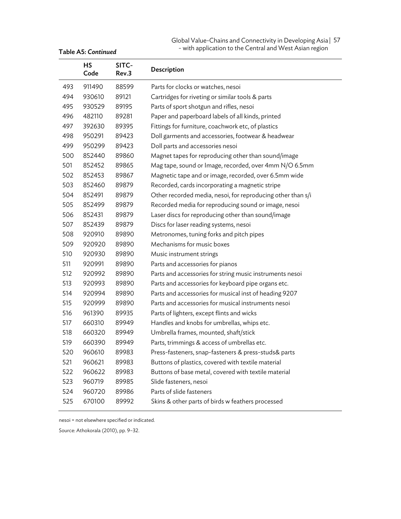#### Global Value-Chains and Connectivity in Developing Asia | 57 - with application to the Central and West Asian region

|     | <b>HS</b><br>Code | SITC-<br>Rev.3 | Description                                                 |
|-----|-------------------|----------------|-------------------------------------------------------------|
| 493 | 911490            | 88599          | Parts for clocks or watches, nesoi                          |
| 494 | 930610            | 89121          | Cartridges for riveting or similar tools & parts            |
| 495 | 930529            | 89195          | Parts of sport shotgun and rifles, nesoi                    |
| 496 | 482110            | 89281          | Paper and paperboard labels of all kinds, printed           |
| 497 | 392630            | 89395          | Fittings for furniture, coachwork etc, of plastics          |
| 498 | 950291            | 89423          | Doll garments and accessories, footwear & headwear          |
| 499 | 950299            | 89423          | Doll parts and accessories nesoi                            |
| 500 | 852440            | 89860          | Magnet tapes for reproducing other than sound/image         |
| 501 | 852452            | 89865          | Mag tape, sound or Image, recorded, over 4mm N/O 6.5mm      |
| 502 | 852453            | 89867          | Magnetic tape and or image, recorded, over 6.5mm wide       |
| 503 | 852460            | 89879          | Recorded, cards incorporating a magnetic stripe             |
| 504 | 852491            | 89879          | Other recorded media, nesoi, for reproducing other than s/i |
| 505 | 852499            | 89879          | Recorded media for reproducing sound or image, nesoi        |
| 506 | 852431            | 89879          | Laser discs for reproducing other than sound/image          |
| 507 | 852439            | 89879          | Discs for laser reading systems, nesoi                      |
| 508 | 920910            | 89890          | Metronomes, tuning forks and pitch pipes                    |
| 509 | 920920            | 89890          | Mechanisms for music boxes                                  |
| 510 | 920930            | 89890          | Music instrument strings                                    |
| 511 | 920991            | 89890          | Parts and accessories for pianos                            |
| 512 | 920992            | 89890          | Parts and accessories for string music instruments nesoi    |
| 513 | 920993            | 89890          | Parts and accessories for keyboard pipe organs etc.         |
| 514 | 920994            | 89890          | Parts and accessories for musical inst of heading 9207      |
| 515 | 920999            | 89890          | Parts and accessories for musical instruments nesoi         |
| 516 | 961390            | 89935          | Parts of lighters, except flints and wicks                  |
| 517 | 660310            | 89949          | Handles and knobs for umbrellas, whips etc.                 |
| 518 | 660320            | 89949          | Umbrella frames, mounted, shaft/stick                       |
| 519 | 660390            | 89949          | Parts, trimmings & access of umbrellas etc.                 |
| 520 | 960610            | 89983          | Press-fasteners, snap-fasteners & press-studs& parts        |
| 521 | 960621            | 89983          | Buttons of plastics, covered with textile material          |
| 522 | 960622            | 89983          | Buttons of base metal, covered with textile material        |
| 523 | 960719            | 89985          | Slide fasteners, nesoi                                      |
| 524 | 960720            | 89986          | Parts of slide fasteners                                    |
| 525 | 670100            | 89992          | Skins & other parts of birds w feathers processed           |

nesoi = not elsewhere specified or indicated.

Source: Athokorala (2010), pp. 9–32.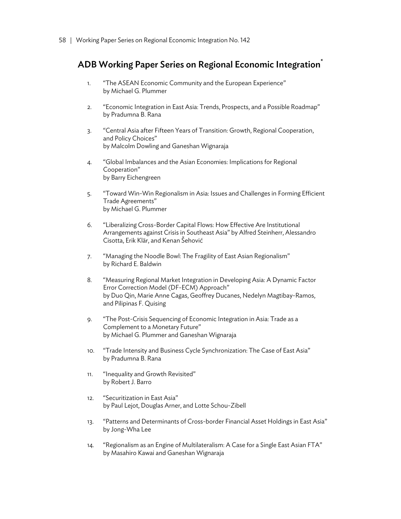# ADB Working Paper Series on Regional Economic Integration<sup>\*</sup>

- 1. "The ASEAN Economic Community and the European Experience" by Michael G. Plummer
- 2. "Economic Integration in East Asia: Trends, Prospects, and a Possible Roadmap" by Pradumna B. Rana
- 3. "Central Asia after Fifteen Years of Transition: Growth, Regional Cooperation, and Policy Choices" by Malcolm Dowling and Ganeshan Wignaraja
- 4. "Global Imbalances and the Asian Economies: Implications for Regional Cooperation" by Barry Eichengreen
- 5. "Toward Win-Win Regionalism in Asia: Issues and Challenges in Forming Efficient Trade Agreements" by Michael G. Plummer
- 6. "Liberalizing Cross-Border Capital Flows: How Effective Are Institutional Arrangements against Crisis in Southeast Asia" by Alfred Steinherr, Alessandro Cisotta, Erik Klär, and Kenan Šehović
- 7. "Managing the Noodle Bowl: The Fragility of East Asian Regionalism" by Richard E. Baldwin
- 8. "Measuring Regional Market Integration in Developing Asia: A Dynamic Factor Error Correction Model (DF-ECM) Approach" by Duo Qin, Marie Anne Cagas, Geoffrey Ducanes, Nedelyn Magtibay-Ramos, and Pilipinas F. Quising
- 9. "The Post-Crisis Sequencing of Economic Integration in Asia: Trade as a Complement to a Monetary Future" by Michael G. Plummer and Ganeshan Wignaraja
- 10. "Trade Intensity and Business Cycle Synchronization: The Case of East Asia" by Pradumna B. Rana
- 11. "Inequality and Growth Revisited" by Robert J. Barro
- 12. "Securitization in East Asia" by Paul Lejot, Douglas Arner, and Lotte Schou-Zibell
- 13. "Patterns and Determinants of Cross-border Financial Asset Holdings in East Asia" by Jong-Wha Lee
- 14. "Regionalism as an Engine of Multilateralism: A Case for a Single East Asian FTA" by Masahiro Kawai and Ganeshan Wignaraja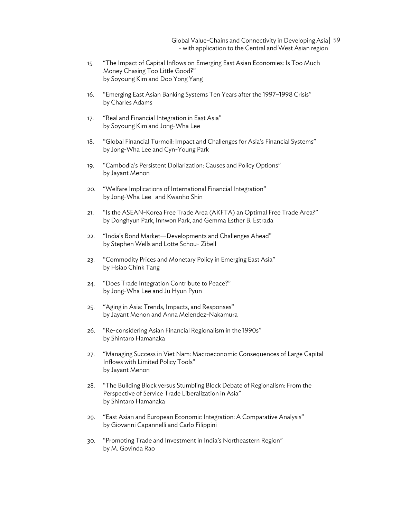Global Value-Chains and Connectivity in Developing Asia<sup>1</sup> 59 - with application to the Central and West Asian region

- 15. "The Impact of Capital Inflows on Emerging East Asian Economies: Is Too Much Money Chasing Too Little Good?" by Soyoung Kim and Doo Yong Yang
- 16. "Emerging East Asian Banking Systems Ten Years after the 1997–1998 Crisis" by Charles Adams
- 17. "Real and Financial Integration in East Asia" by Soyoung Kim and Jong-Wha Lee
- 18. "Global Financial Turmoil: Impact and Challenges for Asia's Financial Systems" by Jong-Wha Lee and Cyn-Young Park
- 19. "Cambodia's Persistent Dollarization: Causes and Policy Options" by Jayant Menon
- 20. "Welfare Implications of International Financial Integration" by Jong-Wha Lee and Kwanho Shin
- 21. "Is the ASEAN-Korea Free Trade Area (AKFTA) an Optimal Free Trade Area?" by Donghyun Park, Innwon Park, and Gemma Esther B. Estrada
- 22. "India's Bond Market—Developments and Challenges Ahead" by Stephen Wells and Lotte Schou- Zibell
- 23. "Commodity Prices and Monetary Policy in Emerging East Asia" by Hsiao Chink Tang
- 24. "Does Trade Integration Contribute to Peace?" by Jong-Wha Lee and Ju Hyun Pyun
- 25. "Aging in Asia: Trends, Impacts, and Responses" by Jayant Menon and Anna Melendez-Nakamura
- 26. "Re-considering Asian Financial Regionalism in the 1990s" by Shintaro Hamanaka
- 27. "Managing Success in Viet Nam: Macroeconomic Consequences of Large Capital Inflows with Limited Policy Tools" by Jayant Menon
- 28. "The Building Block versus Stumbling Block Debate of Regionalism: From the Perspective of Service Trade Liberalization in Asia" by Shintaro Hamanaka
- 29. "East Asian and European Economic Integration: A Comparative Analysis" by Giovanni Capannelli and Carlo Filippini
- 30. "Promoting Trade and Investment in India's Northeastern Region" by M. Govinda Rao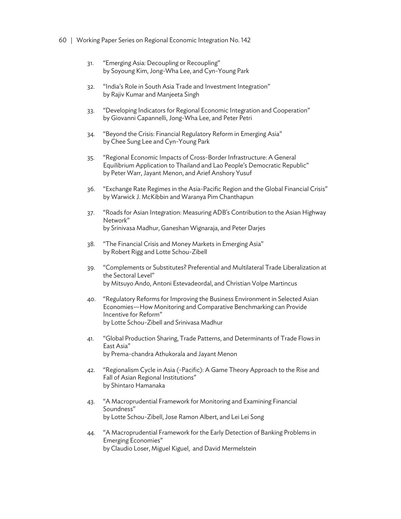- 60 | Working Paper Series on Regional Economic Integration No. 142
	- 31. "Emerging Asia: Decoupling or Recoupling" by Soyoung Kim, Jong-Wha Lee, and Cyn-Young Park
	- 32. "India's Role in South Asia Trade and Investment Integration" by Rajiv Kumar and Manjeeta Singh
	- 33. "Developing Indicators for Regional Economic Integration and Cooperation" by Giovanni Capannelli, Jong-Wha Lee, and Peter Petri
	- 34. "Beyond the Crisis: Financial Regulatory Reform in Emerging Asia" by Chee Sung Lee and Cyn-Young Park
	- 35. "Regional Economic Impacts of Cross-Border Infrastructure: A General Equilibrium Application to Thailand and Lao People's Democratic Republic" by Peter Warr, Jayant Menon, and Arief Anshory Yusuf
	- 36. "Exchange Rate Regimes in the Asia-Pacific Region and the Global Financial Crisis" by Warwick J. McKibbin and Waranya Pim Chanthapun
	- 37. "Roads for Asian Integration: Measuring ADB's Contribution to the Asian Highway Network" by Srinivasa Madhur, Ganeshan Wignaraja, and Peter Darjes
	- 38. "The Financial Crisis and Money Markets in Emerging Asia" by Robert Rigg and Lotte Schou-Zibell
	- 39. "Complements or Substitutes? Preferential and Multilateral Trade Liberalization at the Sectoral Level" by Mitsuyo Ando, Antoni Estevadeordal, and Christian Volpe Martincus
	- 40. "Regulatory Reforms for Improving the Business Environment in Selected Asian Economies—How Monitoring and Comparative Benchmarking can Provide Incentive for Reform" by Lotte Schou-Zibell and Srinivasa Madhur
	- 41. "Global Production Sharing, Trade Patterns, and Determinants of Trade Flows in East Asia" by Prema-chandra Athukorala and Jayant Menon
	- 42. "Regionalism Cycle in Asia (-Pacific): A Game Theory Approach to the Rise and Fall of Asian Regional Institutions" by Shintaro Hamanaka
	- 43. "A Macroprudential Framework for Monitoring and Examining Financial Soundness" by Lotte Schou-Zibell, Jose Ramon Albert, and Lei Lei Song
	- 44. "A Macroprudential Framework for the Early Detection of Banking Problems in Emerging Economies" by Claudio Loser, Miguel Kiguel, and David Mermelstein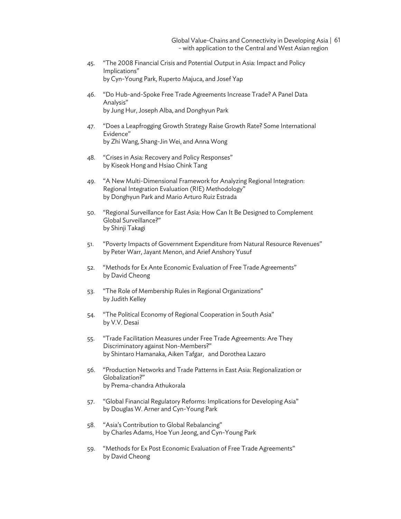Global Value-Chains and Connectivity in Developing Asia | 61 - with application to the Central and West Asian region

- 45. "The 2008 Financial Crisis and Potential Output in Asia: Impact and Policy Implications" by Cyn-Young Park, Ruperto Majuca, and Josef Yap
- 46. "Do Hub-and-Spoke Free Trade Agreements Increase Trade? A Panel Data Analysis" by Jung Hur, Joseph Alba, and Donghyun Park
- 47. "Does a Leapfrogging Growth Strategy Raise Growth Rate? Some International Evidence" by Zhi Wang, Shang-Jin Wei, and Anna Wong
- 48. "Crises in Asia: Recovery and Policy Responses" by Kiseok Hong and Hsiao Chink Tang
- 49. "A New Multi-Dimensional Framework for Analyzing Regional Integration: Regional Integration Evaluation (RIE) Methodology" by Donghyun Park and Mario Arturo Ruiz Estrada
- 50. "Regional Surveillance for East Asia: How Can It Be Designed to Complement Global Surveillance?" by Shinji Takagi
- 51. "Poverty Impacts of Government Expenditure from Natural Resource Revenues" by Peter Warr, Jayant Menon, and Arief Anshory Yusuf
- 52. "Methods for Ex Ante Economic Evaluation of Free Trade Agreements" by David Cheong
- 53. "The Role of Membership Rules in Regional Organizations" by Judith Kelley
- 54. "The Political Economy of Regional Cooperation in South Asia" by V.V. Desai
- 55. "Trade Facilitation Measures under Free Trade Agreements: Are They Discriminatory against Non-Members?" by Shintaro Hamanaka, Aiken Tafgar, and Dorothea Lazaro
- 56. "Production Networks and Trade Patterns in East Asia: Regionalization or Globalization?" by Prema-chandra Athukorala
- 57. "Global Financial Regulatory Reforms: Implications for Developing Asia" by Douglas W. Arner and Cyn-Young Park
- 58. "Asia's Contribution to Global Rebalancing" by Charles Adams, Hoe Yun Jeong, and Cyn-Young Park
- 59. "Methods for Ex Post Economic Evaluation of Free Trade Agreements" by David Cheong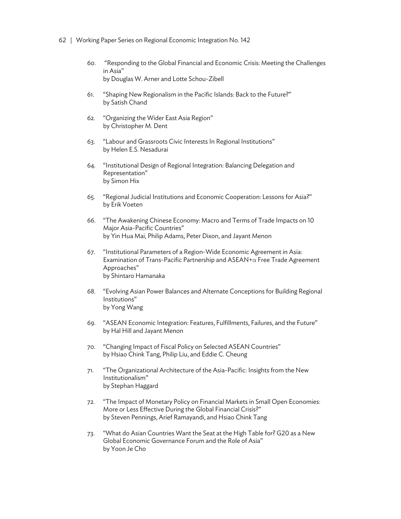- 62 | Working Paper Series on Regional Economic Integration No. 142
	- 60. "Responding to the Global Financial and Economic Crisis: Meeting the Challenges in Asia" by Douglas W. Arner and Lotte Schou-Zibell
	- 61. "Shaping New Regionalism in the Pacific Islands: Back to the Future?" by Satish Chand
	- 62. "Organizing the Wider East Asia Region" by Christopher M. Dent
	- 63. "Labour and Grassroots Civic Interests In Regional Institutions" by Helen E.S. Nesadurai
	- 64. "Institutional Design of Regional Integration: Balancing Delegation and Representation" by Simon Hix
	- 65. "Regional Judicial Institutions and Economic Cooperation: Lessons for Asia?" by Erik Voeten
	- 66. "The Awakening Chinese Economy: Macro and Terms of Trade Impacts on 10 Major Asia-Pacific Countries" by Yin Hua Mai, Philip Adams, Peter Dixon, and Jayant Menon
	- 67. "Institutional Parameters of a Region-Wide Economic Agreement in Asia: Examination of Trans-Pacific Partnership and ASEAN+α Free Trade Agreement Approaches" by Shintaro Hamanaka
	- 68. "Evolving Asian Power Balances and Alternate Conceptions for Building Regional Institutions" by Yong Wang
	- 69. "ASEAN Economic Integration: Features, Fulfillments, Failures, and the Future" by Hal Hill and Jayant Menon
	- 70. "Changing Impact of Fiscal Policy on Selected ASEAN Countries" by Hsiao Chink Tang, Philip Liu, and Eddie C. Cheung
	- 71. "The Organizational Architecture of the Asia-Pacific: Insights from the New Institutionalism" by Stephan Haggard
	- 72. "The Impact of Monetary Policy on Financial Markets in Small Open Economies: More or Less Effective During the Global Financial Crisis?" by Steven Pennings, Arief Ramayandi, and Hsiao Chink Tang
	- 73. "What do Asian Countries Want the Seat at the High Table for? G20 as a New Global Economic Governance Forum and the Role of Asia" by Yoon Je Cho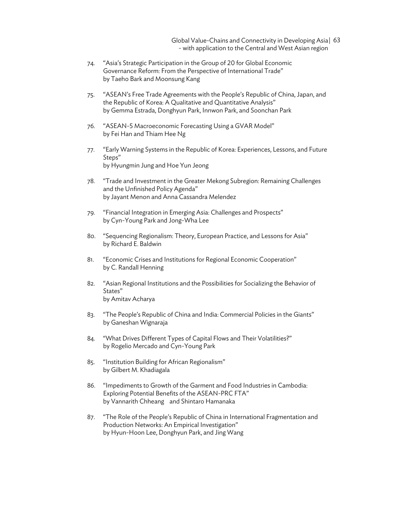Global Value-Chains and Connectivity in Developing Asia | 63 - with application to the Central and West Asian region

- 74. "Asia's Strategic Participation in the Group of 20 for Global Economic Governance Reform: From the Perspective of International Trade" by Taeho Bark and Moonsung Kang
- 75. "ASEAN's Free Trade Agreements with the People's Republic of China, Japan, and the Republic of Korea: A Qualitative and Quantitative Analysis" by Gemma Estrada, Donghyun Park, Innwon Park, and Soonchan Park
- 76. "ASEAN-5 Macroeconomic Forecasting Using a GVAR Model" by Fei Han and Thiam Hee Ng
- 77. "Early Warning Systems in the Republic of Korea: Experiences, Lessons, and Future Steps" by Hyungmin Jung and Hoe Yun Jeong
- 78. "Trade and Investment in the Greater Mekong Subregion: Remaining Challenges and the Unfinished Policy Agenda" by Jayant Menon and Anna Cassandra Melendez
- 79. "Financial Integration in Emerging Asia: Challenges and Prospects" by Cyn-Young Park and Jong-Wha Lee
- 80. "Sequencing Regionalism: Theory, European Practice, and Lessons for Asia" by Richard E. Baldwin
- 81. "Economic Crises and Institutions for Regional Economic Cooperation" by C. Randall Henning
- 82. "Asian Regional Institutions and the Possibilities for Socializing the Behavior of States" by Amitav Acharya
- 83. "The People's Republic of China and India: Commercial Policies in the Giants" by Ganeshan Wignaraja
- 84. "What Drives Different Types of Capital Flows and Their Volatilities?" by Rogelio Mercado and Cyn-Young Park
- 85. "Institution Building for African Regionalism" by Gilbert M. Khadiagala
- 86. "Impediments to Growth of the Garment and Food Industries in Cambodia: Exploring Potential Benefits of the ASEAN-PRC FTA" by Vannarith Chheang and Shintaro Hamanaka
- 87. "The Role of the People's Republic of China in International Fragmentation and Production Networks: An Empirical Investigation" by Hyun-Hoon Lee, Donghyun Park, and Jing Wang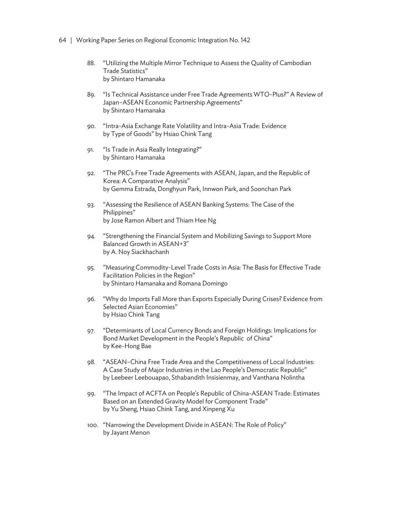- 64 | Working Paper Series on Regional Economic Integration No. 142
	- 88. "Utilizing the Multiple Mirror Technique to Assess the Quality of Cambodian Trade Statistics" by Shintaro Hamanaka
	- 89. "Is Technical Assistance under Free Trade Agreements WTO-Plus?" A Review of Japan–ASEAN Economic Partnership Agreements" by Shintaro Hamanaka
	- 90. "Intra-Asia Exchange Rate Volatility and Intra-Asia Trade: Evidence by Type of Goods" by Hsiao Chink Tang
	- 91. "Is Trade in Asia Really Integrating?" by Shintaro Hamanaka
	- 92. "The PRC's Free Trade Agreements with ASEAN, Japan, and the Republic of Korea: A Comparative Analysis" by Gemma Estrada, Donghyun Park, Innwon Park, and Soonchan Park
	- 93. "Assessing the Resilience of ASEAN Banking Systems: The Case of the Philippines" by Jose Ramon Albert and Thiam Hee Ng
	- 94. "Strengthening the Financial System and Mobilizing Savings to Support More Balanced Growth in ASEAN+3" by A. Noy Siackhachanh
	- 95. "Measuring Commodity-Level Trade Costs in Asia: The Basis for Effective Trade Facilitation Policies in the Region" by Shintaro Hamanaka and Romana Domingo
	- 96. "Why do Imports Fall More than Exports Especially During Crises? Evidence from Selected Asian Economies" by Hsiao Chink Tang
	- 97. "Determinants of Local Currency Bonds and Foreign Holdings: Implications for Bond Market Development in the People's Republic of China" by Kee-Hong Bae
	- 98. "ASEAN–China Free Trade Area and the Competitiveness of Local Industries: A Case Study of Major Industries in the Lao People's Democratic Republic" by Leebeer Leebouapao, Sthabandith Insisienmay, and Vanthana Nolintha
	- 99. "The Impact of ACFTA on People's Republic of China-ASEAN Trade: Estimates Based on an Extended Gravity Model for Component Trade" by Yu Sheng, Hsiao Chink Tang, and Xinpeng Xu
	- 100. "Narrowing the Development Divide in ASEAN: The Role of Policy" by Jayant Menon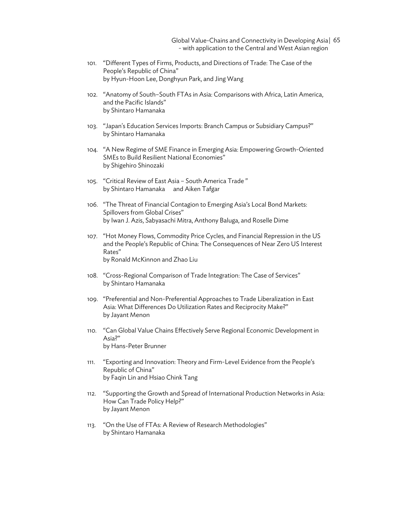Global Value-Chains and Connectivity in Developing Asia | 65 - with application to the Central and West Asian region

- 101. "Different Types of Firms, Products, and Directions of Trade: The Case of the People's Republic of China" by Hyun-Hoon Lee, Donghyun Park, and Jing Wang
- 102. "Anatomy of South–South FTAs in Asia: Comparisons with Africa, Latin America, and the Pacific Islands" by Shintaro Hamanaka
- 103. "Japan's Education Services Imports: Branch Campus or Subsidiary Campus?" by Shintaro Hamanaka
- 104. "A New Regime of SME Finance in Emerging Asia: Empowering Growth-Oriented SMEs to Build Resilient National Economies" by Shigehiro Shinozaki
- 105. "Critical Review of East Asia South America Trade " by Shintaro Hamanaka and Aiken Tafgar
- 106. "The Threat of Financial Contagion to Emerging Asia's Local Bond Markets: Spillovers from Global Crises" by Iwan J. Azis, Sabyasachi Mitra, Anthony Baluga, and Roselle Dime
- 107. "Hot Money Flows, Commodity Price Cycles, and Financial Repression in the US and the People's Republic of China: The Consequences of Near Zero US Interest Rates" by Ronald McKinnon and Zhao Liu
- 108. "Cross-Regional Comparison of Trade Integration: The Case of Services" by Shintaro Hamanaka
- 109. "Preferential and Non-Preferential Approaches to Trade Liberalization in East Asia: What Differences Do Utilization Rates and Reciprocity Make?" by Jayant Menon
- 110. "Can Global Value Chains Effectively Serve Regional Economic Development in Asia?" by Hans-Peter Brunner
- 111. "Exporting and Innovation: Theory and Firm-Level Evidence from the People's Republic of China" by Faqin Lin and Hsiao Chink Tang
- 112. "Supporting the Growth and Spread of International Production Networks in Asia: How Can Trade Policy Help?" by Jayant Menon
- 113. "On the Use of FTAs: A Review of Research Methodologies" by Shintaro Hamanaka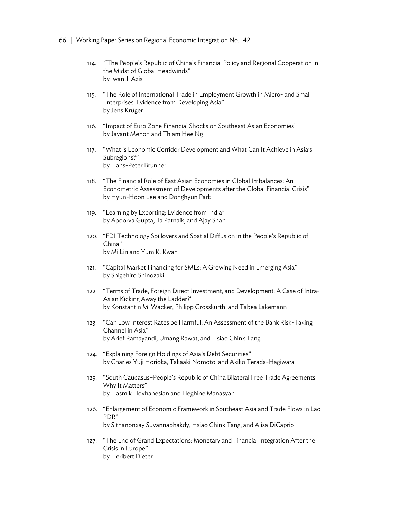- 66. | Working Paper Series on Regional Economic Integration No. 142
	- 114. "The People's Republic of China's Financial Policy and Regional Cooperation in the Midst of Global Headwinds" by Iwan J. Azis
	- 115. "The Role of International Trade in Employment Growth in Micro- and Small Enterprises: Evidence from Developing Asia" by Jens Krüger
	- 116. "Impact of Euro Zone Financial Shocks on Southeast Asian Economies" by Jayant Menon and Thiam Hee Ng
	- 117. "What is Economic Corridor Development and What Can It Achieve in Asia's Subregions?" by Hans-Peter Brunner
	- 118. "The Financial Role of East Asian Economies in Global Imbalances: An Econometric Assessment of Developments after the Global Financial Crisis" by Hyun-Hoon Lee and Donghyun Park
	- 119. "Learning by Exporting: Evidence from India" by Apoorva Gupta, Ila Patnaik, and Ajay Shah
	- 120. "FDI Technology Spillovers and Spatial Diffusion in the People's Republic of China" by Mi Lin and Yum K. Kwan
	- 121. "Capital Market Financing for SMEs: A Growing Need in Emerging Asia" by Shigehiro Shinozaki
	- 122. "Terms of Trade, Foreign Direct Investment, and Development: A Case of Intra-Asian Kicking Away the Ladder?" by Konstantin M. Wacker, Philipp Grosskurth, and Tabea Lakemann
	- 123. "Can Low Interest Rates be Harmful: An Assessment of the Bank Risk-Taking Channel in Asia" by Arief Ramayandi, Umang Rawat, and Hsiao Chink Tang
	- 124. "Explaining Foreign Holdings of Asia's Debt Securities" by Charles Yuji Horioka, Takaaki Nomoto, and Akiko Terada-Hagiwara
	- 125. "South Caucasus–People's Republic of China Bilateral Free Trade Agreements: Why It Matters" by Hasmik Hovhanesian and Heghine Manasyan
	- 126. "Enlargement of Economic Framework in Southeast Asia and Trade Flows in Lao PDR" by Sithanonxay Suvannaphakdy, Hsiao Chink Tang, and Alisa DiCaprio
	- 127. "The End of Grand Expectations: Monetary and Financial Integration After the Crisis in Europe" by Heribert Dieter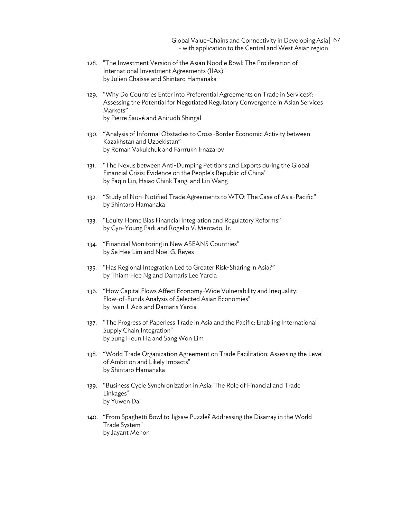Global Value-Chains and Connectivity in Developing Asia | 67 - with application to the Central and West Asian region

- 128. "The Investment Version of the Asian Noodle Bowl: The Proliferation of International Investment Agreements (IIAs)" by Julien Chaisse and Shintaro Hamanaka
- 129. "Why Do Countries Enter into Preferential Agreements on Trade in Services?: Assessing the Potential for Negotiated Regulatory Convergence in Asian Services Markets" by Pierre Sauvé and Anirudh Shingal
- 130. "Analysis of Informal Obstacles to Cross-Border Economic Activity between Kazakhstan and Uzbekistan" by Roman Vakulchuk and Farrrukh Irnazarov
- 131. "The Nexus between Anti-Dumping Petitions and Exports during the Global Financial Crisis: Evidence on the People's Republic of China" by Faqin Lin, Hsiao Chink Tang, and Lin Wang
- 132. "Study of Non-Notified Trade Agreements to WTO: The Case of Asia-Pacific" by Shintaro Hamanaka
- 133. "Equity Home Bias Financial Integration and Regulatory Reforms" by Cyn-Young Park and Rogelio V. Mercado, Jr.
- 134. "Financial Monitoring in New ASEAN5 Countries" by Se Hee Lim and Noel G. Reyes
- 135. "Has Regional Integration Led to Greater Risk-Sharing in Asia?" by Thiam Hee Ng and Damaris Lee Yarcia
- 136. "How Capital Flows Affect Economy-Wide Vulnerability and Inequality: Flow-of-Funds Analysis of Selected Asian Economies" by Iwan J. Azis and Damaris Yarcia
- 137. "The Progress of Paperless Trade in Asia and the Pacific: Enabling International Supply Chain Integration" by Sung Heun Ha and Sang Won Lim
- 138. "World Trade Organization Agreement on Trade Facilitation: Assessing the Level of Ambition and Likely Impacts" by Shintaro Hamanaka
- 139. "Business Cycle Synchronization in Asia: The Role of Financial and Trade Linkages" by Yuwen Dai
- 140. "From Spaghetti Bowl to Jigsaw Puzzle? Addressing the Disarray in the World Trade System" by Jayant Menon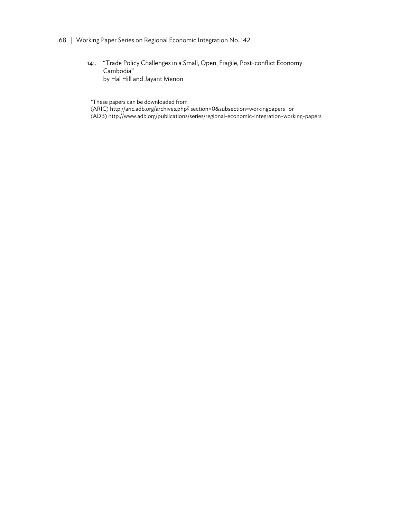- 68 | Working Paper Series on Regional Economic Integration No. 142
	- 141. "Trade Policy Challenges in a Small, Open, Fragile, Post-conflict Economy: Cambodia" by Hal Hill and Jayant Menon

\*These papers can be downloaded from

(ARIC) http://aric.adb.org/archives.php? section=0&subsection=workingpapers or (ADB) http://www.adb.org/publications/series/regional-economic-integration-working-papers